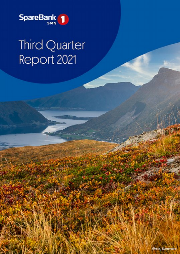

# **Third Quarter** Report 2021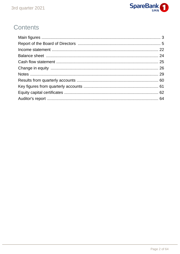

# Contents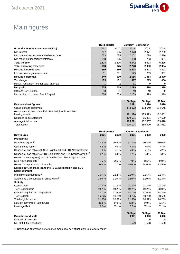

# Main figures

|                                            | Third quarter |       | January - September |       |       |
|--------------------------------------------|---------------|-------|---------------------|-------|-------|
| From the income statement (NOKm)           | 2021          | 2020  | 2021                | 2020  | 2020  |
| Net interest                               | 707           | 695   | 2,073               | 2,071 | 2,759 |
| Net commission income and other income     | 623           | 625   | 2,161               | 1,779 | 2,516 |
| Net return on financial investments        | 248           | 205   | 808                 | 753   | 951   |
| <b>Total income</b>                        | 1,578         | 1,525 | 5,042               | 4,603 | 6,225 |
| <b>Total operating expenses</b>            | 698           | 675   | 2,228               | 2,080 | 2,904 |
| <b>Results before losses</b>               | 880           | 850   | 2,814               | 2,523 | 3,321 |
| Loss on loans, quarantees etc.             | 31            | 231   | 129                 | 709   | 951   |
| <b>Results before tax</b>                  | 849           | 619   | 2.685               | 1.814 | 2,370 |
| Tax charge                                 | 175           | 102   | 497                 | 295   | 400   |
| Result investment held for sale, after tax |               | 2     | 11                  | 9     | 9     |
| Net profit                                 | 675           | 519   | 2,199               | 1,528 | 1,978 |
| Interest Tier 1 Capital                    | 10            | 11    | 40                  | 49    | 59    |
| Net profit excl. Interest Tier 1 Capital   | 666           | 509   | 2,159               | 1,479 | 1,919 |

| <b>Balance sheet figures</b>                            | 30 Sept<br>2021 | 30 Sept<br>2020 | 31 Dec<br>2020 |
|---------------------------------------------------------|-----------------|-----------------|----------------|
|                                                         |                 |                 |                |
| Gross loans to customers                                | 143.972         | 133.640         | 134.648        |
| Gross loans to customers incl. SB1 Boligkreditt and SB1 |                 |                 |                |
| Næringskreditt                                          | 191.976         | 179.423         | 182.801        |
| Deposits from customers                                 | 109.691         | 95.391          | 97.529         |
| Average total assets                                    | 195.571         | 182.307         | 183.428        |
| <b>Total assets</b>                                     | 200.124         | 186.900         | 187.912        |

|                                                                                   | Third quarter |        | January - September |                 |                |
|-----------------------------------------------------------------------------------|---------------|--------|---------------------|-----------------|----------------|
| <b>Key figures</b>                                                                | 2021          | 2020   | 2021                | 2020            | 2020           |
| Profitability                                                                     |               |        |                     |                 |                |
| Return on equity 1)                                                               | 12.4 %        | 10.5%  | 13.8%               | 10.4 %          | 10.0%          |
| Cost-income ratio <sup>1)</sup>                                                   | 44 %          | 45 %   | 44 %                | 45 %            | 47 %           |
| Deposit-to-loan ratio excl. SB1 Boligkreditt and SB1 Næringskreditt               | 76 %          | 71 %   | 76 %                | 71 %            | 72 %           |
| Deposit-to-loan ratio incl. SB1 Boligkreditt and SB1 Næringskreditt <sup>1)</sup> | 57 %          | 53 %   | 57 %                | 53 %            | 53 %           |
| Growth in loans (gross) last 12 months (incl. SB1 Boligkreditt and                |               |        |                     |                 |                |
| SB1 Næringskreditt) <sup>1)</sup>                                                 | 1.6%          | 2.5%   | 7.0%                | 8.5%            | 9.0%           |
| Growth in deposits last 12 months                                                 | $-0.4%$       | 1.2%   | 15.0%               | 14.0%           | 13.5 %         |
| Losses in % of gross loans incl. SB1 Boligkreditt and SB1<br>Næringskreditt       |               |        |                     |                 |                |
| Impairment losses ratio <sup>1)</sup>                                             | 0.07%         | 0.52%  | 0.09%               | 0.55%           | 0.54%          |
| Stage 3 as a percentage of gross loans $^{1)}$                                    | 1.80 %        | 1.30 % | 1.80%               | 1.30 %          | 1.23%          |
| <b>Solidity</b>                                                                   |               |        |                     |                 |                |
| Capital ratio                                                                     | 21.8%         | 21.4 % | 21.8%               | 21.4%           | 22.3 %         |
| Tier 1 capital ratio                                                              | 19.7%         | 19.2 % | 19.7 %              | 19.2 %          | 20.0%          |
| Common equity Tier 1 capital ratio                                                | 18.1%         | 17.6 % | 18.1 %              | 17.6%           | 18.3%          |
| Tier 1 capital                                                                    | 19,265        | 18,290 | 19,265              | 18.290          | 18,636         |
| Total eligible capital                                                            | 21,338        | 20,373 | 21,338              | 20,373          | 20,759         |
| Liquidity Coverage Ratio (LCR)                                                    | 163 %         | 140 %  | 163 %               | 140 %           | 171 %          |
| Leverage Ratio                                                                    | 6.9%          | 7.1 %  | 6.9%                | 7.1%            | 7.1%           |
| <b>Branches and staff</b>                                                         |               |        | 30 Sept<br>2021     | 30 Sept<br>2020 | 31 Dec<br>2020 |
| Number of branches                                                                |               |        | 42                  | 46              | 45             |
| No. Of full-time positions                                                        |               |        | 1,529               | 1,528           | 1,560          |

1) Defined as alternative performance measures, see attachment to quarterly report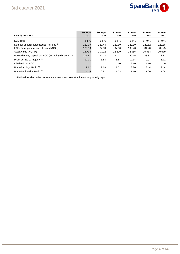

| <b>Key figures ECC</b>                                           | 30 Sept<br>2021 | 30 Sept<br>2020 | 31 Dec<br>2020 | 31 Dec<br>2019 | 31 Dec<br>2018 | 31 Dec<br>2017 |
|------------------------------------------------------------------|-----------------|-----------------|----------------|----------------|----------------|----------------|
| ECC ratio                                                        | 64 %            | 64 %            | 64 %           | 64 %           | 64.0%          | 64.0%          |
| Number of certificates issued, millions 1)                       | 129.39          | 129.44          | 129.39         | 129.30         | 129.62         | 129.38         |
| ECC share price at end of period (NOK)                           | 129.80          | 84.30           | 97.60          | 100.20         | 84.20          | 82.25          |
| Stock value (NOKM)                                               | 16,794          | 10,912          | 12,629         | 12,956         | 10,914         | 10,679         |
| Booked equity capital per ECC (including dividend) <sup>1)</sup> | 103.57          | 92.73           | 94.71          | 90.75          | 83.87          | 78.81          |
| Profit per ECC, majority 1)                                      | 10.11           | 6.88            | 8.87           | 12.14          | 9.97           | 8.71           |
| Dividend per ECC                                                 |                 |                 | 4.40           | 6.50           | 5.10           | 4.40           |
| Price-Earnings Ratio <sup>1)</sup>                               | 9.62            | 9.19            | 11.01          | 8.26           | 8.44           | 9.44           |
| Price-Book Value Ratio <sup>1)</sup>                             | 1.25            | 0.91            | 1.03           | 1.10           | 1.00           | 1.04           |

1) Defined as alternative performance measures, see attachment to quarterly report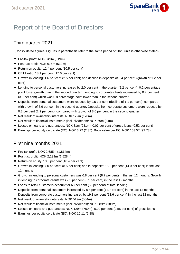

# Report of the Board of Directors

# Third quarter 2021

(Consolidated figures. Figures in parenthesis refer to the same period of 2020 unless otherwise stated)

- Pre-tax profit: NOK 849m (619m)
- Post-tax profit: NOK 675m (519m)
- Return on equity: 12.4 per cent (10.5 per cent)
- CET1 ratio: 18.1 per cent (17.6 per cent)
- Growth in lending: 1.6 per cent (2.5 per cent) and decline in deposits of 0.4 per cent (growth of 1.2 per cent)
- Lending to personal customers increased by 2.0 per cent in the quarter (2.2 per cent), 0.2 percentage point lower growth than in the second quarter. Lending to corporate clients increased by 0.7 per cent (3.0 per cent) which was 0.8 percentage point lower than in the second quarter
- Deposits from personal customers were reduced by 0.5 per cent (decline of 1.1 per cent), compared with growth of 6.9 per cent in the second quarter. Deposits from corporate customers were reduced by 0.3 per cent (2.9 per cent), compared with growth of 8.0 per cent in the second quarter
- Net result of ownership interests: NOK 179m (170m)
- Net result of financial instruments (incl. dividends): NOK 69m (34m)
- Losses on loans and guarantees: NOK 31m (231m), 0.07 per cent of gross loans (0.52 per cent)
- Earnings per equity certificate (EC): NOK 3.22 (2.35). Book value per EC: NOK 103.57 (92.73)

# First nine months 2021

- Pre-tax profit: NOK 2,685m  $(1,814m)$
- Post-tax profit: NOK 2,199m (1,528m)
- Return on equity: 13.8 per cent (10.4 per cent)
- Growth in lending: 7.0 per cent (8.5 per cent) and in deposits: 15.0 per cent (14.0 per cent) in the last 12 months
- Growth in lending to personal customers was 6.8 per cent (8.7 per cent) in the last 12 months. Growth in lending to corporate clients was 7.5 per cent (8.1 per cent) in the last 12 months
- Loans to retail customers account for 68 per cent (68 per cent) of total lending
- **Deposits from personal customers increased by 8.4 per cent (14.7 per cent) in the last 12 months.** Deposits from corporate customers increased by 19.8 per cent (13.6 per cent) in the last 12 months
- Net result of ownership interests: NOK 519m (564m)
- Net result of financial instruments (incl. dividends): NOK 289m (189m)
- Losses on loans and guarantees: NOK 129m (709m), 0.09 per cent (0.55 per cent) of gross loans
- Earnings per equity certificate (EC): NOK 10.11 (6.88)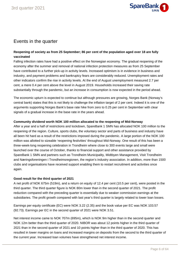

# Events in the quarter

### **Reopening of society as from 25 September; 86 per cent of the population aged over 18 are fully vaccinated**

Falling infection rates have had a positive effect on the Norwegian economy. The gradual reopening of the economy after the summer and removal of national infection protection measures as from 25 September have contributed to a further pick-up in activity levels. Increased optimism is in evidence in business and industry, and payment problems and bankruptcy fears are considerably reduced. Unemployment rates and other indicators confirm the rise in activity levels. At the end of August unemployment measured 2.7 per cent, a mere 0.4 per cent above the level in August 2019. Households increased their saving rate substantially through the pandemic, but an increase in consumption is now expected in the period ahead.

The economic upturn is expected to continue but although pressures are growing, Norges Bank (Norway's central bank) states that this is not likely to challenge the inflation target of 2 per cent. Indeed it is one of the arguments supporting Norges Bank's base rate hike from zero to 0.25 per cent in September with clear signals of a gradual increase in the base rate in the years ahead.

#### **Community dividend worth NOK 100 million allocated to the reopening of Mid-Norway**

After a year and a half of restrictions and lockdown, SpareBank 1 SMN has allocated NOK 100 million to the reopening of the region. Culture, sports clubs, the voluntary sector and parts of business and industry have all been hit hard as a result of the restrictions imposed during the pandemic. A large portion of the NOK 100 million was allotted to sizeable 'reopening festivities' throughout Mid-Norway. One result of this has been a three-week-long reopening celebration in Trondheim where close to 300 events large and small were launched over the course of October, thanks to financial support and other assistance provided by SpareBank 1 SMN and partners such as Trondheim Municipality, Midtbyen Management, Visit Trondheim and Næringsforeningen i Trondheimsregionen, the region's industry association. In addition, more than 1500 clubs and organisations have received support enabling them to restart recruitment and activities once again.

#### **Good result for the third quarter of 2021**

A net profit of NOK 675m (519m), and a return on equity of 12.4 per cent (10.5 per cent), were posted in the third quarter. The third quarter figure is NOK 80m lower than in the second quarter of 2021. The profit reduction compared with the preceding quarter is essentially due to weaker commission earnings at the subsidiaries. The profit growth compared with last year's third quarter is largely related to lower loan losses.

Earnings per equity certificate (EC) were NOK 3.22 (2.35) and the book value per EC was NOK 103.57 (92.73). Earnings per EC in the second quarter of 2021 were NOK 3.51.

Net interest income came to NOK 707m (695m), which is NOK 9m higher than in the second quarter and NOK 12m better than the third quarter of 2020. NIBOR was about 12 points higher in the third quarter of 2021 than in the second quarter of 2021 and 10 points higher than in the third quarter of 2020. This has resulted in lower margins on loans and increased margins on deposits from the second to the third quarter of the current year. Increased loan volumes have strengthened net interest income.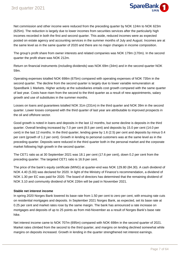

Net commission and other income were reduced from the preceding quarter by NOK 124m to NOK 623m (625m). The reduction is largely due to lower incomes from securities services after the particularly high incomes recorded in both the first and second quarter. This aside, reduced incomes were as expected posted on estate agency and accounting services in the summer months of July and August. Incomes are at the same level as in the same quarter of 2020 and there are no major changes in income composition.

The group's profit share from owner interests and related companies was NOK 179m (170m). In the second quarter the profit share was NOK 212m.

Return on financial instruments (including dividends) was NOK 69m (34m) and in the second quarter NOK 59m.

Operating expenses totalled NOK 698m (675m) compared with operating expenses of NOK 735m in the second quarter. The decline from the second quarter is largely due to lower variable remuneration at SpareBank 1 Markets. Higher activity at the subsidiaries entails cost growth compared with the same quarter of last year. Costs have risen from the second to the third quarter as a result of new appointments, salary growth and use of substitutes in the summer months.

Losses on loans and guarantees totalled NOK 31m (231m) in the third quarter and NOK 39m in the second quarter. Lower losses compared with the third quarter of last year are attributable to improved prospects in the oil and offshore sector.

Good growth is noted in loans and deposits in the last 12 months, but some decline is deposits in the third quarter. Overall lending increased by 7.0 per cent (8.5 per cent) and deposits by 15.0 per cent (14.0 per cent) in the last 12 months. In the third quarter, lending grew by 1.6 (2.5) per cent and deposits by minus 0.4 per cent (growth of 1.2 per cent). Growth in lending to personal customers was at the same level as in the preceding quarter. Deposits were reduced in the third quarter both in the personal market and the corporate market following high growth in the second quarter.

The CET1 ratio as at 30 September 2021 was 18.1 per cent (17.6 per cent), down 0.2 per cent from the preceding quarter. The targeted CET1 ratio is 16.9 per cent.

The price of the bank's equity certificate (MING) at quarter-end was NOK 129.80 (84.30). A cash dividend of NOK 4.40 (5.00) was declared for 2020. In light of the Ministry of Finance's recommendation, a dividend of NOK 1.30 per EC was paid for 2020. The board of directors has determined that the remaining dividend of NOK 3.10 and community dividend of NOK 226m will be paid in November 2021.

#### **Stable net interest income**

In spring 2020 Norges Bank lowered its base rate from 1.50 per cent to zero per cent, with ensuing rate cuts on residential mortgages and deposits. In September 2021 Norges Bank, as expected, set its base rate at 0.25 per cent and market rates rose by the same margin. The bank has announced a rate increase on mortgages and deposits of up to 25 points as from mid-November as a result of Norges Bank's base rate hike.

Net interest income came to NOK 707m (695m) compared with NOK 698m in the second quarter of 2021. Market rates climbed from the second to the third quarter, and margins on lending declined somewhat while margins on deposits increased. Growth in lending in the quarter strengthened net interest earnings.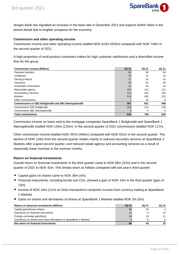

Norges Bank has signalled an increase in the base rate in December 2021 and expects further hikes in the period ahead due to brighter prospects for the economy.

#### **Commission and other operating income**

Commission income and other operating income totalled NOK 623m (625m) compared with NOK 748m in the second quarter of 2021.

A high proportion of multi-product customers makes for high customer satisfaction and a diversified income flow for the group.

| <b>Commission income (NOKm)</b>                               | 3Q 21 | <b>2Q 21</b> | <b>2Q 21</b> |
|---------------------------------------------------------------|-------|--------------|--------------|
| Payment transfers                                             | 61    | 56           | 54           |
| Creditcard                                                    | 14    | 13           | 15           |
| Saving products                                               | 17    | 14           | 14           |
| Insurance                                                     | 54    | 53           | 49           |
| Guarantee commission                                          | 13    | 14           | 14           |
| Real estate agency                                            | 107   | 131          | 111          |
| Accountancy services                                          | 114   | 154          | 105          |
| <b>Markets</b>                                                | 110   | 182          | 122          |
| Other commissions                                             |       | 14           | 9            |
| <b>Commissions ex SB1 Boligkreditt and SB1 Næringskreditt</b> | 497   | 631          | 494          |
| <b>Commissions SB1 Boligkreditt</b>                           | 123   | 113          | 128          |
| <b>Commissions SB1 Næringskreditt</b>                         | 3     | 4            | 4            |
| <b>Total commissions</b>                                      | 623   | 748          | 625          |

Commission income on loans sold to the mortgage companies SpareBank 1 Boligkreditt and SpareBank 1 Næringskreditt totalled NOK 126m (132m). In the second quarter of 2021 commissions totalled NOK 117m.

Other commission income totalled NOK 497m (494m) compared with NOK 631m in the second quarter. The decline of NOK 134m from the second quarter relates mainly to reduced securities services at SpareBank 1 Markets after a good second quarter, and reduced estate agency and accounting services as a result of seasonally lower incomes in the summer months.

#### **Return on financial investments**

Overall return on financial investments in the third quarter came to NOK 68m (32m) and in the second quarter of 2021 to NOK 42m. This breaks down as follows compared with last year's third quarter:

- Capital gains on shares came to NOK 36m (4m)
- Financial instruments, including bonds and CDs, showed a gain of NOK 14m in the third quarter (gain of 13m)
- Income of NOK 16m (11m) on forex transactions comprises income from currency trading at SpareBank 1 Markets
- Gains on shares and derivatives of shares at SpareBank 1 Markets totalled NOK 2m (5m)

| Return on financial investments (NOKm)                             | 3Q 21 | 20 21 | 2Q 21 |
|--------------------------------------------------------------------|-------|-------|-------|
| Capital gains/losses shares                                        | 36    | 23    |       |
| Gain/(loss) on financial instruments                               | 14    | -4    | 13    |
| Foreign exchange gain/(loss)                                       | 16    | 15    | 11    |
| Gain/(loss) on shares and share derivatives at SpareBank 1 Markets |       |       |       |
| Net return on financial instruments                                | 68    | 42    | 32    |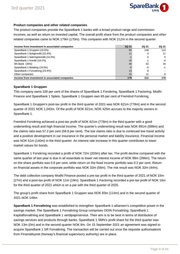

#### **Product companies and other related companies**

The product companies provide the SpareBank 1 banks with a broad product range and commission incomes, as well as return on invested capital. The overall profit share from the product companies and other related companies came to NOK 179m (170m). This compares with NOK 212m in the second quarter.

| Income from investment in associated companies | 3Q 21 | <b>2Q 21</b> | <b>2Q 21</b> |
|------------------------------------------------|-------|--------------|--------------|
| SpareBank 1 Gruppen (19.5%)                    | 83    | 148          | 114          |
| SpareBank 1 Boligkreditt (22.4%)               |       | 3            | 11           |
| SpareBank 1 Næringskreditt (14.5%)             |       |              | 5            |
| SpareBank 1 Kreditt (19.2%)                    | 10    |              | -0           |
| <b>BN Bank (35%)</b>                           | 40    | 42           | 34           |
| SpareBank 1 Betaling (19.5%)                   | -0    | -5           | -1           |
| SpareBank 1 Forvaltning (23.4%)                | 13    | 8            |              |
| Other companies                                | 23    |              | 8            |
| Income from investment in associated companies | 179   | 212          | 170          |

#### **SpareBank 1 Gruppen**

This company owns 100 per cent of the shares of SpareBank 1 Forsikring, SpareBank 1 Factoring, Modhi Finance and SpareBank 1 Spleis. SpareBank 1 Gruppen own 65 per cent of Fremtind Forsikring.

SpareBank 1 Gruppen's post-tax profit in the third quarter of 2021 was NOK 621m (778m) and in the second quarter of 2021 NOK 1,043m. Of the profit of NOK 621m, NOK 425m accrues to the majority owners in SpareBank 1.

Fremtind Forsikring achieved a post-tax profit of NOK 621m (778m) in the third quarter with a good underwriting result and high financial income. The quarter's underwriting result was NOK 691m (598m) and the claims ratio was 57.2 per cent (59.8 per cent). The low claims ratio is due to continued low travel activity and a positive development in car insurance in the personal market and liability insurance. Financial income was NOK 51m (140m) in the third quarter. An interest rate increase in this quarter contributes to lower market values for bonds.

SpareBank 1 Forsikring recorded a profit of NOK 72m (203m) after tax. The profit decline compared with the same quarter of last year is due in all essentials to lower net interest income of NOK 99m (296m). The return on the share portfolio was 0.6 per cent, while return on the fixed income portfolio was 0.2 per cent. Return on financial assets in the corporate portfolio was NOK 32m (56m). The risk result was NOK 32m (44m).

The debt collection company Modhi Finance posted a pre-tax profit in the third quarter of 2021 of NOK 15m (27m) and a post-tax profit of NOK 11m (19m). SpareBank 1 Factoring recorded a pre-tax profit of NOK 16m for the third quarter of 2021 which is on a par with the third quarter of 2020.

The group's profit share from SpareBank 1 Gruppen was NOK 83m (114m) and in the second quarter of 2021 NOK 148m.

**SpareBank 1 Forvaltning** was established to strengthen SpareBank 1-alliansen's competitive power in the savings market. The SpareBank 1 Forvaltning Group comprises ODIN Forvaltning, SpareBank 1 Kapitalforvaltning and SpareBank 1 verdipapirservice. Their aim is to be best in terms of distribution of savings services and products through banks. SpareBank 1 SMN's profit share for the third quarter was NOK 13m (0m) and in the second quarter NOK 8m. On 15 September 2021 an agreement was signed to acquire SpareBank 1 SR Forvaltning. The transaction will be carried out once the requisite authorisations from Finanstilsynet (Norway's financial supervisory authority) are in place.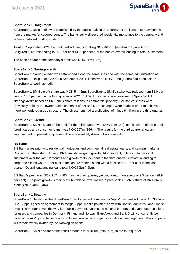

#### **SpareBank 1 Boligkreditt**

SpareBank 1 Boligkreditt was established by the banks making up SpareBank 1-alliansen to draw benefit from the market for covered bonds. The banks sell well-secured residential mortgages to the company and achieve reduced funding costs.

As at 30 September 2021 the bank had sold loans totalling NOK 46.7bn (44.2bn) to SpareBank 1 Boligkreditt, corresponding to 35.7 per cent (36.0 per cent) of the bank's overall lending to retail customers.

The bank's share of the company's profit was NOK 11m (11m).

#### **SpareBank 1 Næringskreditt**

SpareBank 1 Næringskreditt was established along the same lines and with the same administration as SpareBank 1 Boligkreditt. As at 30 September 2021, loans worth NOK 1.3bn (1.6bn) had been sold to SpareBank 1 Næringskreditt.

SpareBank 1 SMN's profit share was NOK 5m (5m). SpareBank 1 SMN's stake was reduced from 31.0 per cent to 14.5 per cent in the third quarter of 2021. BN Bank has become a co-owner of SpareBank 1 Næringskreditt based on BN Bank's share of loans to commercial property. BN Bank's shares were previously held by the owner banks on behalf of BN Bank. The changes were made in order to achieve a more well-ordered group structure. The divestment had a profit effect of minus 6 million in the third quarter.

#### **SpareBank 1 Kreditt**

SpareBank 1 SMN's share of the profit for the third quarter was NOK 10m (0m), and its share of the portfolio (credit cards and consumer loans) was NOK 997m (856m). The results for the third quarter show an improvement on preceding quarters. This is essentially down to loss reversals.

#### **BN Bank**

BN Bank gives priority to residential mortgages and commercial real estate loans, and its main market is Oslo and south-eastern Norway. BN Bank shows good growth, 14.2 per cent, in lending to personal customers over the last 12 months and growth of 3.2 per cent in the third quarter. Growth in lending to corporate clients was 1.1 per cent in the last 12 months along with a decline of 2.7 per cent in the last quarter. Overall outstanding loans total NOK 50bn (46bn).

BN Bank's profit was NOK 117m (100m) in the third quarter, yielding a return on equity of 9.5 per cent (8.9 per cent). The profit growth is mainly attributable to lower losses. SpareBank 1 SMN's share of BN Bank's profit is NOK 40m (34m).

#### **SpareBank 1 Betaling**

SpareBank 1 Betaling is the SpareBank 1 banks' parent company for Vipps' payment solutions. On 30 June 2021 Vipps signed an agreement to merge Vipps' mobile payments arm with Danish MobilePay and Finnish Pivo. The merger paves the way for mobile payments across the national borders and even better solutions for users and companies in Denmark, Finland and Norway. BankAxept and BankID will concurrently be hived off from Vipps to become a new Norwegian-owned company with its own management. This company will remain wholly owned by the Norwegian banks.

SpareBank 1 SMN's share of the deficit amounts to NOK 0m (minus1m) in the third quarter.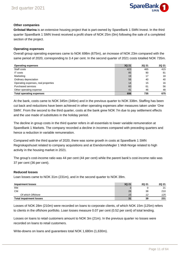

#### **Other companies**

**Grilstad Marina** is an extensive housing project that is part-owned by SpareBank 1 SMN Invest. In the third quarter SpareBank 1 SMN Invest received a profit share of NOK 25m (0m) following the sale of a completed section of the project.

#### **Operating expenses**

Overall group operating expenses came to NOK 698m (675m), an increase of NOK 23m compared with the same period of 2020, corresponding to 3.4 per cent. In the second quarter of 2021 costs totalled NOK 735m.

| <b>Operating expenses</b>           | 3Q 21 | <b>2Q 21</b> | <b>2Q 21</b> |
|-------------------------------------|-------|--------------|--------------|
| Staff costs                         | 423   | 465          | 415          |
| IT costs                            | 85    | 90           | 81           |
| Marketing                           | 19    | 17           | 18           |
| Ordinary depreciation               | 56    | 40           | 40           |
| Operating expenses, real properties | 14    | 15           | 16           |
| Purchased services                  | 60    | 61           | 56           |
| Other operating expense             | 41    | 46           | 48           |
| <b>Total operating expenses</b>     | 698   | 735          | 675          |

At the bank, costs came to NOK 345m (346m) and in the previous quarter to NOK 338m. Staffing has been cut back and reductions have been achieved in other operating expenses after measures taken under 'One SMN'. From the second to the third quarter, costs at the bank grew NOK 7m due to pay settlement effects and the use made of substitutes in the holiday period.

The decline in group costs in the third quarter refers in all essentials to lower variable remuneration at SpareBank 1 Markets. The company recorded a decline in incomes compared with preceding quarters and hence a reduction in variable remuneration.

Compared with the third quarter of 2020, there was some growth in costs at SpareBank 1 SMN Regnskapshuset related to company acquisitions and at EiendomsMegler 1 Midt-Norge related to high activity in the housing market in 2021.

The group's cost-income ratio was 44 per cent (44 per cent) while the parent bank's cost-income ratio was 37 per cent (36 per cent).

#### **Reduced losses**

Loan losses came to NOK 31m (231m), and in the second quarter to NOK 39m.

| <b>Impairment losses</b>       | 3Q 21          | 2Q 21 | <b>2Q 21</b> |
|--------------------------------|----------------|-------|--------------|
| <b>RM</b>                      |                |       | 21           |
| СM                             | 28             | 38    | 210          |
| Of which Offshore              | 15             | 12    | 125          |
| <b>Total impairment losses</b> | 3 <sub>1</sub> | 39    | 231          |

Losses of NOK 28m (210m) were recorded on loans to corporate clients, of which NOK 15m (125m) refers to clients in the offshore portfolio. Loan losses measure 0.07 per cent (0.52 per cent) of total lending.

Losses on loans to retail customers amount to NOK 3m (21m). In the previous quarter no losses were recorded on loans to retail customers.

Write-downs on loans and guarantees total NOK 1,680m (1,630m).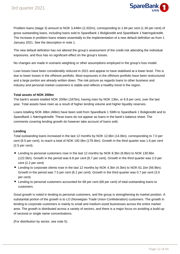

Problem loans (stage 3) amount to NOK 3,448m (2,332m), corresponding to 1.84 per cent (1.30 per cent) of gross outstanding loans, including loans sold to SpareBank 1 Boligkreditt and SpareBank 1 Næringskreditt. The increase in problem loans relates essentially to the implementation of a new default definition as from 1 January 2021. See the description in note 1.

The new default definition has not altered the group's assessment of the credit risk attending the individual exposures, and thus has no significant effect on the group's losses.

No changes are made in scenario weighting or other assumptions employed in the group's loss model.

Loan losses have been considerably reduced in 2021 and appear to have stabilised at a lower level. This is due to lower losses in the offshore portfolio. Most exposures in the offshore portfolio have been restructured and a large portion are already written down. The risk picture as regards loans to other business and industry and personal market customers is stable and reflects a healthy trend in the region.

#### **Total assets of NOK 200bn**

The bank's assets totalled NOK 200bn (187bn), having risen by NOK 13bn, or 6.9 per cent, over the last year. Total assets have risen as a result of higher lending volume and higher liquidity reserves.

Loans totalling NOK 48bn (46bn) have been sold from SpareBank 1 SMN to SpareBank 1 Boligkreditt and to SpareBank 1 Næringskreditt. These loans do not appear as loans in the bank's balance sheet. The comments covering lending growth do however take account of loans sold.

#### **Lending**

Total outstanding loans increased in the last 12 months by NOK 12.6bn (14.0bn), corresponding to 7.0 per cent (8.5 per cent), to reach a total of NOK 192.0bn (179.4bn). Growth in the third quarter was 1.6 per cent (2.5 per cent).

- Lending to personal customers rose in the last 12 months by NOK 8.3bn (9.8bn) to NOK 130.8bn (122.5bn). Growth in the period was 6.8 per cent (8.7 per cent). Growth in the third quarter was 2.0 per cent (2.2 per cent)
- Lending to corporate clients rose in the last 12 months by NOK 4.3bn (4.3bn) to NOK 61.1bn (56.9bn). Growth in the period was 7.5 per cent (8.1 per cent). Growth in the third quarter was 0.7 per cent (3.0 per cent)
- Lending to personal customers accounted for 68 per cent (68 per cent) of total outstanding loans to customers

Good growth is noted in lending to personal customers, and the group is strengthening its market position. A substantial portion of the growth is to LO (Norwegian Trade Union Confederation) customers. The growth in lending to corporate customers is mainly to small and medium-sized businesses across the entire market area. The growth is distributed across a variety of sectors, and there is a major focus on avoiding a build-up of sectoral or single name concentrations.

(For distribution by sector, see note 5).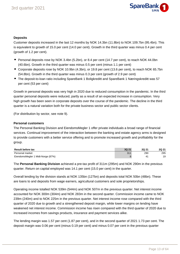

#### **Deposits**

Customer deposits increased in the last 12 months by NOK 14.3bn (11.8bn) to NOK 109.7bn (95.4bn). This is equivalent to growth of 15.0 per cent (14.0 per cent). Growth in the third quarter was minus 0.4 per cent (growth of 1.2 per cent).

- Personal deposits rose by NOK 3.4bn (5.2bn), or 8.4 per cent (14.7 per cent), to reach NOK 44.0bn (40.6bn). Growth in the third quarter was minus 0.5 per cent (minus 1.1 per cent)
- Corporate deposits rose by NOK 10.9bn (4.3bn), or 19.8 per cent (13.6 per cent), to reach NOK 65.7bn (54.8bn). Growth in the third quarter was minus 0.3 per cent (growth of 2.9 per cent)
- The deposit-to-loan ratio including SpareBank 1 Boligkreditt and SpareBank 1 Næringskreditt was 57 per cent (53 per cent)

Growth in personal deposits was very high in 2020 due to reduced consumption in the pandemic. In the third quarter personal deposits were reduced, partly as a result of an expected increase in consumption. Very high growth has been seen in corporate deposits over the course of the pandemic. The decline in the third quarter is a natural variation both for the private business sector and public sector clients.

(For distribution by sector, see note 9).

#### **Personal customers**

The Personal Banking Division and EiendomsMegler 1 offer private individuals a broad range of financial services. Continual improvement of the interaction between the banking and estate agency arms is designed to provide customers with a better service offering and to promote increased growth and profitability for the group.

| <b>Result before tax</b>          | 3Q 21 | 2Q 21 | 2Q 21 |
|-----------------------------------|-------|-------|-------|
| Personal market                   | 311   | 290   | 295   |
| EiendomsMegler 1 Midt-Norge (87%) |       |       | 19    |

The **Personal Banking Division** achieved a pre-tax profit of 311m (295m) and NOK 290m in the previous quarter. Return on capital employed was 14.1 per cent (15.0 per cent) in the quarter.

Overall lending by the division stands at NOK 135bn (127bn) and deposits total NOK 50bn (48bn). These are loans to and deposits from wage earners, agricultural customers and sole proprietorships.

Operating income totalled NOK 539m (544m) and NOK 507m in the previous quarter. Net interest income accounted for NOK 300m (304m) and NOK 283m in the second quarter. Commission income came to NOK 239m (240m) and to NOK 225m in the previous quarter. Net interest income rose compared with the third quarter of 2020 due to growth and a strengthened deposit margin, while lower margins on lending have weakened net interest income. Commission income has risen compared with the third quarter of 2020 due to increased incomes from savings products, insurance and payment services alike.

The lending margin was 1.57 per cent (1.87 per cent), and in the second quarter of 2021 1.73 per cent. The deposit margin was 0.06 per cent (minus 0.19 per cent) and minus 0.07 per cent in the previous quarter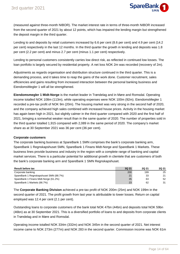

(measured against three-month NIBOR). The market interest rate in terms of three-month NIBOR increased from the second quarter of 2021 by about 12 points, which has impaired the lending margin but strengthened the deposit margin in the third quarter.

Lending to and deposits by retail customers increased by 6.6 per cent (8.6 per cent) and 4.9 per cent (14.2 per cent) respectively in the last 12 months. In the third quarter the growth in lending and deposits was 1.8 per cent (2.2 per cent) and minus 2.7 per cent (minus 1.1 per cent) respectively.

Lending to personal customers consistently carries low direct risk, as reflected in continued low losses. The loan portfolio is largely secured by residential property. A net loss NOK 2m was recorded (recovery of 2m).

Adjustments as regards organisation and distribution structure continued in the third quarter. This is a demanding process, and it takes time to reap the gains of the work done. Customer recruitment, sales efficiencies and gains resulting from increased interaction between the personal banking business and EiendomsMegler 1 will all be strengthened.

**Eiendomsmegler 1 Midt-Norge** is the market leader in Trøndelag and in Møre and Romsdal. Operating income totalled NOK 108m (113m), while operating expenses were NOK 100m (92m). EiendomsMegler 1 recorded a pre-tax profit of NOK 9m (20m). The housing market was very strong in the second half of 2020, and the company achieved high sales combined with increased house prices. Activity in the housing market has again been high in 2021, but slightly calmer in the third quarter compared with 2020 and the first half of 2021, bringing a somewhat weaker result than in the same quarter of 2020. The number of properties sold in the third quarter totalled 1,915 compared with 2,089 in the same period of 2020. The company's market share as at 30 September 2021 was 36 per cent (36 per cent).

#### **Corporate customers**

The corporate banking business at SpareBank 1 SMN comprises the bank's corporate banking arm, SpareBank 1 Regnskapshuset SMN, SpareBank 1 Finans Midt-Norge and SpareBank 1 Markets. These business lines provide business and industry in the region with a complete range of banking and capital market services. There is a particular potential for additional growth in clientele that are customers of both the bank's corporate banking arm and SpareBank 1 SMN Regnskapshuset.

| <b>Result before tax</b>               | 3Q 21 | <b>2Q 21</b> | <b>2Q 21</b> |
|----------------------------------------|-------|--------------|--------------|
| Corporate banking                      | 200   | 199          | 25           |
| SpareBank 1 Regnskapshuset SMN (88.7%) | 21    | 33           | 21           |
| SpareBank 1 Finans Midt-Norge (61.2%)  | 35    | 63           | 52           |
| SpareBank 1 Markets (66.7%)            | 23    | 62           | 31           |

The **Corporate Banking Division** achieved a pre-tax profit of NOK 200m (25m) and NOK 199m in the second quarter of 2021. The profit growth from last year is attributable to lower losses. Return on capital employed was 12.4 per cent (2.1 per cent).

Outstanding loans to corporate customers of the bank total NOK 47bn (44bn) and deposits total NOK 59bn (46bn) as at 30 September 2021. This is a diversified portfolio of loans to and deposits from corporate clients in Trøndelag and in Møre and Romsdal.

Operating income totalled NOK 334m (332m) and NOK 345m in the second quarter of 2021. Net interest income came to NOK 273m (277m) and NOK 283 in the second quarter. Commission income was NOK 61m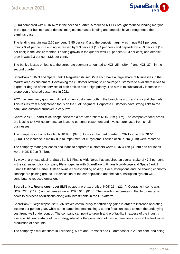

(56m) compared with NOK 62m in the second quarter. A reduced NIBOR brought reduced lending margins in the quarter but increased deposit margins. Increased lending and deposits have strengthened the earnings base.

The lending margin was 2.60 per cent (2.85 per cent) and the deposit margin was minus 0.31 per cent (minus 0.24 per cent). Lending increased by 9.3 per cent (10.4 per cent) and deposits by 26.9 per cent (14.5 per cent) in the last 12 months. Lending growth in the quarter was 1.0 per cent (3.3 per cent) and deposit growth was 2.3 per cent (3.8 per cent).

The bank's losses on loans to the corporate segment amounted to NOK 25m (204m) and NOK 37m in the second quarter.

SpareBank 1 SMN and SpareBank 1 Regnskapshuset SMN each have a large share of businesses in the market area as customers. Developing the customer offering to encourage customers to avail themselves to a greater degree of the services of both entities has a high priority. The aim is to substantially increase the proportion of shared customers in 2021.

2021 has seen very good recruitment of new customers both in the branch network and in digital channels. This results from a heightened focus on the SMB segment. Corporate customers have strong links to the bank, and customer turnover is very low.

**SpareBank 1 Finans Midt-Norge** delivered a pre-tax profit of NOK 35m (71m). The company's focal areas are leasing to SMB customers, car loans to personal customers and invoice purchases from small businesses.

The company's income totalled NOK 93m (97m). Costs in the third quarter of 2021 came to NOK 51m (33m). The increase is mainly due to impairment of IT-systems. Losses of NOK 7m (12m) were recorded.

The company manages leases and loans to corporate customers worth NOK 4.1bn (3.9bn) and car loans worth NOK 5.9bn (5.4bn).

By way of a private placing, SpareBank 1 Finans Midt-Norge has acquired an overall stake of 47.2 per cent in the car subscription company Fleks together with SpareBank 1 Finans Nord-Norge and SpareBank 1 Finans Østlandet. Bertel O Steen owns a corresponding holding. Car subscriptions and the sharing economy concept are gaining ground. Electrification of the car population and the car subscription system will contribute to reduced emissions.

**SpareBank 1 Regnskapshuset SMN** posted a pre-tax profit of NOK 21m (21m). Operating income was NOK 122m (112m) and expenses were NOK 101m (91m). The growth in expenses in the third quarter is down to business acquisitions along with investments in the IT platform.

SpareBank 1 Regnskapshuset SMN strives continuously for efficiency gains in order to increase operating income per person-year, while at the same time maintaining a strong focus on costs to keep the underlying cost trend well under control. The company can point to growth and profitability in excess of the industry average. At centre-stage of the strategy ahead is the generation of new income flows beyond the traditional production of accounts.

The company's market share in Trøndelag, Møre and Romsdal and Gudbrandsdal is 25 per cent, and rising.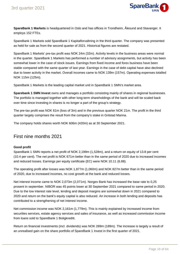

**SpareBank 1 Markets** is headquartered in Oslo and has offices in Trondheim, Ålesund and Stavanger. It employs 152 FTEs.

SpareBank 1 Markets sold SpareBank 1 Kapitalforvaltning in the third quarter. The company was presented as held for sale as from the second quarter of 2021. Historical figures are restated.

SpareBank 1 Markets' pre-tax profit was NOK 24m (32m). Activity levels in the business areas were normal in the quarter. SpareBank 1 Markets has performed a number of advisory assignments, but activity has been somewhat lower in the case of stock issues. Earnings from fixed income and forex business have been stable compared with the same quarter of last year. Earnings in the case of debt capital have also declined due to lower activity in the market. Overall incomes came to NOK 139m (157m). Operating expenses totalled NOK 115m (125m).

SpareBank 1 Markets is the leading capital market unit in SpareBank 1 SMN's market area.

**Sparebank 1 SMN Invest** owns and manages a portfolio consisting mainly of shares in regional businesses. The portfolio is managed together with other long-term shareholdings of the bank and will be scaled back over time since investing in shares is no longer a part of the group's strategy.

The pre-tax profit was NOK 61m (loss of 3m) and in the previous quarter NOK 21m. The profit in the third quarter largely comprises the result from the company's stake in Grilstad Marina.

The company holds shares worth NOK 606m (420m) as at 30 September 2021.

# First nine months 2021

#### **Good profit**

SpareBank 1 SMN reports a net profit of NOK 2,199m (1,528m), and a return on equity of 13.8 per cent (10.4 per cent). The net profit is NOK 671m better than in the same period of 2020 due to increased incomes and reduced losses. Earnings per equity certificate (EC) were NOK 10.11 (6.88).

The operating profit after losses was NOK 1,877m (1,060m) and NOK 827m better than in the same period of 2020, due to increased incomes, no cost growth at the bank and reduced losses.

Net interest income came to NOK 2,073m (2,071m). Norges Bank has increased the base rate to 0,25 prosent in september. NIBOR was 45 points lower at 30 September 2021 compared to same period in 2020. Due to the low interest rate level, lending and deposit margins are somewhat down in 2021 compared to 2020 and return on the bank's equity capital is also reduced. An increase in both lending and deposits has contributed to a strengthening of net interest income.

Net commission income was NOK 2,161m (1,779m). This is mainly explained by increased income from securities services, estate agency services and sales of insurance, as well as increased commission income from loans sold to SpareBank 1 Boligkreditt.

Return on financial investments (incl. dividends) was NOK 289m (189m). The increase is largely a result of an unrealised gain on the share portfolio of SpareBank 1 Invest in the first quarter of 2021.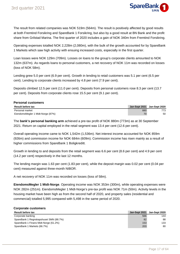

The result from related companies was NOK 519m (564m). The result is positively affected by good results at both Fremtind Forsikring and SpareBank 1 Forsikring, but also by a good result at BN Bank and the profit share from Grilstad Marina. The first quarter of 2020 includes a gain of NOK 340m from Fremtind Forsikring.

Operating expenses totalled NOK 2,228m (2,080m), with the bulk of the growth accounted for by SpareBank 1 Markets which saw high activity with ensuing increased costs, especially in the first quarter.

Loan losses were NOK 129m (709m). Losses on loans to the group's corporate clients amounted to NOK 132m (637m). As regards loans to personal customers, a net recovery of NOK 11m was recorded on losses (loss of NOK 58m).

Lending grew 5.0 per cent (6.9 per cent). Growth in lending to retail customers was 5.1 per cent (6.5 per cent). Lending to corporate clients increased by 4.8 per cent (7.9 per cent).

Deposits climbed 12.5 per cent (11.0 per cent). Deposits from personal customers rose 8.3 per cent (13.7 per cent). Deposits from corporate clients rose 15.5 per cent (9.1 per cent).

#### **Personal customers**

| <b>Result before tax</b>          |     | Jan-Sept 2021 Jan-Sept 2020 |
|-----------------------------------|-----|-----------------------------|
| Personal market                   | 880 | 772<br>د ا                  |
| EiendomsMegler 1 Midt-Norge (87%) | 70  | 50                          |

The **bank's personal banking arm** achieved a pre-tax profit of NOK 880m (773m) as at 30 September 2021. Return on capital employed in the retail segment was 13.4 per cent (12.6 per cent).

Overall operating income came to NOK 1,542m (1,536m). Net interest income accounted for NOK 859m (926m) and commission income for NOK 684m (609m). Commission income has risen mainly as a result of higher commissions from SpareBank 1 Boligkreditt.

Growth in lending to and deposits from the retail segment was 6.6 per cent (8.6 per cent) and 4.9 per cent (14.2 per cent) respectively in the last 12 months.

The lending margin was 1.63 per cent (1.83 per cent), while the deposit margin was 0.02 per cent (0.04 per cent) measured against three-month NIBOR.

A net recovery of NOK 11m was recorded on losses (loss of 58m).

**EiendomsMegler 1 Midt-Norge**. Operating income was NOK 353m (300m), while operating expenses were NOK 282m (251m). EiendomsMegler 1 Midt-Norge's pre-tax profit was NOK 71m (50m). Activity levels in the housing market have been high as from the second half of 2020, and property sales (residential and commercial) totalled 5,995 compared with 5,498 in the same period of 2020.

#### **Corporate customers**

| <b>Result before tax</b>               |     | Jan-Sept 2021 Jan-Sept 2020 |
|----------------------------------------|-----|-----------------------------|
| Corporate banking                      | 566 | 144                         |
| SpareBank 1 Regnskapshuset SMN (88.7%) | 82  | 88                          |
| SpareBank 1 Finans Midt-Norge (61.2%)  | 153 | 133                         |
| SpareBank 1 Markets (66.7%)            | 203 | 80                          |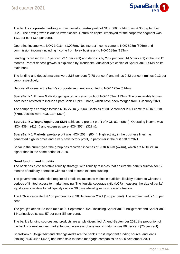

The bank's **corporate banking arm** achieved a pre-tax profit of NOK 566m (144m) as at 30 September 2021. The profit growth is due to lower losses. Return on capital employed for the corporate segment was 11.1 per cent (3.4 per cent).

Operating income was NOK 1,016m (1,097m). Net interest income came to NOK 828m (896m) and commission income (including income from forex business) to NOK 188m (183m).

Lending increased by 8.7 per cent (9.1 per cent) and deposits by 27.2 per cent (14.5 per cent) in the last 12 months. Part of deposit growth is explained by Trondheim Municipality's choice of SpareBank 1 SMN as its main bank.

The lending and deposit margins were 2.65 per cent (2.78 per cent) and minus 0.32 per cent (minus 0.13 per cent) respectively.

Net overall losses in the bank's corporate segment amounted to NOK 125m (614m).

**SpareBank 1 Finans Midt-Norge** reported a pre-tax profit of NOK 153m (133m). The comparable figures have been restated to include SpareBank 1 Spire Finans, which have been merged from 1 January 2021.

The company's earnings totalled NOK 273m (255m). Costs as at 30 September 2021 came to NOK 106m (67m). Losses were NOK 13m (36m).

**SpareBank 1 Regnskapshuset SMN** achieved a pre-tax profit of NOK 82m (88m). Operating income was NOK 439m (415m) and expenses were NOK 357m (327m).

**SpareBank 1 Markets**' pre-tax profit was NOK 203m (80m). High activity in the business lines has generated high incomes and a very satisfactory profit, in particular in the first half of 2021.

So far in the current year the group has recorded incomes of NOK 689m (474m), which are NOK 215m higher than in the same period of 2020.

#### **Good funding and liquidity**

The bank has a conservative liquidity strategy, with liquidity reserves that ensure the bank's survival for 12 months of ordinary operation without need of fresh external funding.

The government authorities require all credit institutions to maintain sufficient liquidity buffers to withstand periods of limited access to market funding. The liquidity coverage ratio (LCR) measures the size of banks' liquid assets relative to net liquidity outflow 30 days ahead given a stressed situation.

The LCR is calculated at 163 per cent as at 30 September 2021 (140 per cent). The requirement is 100 per cent.

The group's deposit-to-loan ratio at 30 September 2021, including SpareBank 1 Boligkreditt and SpareBank 1 Næringskreditt, was 57 per cent (53 per cent).

The bank's funding sources and products are amply diversified. At end-September 2021 the proportion of the bank's overall money market funding in excess of one year's maturity was 89 per cent (75 per cent).

SpareBank 1 Boligkreditt and Næringskreditt are the bank's most important funding source, and loans totalling NOK 48bn (46bn) had been sold to these mortgage companies as at 30 September 2021.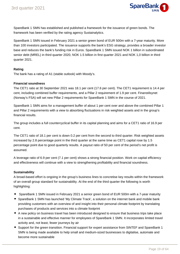

SpareBank 1 SMN has established and published a framework for the issuance of green bonds. The framework has been verified by the rating agency Sustainalytics.

SpareBank 1 SMN issued in February 2021 a senior green bond of EUR 500m with a 7-year maturity. More than 100 investors participated. The issuance supports the bank's ESG strategy, provides a broader investor base and reduces the bank's funding risk in Euros. SpareBank 1 SMN issued NOK 1 billion in subordinated senior debt (MREL) in third quarter 2020, NOK 1.5 billion in first quarter 2021 and NOK 1,0 billion in third quarter 2021.

#### **Rating**

The bank has a rating of A1 (stable outlook) with Moody's.

#### **Financial soundness**

The CET1 ratio at 30 September 2021 was 18.1 per cent (17.6 per cent). The CET1 requirement is 14.4 per cent, including combined buffer requirements, and a Pillar 2 requirement of 1.9 per cent. Finanstilsynet (Norway's FSA) will set new Pillar 2 requirements for SpareBank 1 SMN in the course of 2021.

SpareBank 1 SMN aims for a management buffer of about 1 per cent over and above the combined Pillar 1 and Pillar 2 requirements with a view to absorbing fluctuations in risk weighted assets and in the group's financial results.

The group includes a full countercyclical buffer in its capital planning and aims for a CET1 ratio of 16.9 per cent.

The CET1 ratio of 18.1 per cent is down 0.2 per cent from the second to third quarter. Risk weighted assets increased by 2.8 percentage point in the third quarter at the same time as CET1 capital rose by 1.5 percentage point due to good quarterly results. A payout ratio of 50 per cent of the period's net profit is assumed.

A leverage ratio of 6.9 per cent (7.1 per cent) shows a strong financial position. Work on capital efficiency and effectiveness will continue with a view to strengthening profitability and financial soundness.

#### **Sustainability**

A broad-based effort is ongoing in the group's business lines to concretise key results within the framework of an overall group standard for sustainability. At the end of the third quarter the following is worth highlighting:

- SpareBank 1 SMN issued in February 2021 a senior green bond of EUR 500m with a 7-year maturity
- SpareBank 1 SMN has launched 'My Climate Track', a solution on the internet bank and mobile bank providing customers with an overview of and insight into their personal climate footprint by translating purchases of products and services into a climate footprint
- A new policy on business travel has been introduced designed to ensure that business trips take place in a sustainable and effective manner for employees of SpareBank 1 SMN. It incorporates limited travel activity and, not least, fewer journeys by air
- Support for the green transition. Financial support for expert assistance from SINTEF and SpareBank 1 SMN is being made available to help small and medium-sized businesses to digitalise, automate and become more sustainable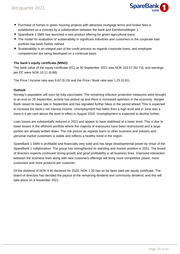

- **Purchase of homes in green housing projects with attractive mortgage terms and broker fees is** established as a concept by a collaboration between the bank and EiendomsMegler 1
- SpareBank 1 SMN has launched a new product offering for green agricultural loans
- The model for evaluation of sustainability in significant industries and customers in the corporate loan portfolio has been further refined
- Sustainability is an integral part of the credit process as regards corporate loans, and employee competencies are being developed on a continual basis

#### **The bank's equity certificate (MING)**

The book value of the equity certificate (EC) at 30 September 2021 was NOK 103.57 (92.73), and earnings per EC were NOK 10.11 (6.88).

The Price / Income ratio was 9.62 (9.19) and the Price / Book ratio was 1.25 (0.91).

#### **Outlook**

Norway's population will soon be fully vaccinated. The remaining infection protection measures were brought to an end on 25 September, activity has picked up and there is increased optimism in the economy. Norges Bank raised its base rate in September and has signalled further hikes in the period ahead. This is expected to increase the bank's net interest income. Unemployment has fallen from a high level and in June was a mere 0.4 per cent above the level in effect in August 2019. Unemployment is expected to decline further.

Loan losses are substantially reduced in 2021 and appear to have stabilised at a lower level. This is due to lower losses in the offshore portfolio where the majority of exposures have been restructured and a large portion are already written down. The risk picture as regards loans to other business and industry and personal market customers is stable and reflects a healthy trend in the region.

SpareBank 1 SMN is profitable and financially very solid and has large developmental power by virtue of the SpareBank 1 collaboration. The group has strengthened its standing and market position in 2021. The board of directors expects continued strong growth and good profitability in all business lines. Improved interaction between the business lines along with new customers offerings will bring more competitive power, more customers and more products per customer.

Of the dividend of NOK 4.40 declared for 2020, NOK 1.30 has so far been paid per equity certificate. The board of directors has decided the payout of the remaining dividend and community dividend, and this will take place on 9 November 2021.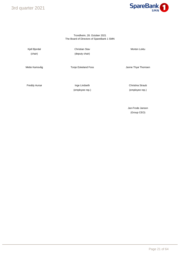3rd quarter 2021



#### Trondheim, 28. October 2021 The Board of Directors of SpareBank 1 SMN

Kjell Bjordal **Morten Loktu** Christian Stav **Morten Loktu** Morten Loktu (chair) (deputy chair)

Mette Kamsvåg **Mette Kamsvåg** Tonje Eskeland Foss **Mette Kamsvåg** Anne Thyø Thomsen

Freddy Aursø **Inge Lindseth** Christina Straub

(employee rep.) (employee rep.)

Jan-Frode Janson (Group CEO)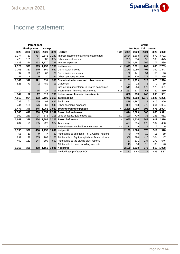

# Income statement

|                |                      | <b>Parent bank</b> |                 |     |                                                          |             |       |          | Group         |                |       |
|----------------|----------------------|--------------------|-----------------|-----|----------------------------------------------------------|-------------|-------|----------|---------------|----------------|-------|
|                | <b>Third quarter</b> |                    | <b>Jan-Sept</b> |     |                                                          |             |       | Jan-Sept | Third quarter |                |       |
| 2020           | 2020                 | 2021               | 2020            |     | 2021 (NOKm)                                              | <b>Note</b> | 2021  | 2020     | 2021          | 2020           | 2020  |
| 3,274          | 753                  | 767                | 2,541           |     | 2,240 Interest income effective interest method          |             | 2,584 | 2,868    | 883           | 872            | 3,722 |
| 478            | 101                  | 91                 | 387             | 287 | Other interest income                                    |             | 285   | 384      | 90            | 100            | 475   |
| 1,423          | 274                  | 263                | 1,170           | 788 | Interest expenses                                        |             | 796   | 1,181    | 266           | 277            | 1,439 |
| 2,329          | 579                  | 595                | 1.758           |     | 1,739 Net interest                                       | 10          | 2,073 | 2,071    | 707           | 695            | 2,759 |
| 1,205          | 330                  | 340                | 869             |     | 969 Commission income                                    |             | 1,179 | 1,050    | 405           | 399            | 1,443 |
| 97             | 26                   | 27                 | 68              |     | 69 Commission expenses                                   |             | 152   | 141      | 54            | 50             | 196   |
| 41             | 8                    | 9                  | 30              |     | 31 Other operating income                                |             | 1,134 | 870      | 272           | 277            | 1,269 |
| 1,149          | 312                  | 321                | 831             |     | 930 Commission income and other income                   | 11          | 2,161 | 1,779    | 623           | 625            | 2,516 |
| 528            | 73                   | $\overline{2}$     | 489             |     | 713 Dividends                                            |             | 21    | 12       | $\mathbf{1}$  | $\overline{2}$ | 39    |
| $\overline{a}$ | $\overline{a}$       |                    |                 |     | Income from investment in related companies              | 3           | 519   | 564      | 179           | 170            | 681   |
| 14             | $-1$                 | 15                 | 27              |     | -13 Net return on financial investments<br>3,13          |             | 267   | 177      | 68            | 32             | 230   |
| 542            | 72                   | 17                 | 516             |     | 700 Net return on financial investments                  |             | 808   | 753      | 248           | 205            | 951   |
| 4,019          | 964                  | 933                | 3,106           |     | 3.369 Total income                                       |             | 5,042 | 4,603    | 1,578         | 1,525          | 6,225 |
| 732            | 161                  | 169                | 492             |     | 487 Staff costs                                          |             | 1,419 | 1,297    | 423           | 415            | 1,850 |
| 744            | 185                  | 176                | 560             |     | 540 Other operating expenses                             |             | 809   | 783      | 275           | 261            | 1,054 |
| 1,477          | 346                  | 345                | 1.051           |     | 1,027 Total operating expenses                           | 12          | 2,228 | 2,080    | 698           | 675            | 2,904 |
| 2,543          | 618                  | 588                | 2.054           |     | 2.342 Result before losses                               |             | 2,814 | 2,523    | 880           | 850            | 3,321 |
| 902            | 219                  | 24                 | 672             |     | 115 Loss on loans, guarantees etc.                       | 6,7         | 129   | 709      | 31            | 231            | 951   |
| 1,641          | 399                  | 564                | 1.382           |     | 2.228 Result before tax                                  | 3           | 2,685 | 1,814    | 849           | 619            | 2,370 |
| 284            | 79                   | 155                | 228             |     | 387 Tax charge                                           |             | 497   | 295      | 175           | 102            | 400   |
| $\blacksquare$ | $\overline{a}$       |                    |                 |     | Result investment held for sale, after tax               | 2, 3        | 11    | 9        | $\mathbf{1}$  | 2              | 9     |
| 1,356          | 320                  | 408                | 1,155           |     | 1,841 Net profit                                         |             | 2,199 | 1,528    | 675           | 519            | 1,978 |
| 56             | 10                   | 9                  | 47              |     | 39 Attributable to additional Tier 1 Capital holders     |             | 40    | 49       | 10            | 11             | 59    |
| 831            | 198                  | 255                | 708             |     | 1,153 Attributable to Equity capital certificate holders |             | 1,308 | 890      | 416           | 304            | 1,147 |
| 469            | 112                  | 144                | 399             |     | 650 Attributable to the saving bank reserve              |             | 737   | 501      | 234           | 172            | 646   |
|                |                      |                    |                 |     | Attributable to non-controlling interests                |             | 113   | 88       | 15            | 33             | 126   |
| 1,356          | 320                  | 408                | 1,155           |     | 1,841 Net profit                                         |             | 2,199 | 1,528    | 675           | 519            | 1,978 |
|                |                      |                    |                 |     | Profit/diluted profit per ECC                            | 19          | 10.11 | 6.88     | 3.22          | 2.35           | 8.87  |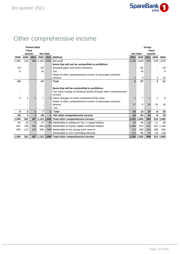

# Other comprehensive income

|       | <b>Parent bank</b> |      |                              |                 |                                                                   | Group          |                |              |                |                          |  |
|-------|--------------------|------|------------------------------|-----------------|-------------------------------------------------------------------|----------------|----------------|--------------|----------------|--------------------------|--|
|       | <b>Third</b>       |      |                              |                 |                                                                   |                |                | <b>Third</b> |                |                          |  |
|       | quarter            |      |                              | <b>Jan-Sept</b> |                                                                   | Jan-Sept       |                | quarter      |                |                          |  |
| 2020  | 2020               | 2021 | 2020                         |                 | 2021 (NOKm)                                                       | 2021           | 2020           | 2021         | 2020           | 2020                     |  |
| 1,356 | 320                |      |                              |                 | 408 1,155 1,841 Net profit                                        | 2,199 1,528    |                | 675          |                | 519 1,978                |  |
|       |                    |      |                              |                 | Items that will not be reclassified to profit/loss                |                |                |              |                |                          |  |
| $-34$ |                    |      | $-62$                        |                 | - Actuarial gains and losses pensions                             |                | $-62$          |              |                | -34                      |  |
| 8     |                    |      | 16                           |                 | - Tax                                                             |                | 16             |              |                | 8                        |  |
|       |                    |      |                              |                 | Share of other comprehensive income of associates and joint       |                |                |              |                |                          |  |
|       |                    |      |                              |                 | - venture                                                         | $\overline{2}$ | 9              |              | 3              | 15                       |  |
| $-25$ |                    |      | $-47$                        |                 | - Total                                                           | $\overline{2}$ | $-37$          |              | 3              | $-11$                    |  |
|       |                    |      |                              |                 |                                                                   |                |                |              |                |                          |  |
|       |                    |      |                              |                 | Items that will be reclassified to profit/loss                    |                |                |              |                |                          |  |
|       |                    |      |                              |                 | Fair value change on financial assets through other comprehensive |                |                |              |                |                          |  |
|       |                    |      |                              |                 | lincome                                                           |                |                |              |                |                          |  |
| 9     | $\overline{2}$     | $-1$ | $\overline{7}$               |                 | -1 Value changes on loans measured at fair value                  | $-1$           | $\overline{7}$ | $-1$         | $\overline{2}$ | 9                        |  |
|       |                    |      |                              |                 | Share of other comprehensive income of associates and joint       |                |                |              |                |                          |  |
|       |                    |      |                              |                 | - venture                                                         | $-17$          | 6              | 25           | $-10$          | 16                       |  |
|       |                    |      | $\qquad \qquad \blacksquare$ | -               | Tax                                                               |                |                |              |                | $\overline{\phantom{a}}$ |  |
| 9     | 2                  | $-1$ | 7                            | $-1$            | Total                                                             | $-18$          | 13             | 24           | -8             | 25                       |  |
| $-16$ | $\overline{2}$     | $-1$ | $-40$                        | $-1$            | Net other comprehensive income                                    | $-16$          | $-24$          | 24           | -6             | 15                       |  |
| 1,340 | 321                |      |                              |                 | 407 1,115 1,840 Total other comprehensive income                  | 2,183 1,503    |                | 699          |                | 513 1,993                |  |
| 56    | 10                 | 9    | 47                           |                 | 39 Attributable to additional Tier 1 Capital holders              | 40             | 49             | 10           | 11             | 59                       |  |
| 821   | 199                | 255  | 683                          |                 | 1,152 Attributable to Equity capital certificate holders          | 1,298          | 874            | 431          | 301            | 1,156                    |  |
| 463   | 112                | 143  | 385                          |                 | 649 Attributable to the saving bank reserve                       | 723            | 493            | 243          | 169            | 652                      |  |
|       |                    |      |                              |                 | Attributable to non-controlling interests                         | 113            | 88             | 15           | 33             | 126                      |  |
| 1,340 | 321                |      |                              |                 | 407 1,115 1,840 Total other comprehensive Income                  | 2,183 1,503    |                | 699          |                | 513 1,993                |  |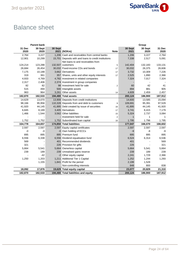

# Balance sheet

|         | <b>Parent bank</b> |         |                                                       |                |         | Group   |         |
|---------|--------------------|---------|-------------------------------------------------------|----------------|---------|---------|---------|
| 31 Dec  | 30 Sept            | 30 Sept |                                                       |                | 30 Sept | 30 Sept | 31 Dec  |
| 2020    | 2020               |         | 2021 (NOKm)                                           | <b>Note</b>    | 2021    | 2020    | 2020    |
| 2,764   | 3,227              |         | 1.206 Cash and receivables from central banks         |                | 1,206   | 3,227   | 2,764   |
| 12,901  | 10,299             |         | 15,701 Deposits with and loans to credit institutions |                | 7,338   | 2,517   | 5,091   |
|         |                    |         | Net loans to and receivables from                     |                |         |         |         |
| 124,214 | 123,288            |         | 132,507 customers                                     | 5              | 142,404 | 132,183 | 133,131 |
| 26,684  | 26,454             |         | 30,032 Fixed-income CDs and bonds                     | 17             | 30,032  | 26,375  | 26,606  |
| 7,175   | 10,188             |         | 3,662 Derivatives                                     | 17             | 3,732   | 10,309  | 7,226   |
| 319     | 361                |         | 357 Shares, units and other equity interests          | 17             | 2,525   | 1,890   | 2,366   |
| 4,933   | 4,769              |         | 4,782 Investment in related companies                 |                | 7,324   | 7,017   | 7,324   |
| 2,317   | 2,406              |         | 2,374 Investment in group companies                   |                |         |         |         |
| 82      | 82                 |         | 98 Investment held for sale                           | $\overline{2}$ | 60      | 42      | 41      |
| 515     | 494                |         | 500 Intangible assets                                 |                | 894     | 881     | 905     |
| 963     | 964                |         | 3,261 Other assets                                    | 14             | 4,609   | 2,459   | 2,457   |
| 182,870 | 182,533            |         | 194,480 Total assets                                  |                | 200,124 | 186,900 | 187,912 |
| 14,629  | 13,070             |         | 13,908 Deposits from credit institutions              |                | 14,600  | 13,585  | 15,094  |
| 98,166  | 95,956             |         | 110,328 Deposits from and debt to customers           | 9              | 109,691 | 95,391  | 97,529  |
| 41,920  | 44,145             |         | 41,895 Debt created by issue of securities            | 16             | 41,895  | 44,145  | 41,920  |
| 6,845   | 8,189              |         | 3,405 Derivatives                                     | 17             | 3,741   | 8,415   | 7,179   |
| 1,466   | 1,544              |         | 3,562 Other liabilities                               | 15             | 5,324   | 2,737   | 3,084   |
|         |                    |         | - Investment held for sale                            | $\overline{2}$ | 1       | 1       |         |
| 1,752   | 1,752              |         | 1,752 Subordinated loan capital                       | 16             | 1.795   | 1.796   | 1.795   |
| 164,778 | 164,657            |         | 174,850 Total liabilities                             |                | 177,047 | 166,070 | 166,602 |
| 2,597   | 2,597              |         | 2,597 Equity capital certificates                     |                | 2,597   | 2,597   | 2,597   |
| $-0$    | $-0$               |         | -0 Own holding of ECCs                                |                | $-9$    | -8      | -9      |
| 895     | 895                |         | 895 Premium fund                                      |                | 895     | 895     | 895     |
| 6,556   | 6,338              |         | 6,556 Dividend equalisation fund                      |                | 6,524   | 6,314   | 6,536   |
| 569     |                    |         | 401 Recommended dividends                             |                | 401     |         | 569     |
| 321     |                    |         | 226 Provision for gifts                               |                | 226     |         | 321     |
| 5,664   | 5,541              |         | 5,664 Ownerless capital                               |                | 5,664   | 5,541   | 5,664   |
| 239     | 189                |         | 239 Unrealised gains reserve                          |                | 239     | 189     | 239     |
|         | $-42$              |         | -2 Other equity capital                               |                | 2,241   | 1,729   | 2,366   |
| 1,250   | 1,203              |         | 1,211 Additional Tier 1 Capital                       |                | 1,252   | 1,244   | 1,293   |
|         | 1,155              |         | 1,841 Profit for the period                           |                | 2,199   | 1,528   |         |
|         |                    |         | Non-controlling interests                             |                | 848     | 800     | 838     |
| 18,092  | 17,876             |         | 19,629 Total equity capital                           |                | 23,077  | 20,829  | 21,310  |
| 182,870 | 182,533            |         | 194,480 Total liabilities and equity                  |                | 200,124 | 186,900 | 187,912 |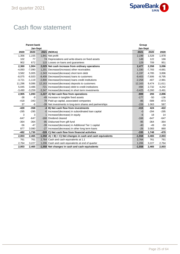

# Cash flow statement

| <b>Parent bank</b> |          |          |                                                                | Group    |          |          |
|--------------------|----------|----------|----------------------------------------------------------------|----------|----------|----------|
|                    |          | Jan-Sept |                                                                | Jan-Sept |          |          |
| 2020               | 2020     |          | 2021 (NOKm)                                                    | 2021     | 2020     | 2020     |
| 1,356              | 1,155    |          | 1,841 Net profit                                               | 2,199    | 1,528    | 1,978    |
| 102                | 77       |          | 74 Depreciations and write-downs on fixed assets               | 149      | 122      | 166      |
| 902                | 672      |          | 115 Losses on loans and guarantees                             | 129      | 709      | 951      |
| 2,360              | 1,904    |          | 2,029 Net cash increase from ordinary operations               | 2,477    | 2,358    | 3,096    |
| $-4,093$           | $-7,090$ |          | 1,201 Decrease/(increase) other receivables                    | 1,330    | $-7,783$ | $-4,681$ |
| 3,582              | 5,005    |          | -1,343 Increase/(decrease) short term debt                     | $-1,197$ | 4,785    | 3,896    |
| $-8,075$           | $-6,920$ |          | -8,408 Decrease/(increase) loans to customers                  | $-9,403$ | $-7,606$ | $-8,795$ |
| $-3,721$           | $-1,119$ |          | -2,800 Decrease/(increase) loans credit institutions           | $-2,258$ | $-407$   | $-2,981$ |
| 11,296             | 9,086    |          | 12,163 Increase/(decrease) deposits to customers               | 12,163   | 9,474    | 11,611   |
| 5,045              | 3,486    |          | -721 Increase/(decrease) debt to credit institutions           | $-494$   | 2,732    | 4,242    |
| $-3,490$           | $-3,259$ |          | -3,347 Increase/(decrease) in short term investments           | $-3,425$ | $-3,260$ | $-3,491$ |
| 2,905              | 1,093    |          | -1,227 A) Net cash flow from operations                        | $-809$   | 293      | 2,896    |
| $-38$              | -9       |          | -49 Increase in tangible fixed assets                          | $-177$   | $-50$    | $-136$   |
| $-418$             | $-343$   |          | 78 Paid-up capital, associated companies                       | $-85$    | $-588$   | $-873$   |
| 37                 | -6       |          | -39 Net investments in long-term shares and partnerships       | $-159$   | 1.063    | 587      |
| $-420$             | $-358$   |          | -4 B) Net cash flow from investments                           | $-415$   | 424      | $-422$   |
| $-295$             | $-295$   |          | -0 Increase/(decrease) in subordinated loan capital            | $-0$     | $-294$   | $-295$   |
| 3                  | 3        |          | 1 Increase/(decrease) in equity                                | $-6$     | 18       | 14       |
| $-647$             | $-647$   |          | -168 Dividend cleared                                          | $-168$   | $-647$   | $-647$   |
| $-364$             | $-364$   |          | -95 Disbursed from gift fund                                   | $-95$    | $-364$   | $-364$   |
| $-56$              | $-47$    |          | -39 Increase/(decrease) in Additional Tier 1 capital           | $-40$    | $-49$    | $-59$    |
| 877                | 3.080    |          | -27 Increase/(decrease) in other long term loans               | $-26$    | 3.083    | 880      |
| $-482$             | 1,730    |          | -328 C) Net cash flow from financial activities                | $-335$   | 1,748    | $-470$   |
| 2,003              | 2,465    |          | $-1,558$ A) + B) + C) Net changes in cash and cash equivalents | $-1,558$ | 2,465    | 2,003    |
| 761                | 761      |          | 2,764 Cash and cash equivalents at 1.1                         | 2,764    | 761      | 761      |
| 2,764              | 3,227    |          | 1,206 Cash and cash equivalents at end of quarter              | 1,206    | 3,227    | 2,764    |
| 2,003              | 2,465    |          | -1,558 Net changes in cash and cash equivalents                | $-1,558$ | 2,465    | 2,003    |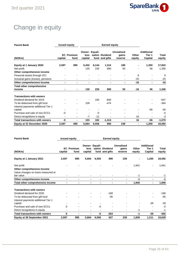

# Change in equity

| <b>Parent Bank</b>                                            |                          | <b>Issued equity</b>      |                                   |       |                                   |                                       |                 |                                        |                 |
|---------------------------------------------------------------|--------------------------|---------------------------|-----------------------------------|-------|-----------------------------------|---------------------------------------|-----------------|----------------------------------------|-----------------|
| (NOKm)                                                        | capital                  | <b>EC</b> Premium<br>fund | Owner- Equali-<br>less<br>capital |       | sation Dividend<br>fund and gifts | <b>Unrealised</b><br>gains<br>reserve | Other<br>equity | <b>Additional</b><br>Tier 1<br>Capital | Total<br>equity |
| Equity at 1 January 2020                                      | 2,597                    | 895                       | 5,432                             | 6,144 | 1,314                             | 189                                   |                 | 1,250                                  | 17,822          |
| Net profit                                                    |                          |                           | 130                               | 230   | 890                               | 50                                    |                 | 56                                     | 1,356           |
| Other comprehensive income                                    |                          |                           |                                   |       |                                   |                                       |                 |                                        |                 |
| Financial assets through OCI                                  |                          |                           |                                   |       |                                   |                                       | 9               |                                        | 9               |
| Actuarial gains (losses), pensions                            |                          |                           |                                   |       |                                   |                                       | $-25$           |                                        | $-25$           |
| Other comprehensive income                                    | ٠                        |                           |                                   |       | ۰                                 | ٠                                     | $-16$           | ۰                                      | $-16$           |
| <b>Total other comprehensive</b>                              |                          |                           |                                   |       |                                   |                                       |                 |                                        |                 |
| income                                                        |                          | ٠                         | 130                               | 230   | 890                               | 50                                    | $-16$           | 56                                     | 1,340           |
| <b>Transactions with owners</b><br>Dividend declared for 2019 |                          |                           |                                   | 194   | $-840$                            |                                       |                 |                                        | -647            |
| To be disbursed from gift fund                                |                          |                           | 109                               |       | $-474$                            |                                       |                 |                                        | $-364$          |
| Interest payments additional Tier 1<br>capital                |                          |                           |                                   |       |                                   |                                       |                 | $-56$                                  | $-56$           |
| Purchase and sale of own ECCs                                 | -0                       |                           |                                   | -0    | ۰                                 | $\overline{\phantom{a}}$              |                 |                                        | $-0$            |
| Direct recognitions in equity                                 | $\overline{\phantom{a}}$ | $\blacksquare$            | $-7$                              | $-12$ | ۰                                 | $\blacksquare$                        | 16              |                                        | -3              |
| <b>Total transactions with owners</b>                         | -0                       | $\blacksquare$            | 103                               | 182   | $-1,314$                          | $\blacksquare$                        | 16              | -56                                    | $-1,070$        |
| Equity at 31 December 2020                                    | 2,597                    | 895                       | 5,664                             | 6,556 | 890                               | 239                                   | -               | 1,250                                  | 18,092          |

| <b>Parent Bank</b>                    | <b>Issued equity</b> |                           |                 |                          |                                   |                                       |                 |                                        |                 |
|---------------------------------------|----------------------|---------------------------|-----------------|--------------------------|-----------------------------------|---------------------------------------|-----------------|----------------------------------------|-----------------|
| (NOKm)                                | capital              | <b>EC</b> Premium<br>fund | less<br>capital | Owner- Equali-           | sation Dividend<br>fund and gifts | <b>Unrealised</b><br>gains<br>reserve | Other<br>equity | <b>Additional</b><br>Tier 1<br>Capital | Total<br>equity |
| Equity at 1 January 2021              | 2,597                | 895                       | 5,664           | 6,556                    | 890                               | 239                                   |                 | 1,250                                  | 18,092          |
| Net profit                            |                      |                           |                 |                          |                                   |                                       | 1,841           | $\qquad \qquad$                        | 1,841           |
| Other comprehensive income            |                      |                           |                 |                          |                                   |                                       |                 |                                        |                 |
| Value changes on loans measured at    |                      |                           |                 |                          |                                   |                                       |                 |                                        |                 |
| fair value                            |                      |                           |                 |                          |                                   |                                       | $-1$            |                                        | $-1$            |
| Other comprehensive income            | ۰                    | ۰                         | ۰               | ٠                        | $\blacksquare$                    | ٠                                     | $-1$            | ٠                                      | -1              |
| Total other comprehensive income      |                      |                           |                 | $\blacksquare$           |                                   | ٠                                     | 1,840           | ٠                                      | 1,840           |
| <b>Transactions with owners</b>       |                      |                           |                 |                          |                                   |                                       |                 |                                        |                 |
| Dividend declared for 2020            |                      |                           |                 | $\blacksquare$           | $-168$                            |                                       |                 | ۰                                      | $-168$          |
| To be disbursed from gift fund        |                      |                           |                 | $\blacksquare$           | $-95$                             |                                       |                 |                                        | $-95$           |
| Interest payments additional Tier 1   |                      |                           |                 |                          |                                   |                                       |                 |                                        |                 |
| capital                               |                      |                           |                 |                          |                                   |                                       |                 | $-39$                                  | $-39$           |
| Purchase and sale of own ECCs         | 0                    |                           |                 | -0                       |                                   |                                       |                 |                                        | $-0$            |
| Direct recognitions in equity         |                      |                           |                 | $\overline{\phantom{a}}$ |                                   | $\blacksquare$                        | $-1$            | ٠                                      | -1              |
| <b>Total transactions with owners</b> | $\bf{0}$             |                           |                 | -0                       | $-263$                            | ۰                                     | $-1$            | $-39$                                  | $-302$          |
| Equity at 30 September 2021           | 2,597                | 895                       | 5,664           | 6,556                    | 627                               | 239                                   | 1,839           | 1,211                                  | 19,629          |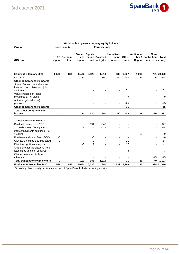

|                                                                                              |                | Attributable to parent company equity holders |                                   |                |                                   |                                     |              |                              |                                                |                     |
|----------------------------------------------------------------------------------------------|----------------|-----------------------------------------------|-----------------------------------|----------------|-----------------------------------|-------------------------------------|--------------|------------------------------|------------------------------------------------|---------------------|
| Group                                                                                        |                | <b>Issued equity</b>                          |                                   |                | <b>Earned equity</b>              |                                     |              |                              |                                                |                     |
| (NOKm)                                                                                       | capital        | <b>EC</b> Premium<br>fund                     | Owner- Equali-<br>less<br>capital |                | sation Dividend<br>fund and gifts | <b>Unrealised</b><br>reserve equity | gains Other  | <b>Additional</b><br>Capital | Non-<br>Tier 1 controlling<br>interests equity | Total               |
| Equity at 1 January 2020<br>Net profit                                                       | 2,586          | 895                                           | 5,432<br>130                      | 6,123<br>230   | 1,314<br>890                      | 189<br>50                           | 1,827<br>493 | 1,293<br>59                  | 126                                            | 761 20,420<br>1.978 |
| Other comprehensive income<br>Share of other comprehensive<br>income of associates and joint |                |                                               |                                   |                |                                   |                                     |              |                              |                                                |                     |
| ventures<br>Value changes on loans<br>measured at fair value                                 |                |                                               |                                   |                |                                   |                                     | 31<br>9      |                              |                                                | 31<br>9             |
| Actuarial gains (losses),<br>pensions                                                        |                |                                               |                                   |                |                                   |                                     | $-25$        |                              |                                                | $-25$               |
| Other comprehensive income                                                                   | $\blacksquare$ |                                               |                                   |                |                                   |                                     | 15           |                              |                                                | 15                  |
| <b>Total other comprehensive</b><br>income                                                   |                |                                               | 130                               | 230            | 890                               | 50                                  | 508          | 59                           | 126                                            | 1,993               |
| <b>Transactions with owners</b><br>Dividend declared for 2019                                |                |                                               |                                   | 194            | $-840$                            |                                     |              |                              |                                                | -647                |
| To be disbursed from gift fund<br>Interest payments additional Tier                          |                |                                               | 109                               |                | $-474$                            |                                     |              |                              |                                                | $-364$              |
| 1 capital                                                                                    |                |                                               |                                   | $\overline{a}$ |                                   |                                     |              | $-59$                        |                                                | $-59$               |
| Purchase and sale of own ECCs                                                                | -0             |                                               |                                   | -0             |                                   |                                     |              |                              |                                                | $-0$                |
| Own ECC held by SB1 Markets*)                                                                | 2              |                                               |                                   | 2              |                                   |                                     | 11           |                              |                                                | 14                  |
| Direct recognitions in equity<br>Share of other transactions from                            |                |                                               | $-7$                              | $-12$          |                                   |                                     | 17           |                              |                                                | $-1$                |
| associates and joint ventures<br>Change in non-controlling<br>interests                      | $\blacksquare$ | $\overline{\phantom{a}}$                      |                                   |                |                                   |                                     | 3            |                              | -49                                            | 3<br>-49            |
| <b>Total transactions with owners</b>                                                        | $\mathbf 2$    | $\overline{\phantom{a}}$                      | 103                               | 183            | $-1,314$                          | $\blacksquare$                      | 31           | -59                          | -49                                            | $-1,103$            |
| Equity at 31 December 2020                                                                   | 2,588          | 895                                           | 5,664                             | 6,536          | 890                               | 239                                 | 2,366        | 1,293                        |                                                | 838 21,310          |

\*) Holding of own equity certificates as part of SpareBank 1 Markets' trading activity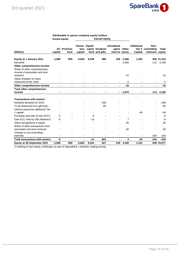

#### **Attributable to parent company equity holders Issued equity Earned equity**

| (NOKm)                                         | capital | <b>EC Premium</b><br>fund | <b>Owner- Equali-</b><br>less<br>capital |       | sation Dividend<br>fund and gifts | Unrealised<br>reserve equity | gains Other    | <b>Additional</b><br>Capital | Non-<br>Tier 1 controlling<br>interests equity | <b>Total</b> |
|------------------------------------------------|---------|---------------------------|------------------------------------------|-------|-----------------------------------|------------------------------|----------------|------------------------------|------------------------------------------------|--------------|
| Equity at 1 January 2021                       | 2,588   | 895                       | 5,664                                    | 6,536 | 890                               | 239                          | 2,366          | 1,293                        |                                                | 838 21,310   |
| Net profit                                     |         |                           |                                          |       |                                   |                              | 2,086          |                              | 113                                            | 2,199        |
| Other comprehensive income                     |         |                           |                                          |       |                                   |                              |                |                              |                                                |              |
| Share of other comprehensive                   |         |                           |                                          |       |                                   |                              |                |                              |                                                |              |
| income of associates and joint                 |         |                           |                                          |       |                                   |                              |                |                              |                                                |              |
| ventures                                       |         |                           |                                          |       |                                   |                              | $-15$          |                              |                                                | $-15$        |
| Value changes on loans                         |         |                           |                                          |       |                                   |                              |                |                              |                                                |              |
| measured at fair value                         |         |                           |                                          |       |                                   |                              | $-1$           |                              |                                                | -1           |
| Other comprehensive income                     |         | -                         | $\blacksquare$                           |       | $\blacksquare$                    | $\blacksquare$               | $-16$          |                              |                                                | $-16$        |
| <b>Total other comprehensive</b>               |         |                           |                                          |       |                                   |                              |                |                              |                                                |              |
| income                                         |         |                           |                                          |       |                                   |                              | $-2,070$       |                              | 113                                            | 2,183        |
| <b>Transactions with owners</b>                |         |                           |                                          |       |                                   |                              |                |                              |                                                |              |
| Dividend declared for 2020                     |         |                           |                                          |       | $-168$                            |                              |                |                              |                                                | $-168$       |
| To be disbursed from gift fund                 |         |                           |                                          |       | $-95$                             |                              |                |                              |                                                | $-95$        |
|                                                |         |                           |                                          |       |                                   |                              |                |                              |                                                |              |
| Interest payments additional Tier<br>1 capital |         |                           |                                          |       |                                   |                              |                | $-40$                        |                                                | $-40$        |
| Purchase and sale of own ECCs                  | 0       |                           |                                          | $-0$  |                                   |                              |                |                              |                                                | -0           |
| Own ECC held by SB1 Markets*)                  | -0      |                           |                                          | $-13$ |                                   |                              | $\overline{7}$ |                              |                                                | -6           |
| Direct recognitions in equity                  |         |                           |                                          |       |                                   |                              | 26             |                              |                                                | 26           |
| Share of other transactions from               |         |                           |                                          |       |                                   |                              |                |                              |                                                |              |
| associates and joint ventures                  |         |                           |                                          |       |                                   |                              | $-30$          |                              |                                                | $-30$        |
| Change in non-controlling                      |         |                           |                                          |       |                                   |                              |                |                              |                                                |              |
| interests                                      |         |                           |                                          |       |                                   |                              |                |                              | $-104$                                         | $-104$       |
| <b>Total transactions with owners</b>          | -0      | ٠                         | $\blacksquare$                           | $-13$ | $-263$                            |                              | 4              | -40                          | $-104$                                         | $-416$       |
| Equity at 30 September 2021                    | 2,588   | 895                       | 5,664                                    | 6,524 | 627                               | 239                          | 4,440          | 1,252                        |                                                | 848 23,077   |

\*) Holding of own equity certificates as part of SpareBank 1 Markets' trading activity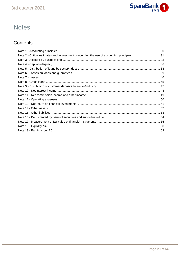

# **Notes**

# Contents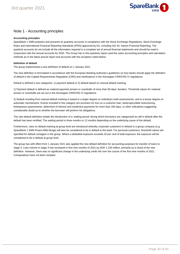

### Note 1 - Accounting principles

#### **Accounting principles**

SpareBank 1 SMN prepares and presents its quarterly accounts in compliance with the Stock Exchange Regulations, Stock Exchange Rules and International Financial Reporting Standards (IFRS) approved by EU, including IAS 34, Interim Financial Reporting. The quarterly accounts do not include all the information required in a complete set of annual financial statements and should be read in conjunction with the annual accounts for 2020. The Group has in this quarterly report used the same accounting principles and calculation methods as in the latest annual report and accounts with the exception noted below:

#### **Definition of default**

The group implemented a new definition of default on 1 January 2021.

The new definition is formulated in accordance with the European Banking Authority's guidelines on how banks should apply the definition of default in the Capital Requirements Regulation (CRR) and clarifications in the Norwegian CRR/CRD IV regulations.

Default is defined in two categories: 1) payment default or 2) default based on manual default marking.

1) Payment default is defined as material payment arrears or overdrafts of more than 90 days' duration. Threshold values for material arrears or overdrafts are set out in the Norwegian CRR/CRD IV regulations.

2) Default resulting from manual default marking is based to a larger degree on individual credit assessments, and to a lesser degree on automatic mechanisms. Events included in this category are provision for loss on a customer loan, bankruptcy/debt restructuring, forbearance assessments, deferment of interest and instalment payments for more than 180 days, or other indications suggesting considerable doubt as to whether the borrower will perform his obligations.

The new default definition entails the introduction of a 'waiting period' during which borrowers are categorised as still in default after the default has been rectified. The waiting period is three months or 12 months depending on the underlying cause of the default.

Furthermore, rules on default marking at group level are introduced whereby corporate customers in default to a group company (e.g. SpareBank 1 SMN Finans Midt-Norge) will also be considered to be in default to the bank. For personal customers, threshold values are specified for default contagion in the group. Where a defaulted exposure exceeds 20 per cent of total exposure, the exposure will be considered to be in default at group level.

The group has with effect from 1 January 2021 also applied the new default definition for accounting purposes for transfer of loans to stage 3. Loan volume in stage 3 has increased in first nine months of 2021 by NOK 1,193 million, primarily as a result of the new definition. However, there was no significant change in the underlying credit risk over the course of the first nine months of 2021. Comparatives have not been restated.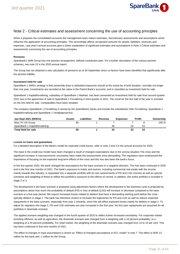

### Note 2 - Critical estimates and assessment concerning the use of accounting principles

When it prepares the consolidated accounts the management team makes estimates, discretionary assessments and assumptions which influence the application of accounting principles. This accordingly affects recognised amounts for assets, liabilities, revenues and expenses. Last year's annual accounts give a closer explanation of significant estimates and assumptions in Note 3 Critical estimates and assessments concerning the use of accounting principles.

#### **Pensions**

Sparebank1 SMN Group has one pension arrangement; defined contribution plan. For a further description of the various pension schemes, see note 22 in the 2020 annual report.

The Group has not obtained a new calculation of pensions as of 30 September since no factors have been identified that significantly alter the pension liability.

#### **Investment held for sale**

SpareBank 1 SMN's strategy is that ownership duse to defaulted exposures should at the outset be of brief duration, normally not longer than one year. Investments are recorded at fair value in the Parent Bank's accounts, and is classified as investment held for sale.

SpareBank 1 Kapitalforvaltning, subsidiary of SpareBank 1 Markets, has been presented as Investment held for sale from second quarter 2021 due to the agreement of sale to SpareBank 1 Forvaltning in third quarter of 2021. The result for the first half of the year is included on the line held for sale. Comparables have been restated.

The company SpareBank 1 Forvaltning is owned by the SpareBank1 banks and include the subsidiaries Odin Forvaltning, SpareBank 1 Kapitalforvaltning and SpareBank 1 Verdipapirservice.

| Jan-Sept 2021 (NOKm)           | Assets | Liabilities. | Revenue | <b>Expenses</b> |    | <b>Profit</b> | Ownership |
|--------------------------------|--------|--------------|---------|-----------------|----|---------------|-----------|
| Mavi XV AS Group               | 60     |              |         |                 |    | -1.           | 100 %     |
| SpareBank 1 Kapitalforvaltning |        |              |         | 36              | 26 |               |           |
| Total Held for sale            | 60     |              |         | 43              | 33 | 10            |           |

#### **Losses on loans and guarantees**

For a detailed description of the Bank's model for expected credit losses, refer to note 2 and 3 in the annual accounts for 2020.

The input in the credit loss model have been changed a result of changed expectations due to the corona situation.The crisis and the significant increase in macroeconomic uncertainty have made the assessments extra demanding. The regulators have emphasized the importance of focusing on the expected long-term effects of the crisis and this has also been the bank's focus.

In the first quarter 2020, the bank changed the assumptions for the base scenario in a negative direction. This has been continued in 2020 and in the first nine months of 2021. The bank's exposure to hotels and tourism, including commercial real estate with the income mainly towards this industry, is separated into a separate portfolio with its own assessments of PD and LGD courses as well as special scenarios and weighting of these to reflect this portfolio's exposure to the effects of corona. In addition, this entire portfolio is included in stage 2 or 3.

The development in the base scenario is prepared using adjustment factors where the development in the business cycle is projected by assumptions about how much the probability of default (PD) or loss of default (LGD) will increase or decrease compared to the base scenario in a five-year period. We expect increased losses related to debtors that have a demanding starting point before the crisis typically debtors in stage 2. The bank has therefore chosen to increase the trajectories for PD and LGD as well as reduce expected repayments in the base scenario, especially from year 2 onwards, since this will affect expected losses mainly for debtors in stage 2. To adjust for migration into stage 2, PD and LGD estimates are also increased in the first year. No first year repayments are assumed for all portfolios in downside scenario.

The applied scenario weighting was changed in the fourth quarter of 2020 to reflect further increased uncertainty. For corporate market including offshore, as well as agriculture, the downside scenario was changed from a weighting with a 10 percent probability, to a weighting of a 20 percent probability. For retail market, the weighting of the downside scenario was changed from 10 to 15 per cent. This has been continued in first nine months of 2021.

The effect of changes in input assumptions is shown as "Effect of changed assumptions in ECL model" in note 7. The effect is NOK 13 million for the bank and -1 million for the Group.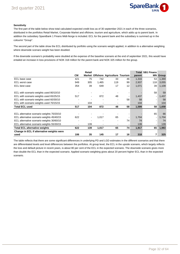

#### **Sensitivity**

The first part of the table below show total calculated expected credit loss as of 30 september 2021 in each of the three scenarios, distributed in the portfolios Retail Market, Corporate Market and offshore, tourism and agriculture, which adds up to parent bank. In addition the subsidiary SpareBank 1 Finans Midt-Norge is included. ECL for the parent bank and the subsidiary is summed up in the coloumn "Group".

The second part of the table show the ECL distributed by portfolio using the scenario weight applied, in addition to a alternative weighting where downside scenaro weight has been doubled.

If the downside scenario's probability were doubled at the expense of the baseline scenario at the end of september 2021, this would have entailed an increase in loss provisions of NOK 318 million for the parent bank and NOK 325 million for the group.

|                                                   |           | Retail         |       |                                     |                |        | <b>Total SB1 Finans</b> |       |
|---------------------------------------------------|-----------|----------------|-------|-------------------------------------|----------------|--------|-------------------------|-------|
|                                                   | <b>CM</b> |                |       | Market Offshore Agriculture Tourism |                | parent | <b>MN</b>               | Group |
| ECL base case                                     | 421       | 75             | 742   | 33                                  | 46             | 1,316  | 53                      | 1,369 |
| ECL worst case                                    | 949       | 305            | 1,465 | 119                                 | 99             | 2,937  | 118                     | 3,055 |
| ECL best case                                     | 354       | 39             | 649   | 17                                  | 12             | 1,071  | 39                      | 1,109 |
| ECL with scenario weights used 80/10/10           |           |                |       |                                     | $\blacksquare$ |        | 58                      | 59    |
| ECL with scenario weights used 65/25/15           | 517       | $\blacksquare$ | 872   | 48                                  |                | 1,437  |                         | 1,437 |
| ECL with scenario weights used 60/30/10           |           |                |       |                                     | 58             | 58     |                         | 58    |
| ECL with scenario weights used 70/15/15           |           | 104            |       |                                     | ٠              | 104    |                         | 104   |
| <b>Total ECL used</b>                             | 517       | 104            | 872   | 48                                  | 58             | 1,599  | 58                      | 1,658 |
|                                                   |           |                |       |                                     |                |        |                         |       |
| ECL alternative scenario weights 70/20/10         |           |                |       |                                     |                |        | 65                      | 66    |
| ECL alternative scenario weights 45/40/15         | 622       |                | 1,017 | 65                                  | $\blacksquare$ | 1,704  |                         | 1,704 |
| ECL alternative scenario weights 30/60/10         |           |                |       |                                     | 74             | 74     |                         | 74    |
| ECL alternative scenario weights 55/30/15         |           | 139            |       |                                     | ٠              | 139    |                         | 139   |
| <b>Total ECL alternative weights</b>              | 622       | 139            | 1,017 | 65                                  | 74             | 1,917  | 65                      | 1,983 |
| Change in ECL if alternative weights were<br>used | 106       | 35             | 145   | 17                                  | 16             | 318    |                         | 325   |

The table reflects that there are some significant differences in underlying PD and LGD estimates in the different scenarios and that there are differentiated levels and level differences between the portfolios. At group level, the ECL in the upside scenario, which largely reflects the loss and default picture in recent years, is about 80 per cent of the ECL in the expected scenario. The downside scenario gives more than double the ECL than in the expected scenario. Applied scenario weighting gives about 20 percent higher ECL than in the expected scenario.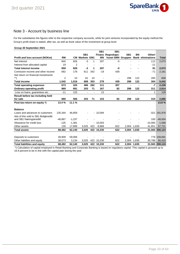

### Note 3 - Account by business line

For the subsidiaries the figures refer to the respective company accounts, while for joint ventures incorporated by the equity method the Group's profit share is stated, after tax, as well as book value of the investment at group level.

#### **Group 30 September 2021 Profit and loss account (NOKm) RM SB1 CM Markets EM1 SB1 Finans Regnskaps-MN SB1 huset SMN Gruppen SB1 BN Bank eliminations Total Other/** Net interest 840 826 -3 1 297 -0 - - 112 2,073 Interest from allocated capital 19 2 - - - - - - -21 - **Total interest income 859 828 -3 1 297 -0 - - 91 2,073** Comission income and other income  $682$  178 611 342 -19 439 - - - - - -71 2,161 Net return on financial investments \*\*) 2 10 81 10 - - 298 122 285 808 **Total income 1,542 1,016 689 353 278 439 298 122 304 5,042 Total operating expenses 673 325 486 282 111 357 - - -7 2,228 Ordinary operating profit 869 691 203 71 167 82 298 122 311 2,814** Loss on loans, guarantees etc.  $-11$  125 - 13 - - - - 13 **Result before tax including held for sale 880 566 203 71 153 82 298 122 310 2,685 Post-tax-return on equity \*) 13.4 % 11.1 % 13.8 % Balance** Loans and advances to customers 135,344 46,859 - - 10,094 - - - -321 191,976 Adv.of this sold to SB1 Boligkreditt and SB1 Næringskreditt  $-46,867 -1,237$  - - - - - - - - - - - 100 -48,004 Allowance for credit loss  $-125 -1,381$  -  $-10,003$  -  $-10,065 -1,568$ Other assets 130 17,899 3,025 422 -9,868 622 2,004 1,635 41,851 57,721 **Total assets 88,482 62,140 3,025 422 10,230 622 2,004 1,635 31,565 200,124** Deposits to customers **49,909 59,006** - - - - - - - - - - - - 776 109,691 Other liabilites and equity 38,573 3,134 3,025 422 10,230 622 2,004 1,635 30,788 90,433 **Total liabilities and equity 88,482 62,140 3,025 422 10,230 622 2,004 1,635 31,565 200,124**

 \*) Calculation of capital employed in Retail Banking and Corporate Banking is based on regulatory capital. This capital is grossed up to 16.9 percent to be in line with the capital plan during the year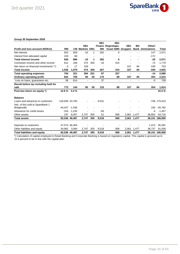

#### **Group 30 September 2020**

|                                         |                   |                |                    |     | SB <sub>1</sub> | SB <sub>1</sub>   |                 |                |                          |                |
|-----------------------------------------|-------------------|----------------|--------------------|-----|-----------------|-------------------|-----------------|----------------|--------------------------|----------------|
|                                         |                   |                | SB <sub>1</sub>    |     |                 | Finans Regnskaps- | SB <sub>1</sub> | <b>BN</b>      | Other/                   |                |
| Profit and loss account (NOKm)          | <b>RM</b>         | <b>CM</b>      | <b>Markets EM1</b> |     | <b>MN</b>       | huset SMN Gruppen |                 |                | <b>Bank eliminations</b> | Total          |
| Net interest                            | 823               | 828            | $-10$              | 1   | 282             | 0                 |                 |                | 147                      | 2,071          |
| Interest from allocated capital         | 103               | 68             |                    |     |                 |                   |                 |                | $-172$                   |                |
| <b>Total interest income</b>            | 926               | 896            | $-10$              | 1   | 282             | 0                 |                 |                | $-25$                    | 2,071          |
| Comission income and other income       | 612               | 166            | 375                | 300 | $-16$           | 415               |                 |                | $-74$                    | 1,779          |
| Net return on financial investments **) | $-3$              | 17             | 109                |     |                 |                   | 107             | 84             | 439                      | 753            |
| <b>Total income</b>                     | 1,536             | 1,079          | 474                | 300 | 267             | 415               | 107             | 84             | -340                     | 4,603          |
| <b>Total operating expenses</b>         | 704               | 321            | 394                | 251 | 97              | 327               | $\blacksquare$  |                | $-14$                    | 2,080          |
| <b>Ordinary operating profit</b>        | 832               | 758            | 80                 | 50  | 170             | 88                | 107             | 84             | 354                      | 2,523          |
| Loss on loans, guarantees etc.          | 58                | 614            | $\blacksquare$     |     | 37              | $\blacksquare$    | $\blacksquare$  | $\blacksquare$ | $-0$                     | 709            |
| Result before tax including held for    |                   |                |                    |     |                 |                   |                 |                |                          |                |
| sale                                    | 773               | 144            | 80                 | 50  | 133             | 88                | 107             | 84             | 354                      | 1,814          |
| Post-tax-return on equity *)            | 12.6 %            | 3.4%           |                    |     |                 |                   |                 |                |                          | 10.4%          |
| <b>Balance</b>                          |                   |                |                    |     |                 |                   |                 |                |                          |                |
| Loans and advances to customers         | 126,939 43,700    |                |                    |     | 9,531           |                   |                 |                |                          | -748 179,423   |
| Adv. of this sold to SpareBank 1        |                   |                |                    |     |                 |                   |                 |                |                          |                |
| <b>Boligkreditt</b>                     | $-44.447 - 1.436$ |                |                    |     |                 |                   |                 |                | 100                      | $-45,782$      |
| Allowance for credit losses             |                   | $-154 - 1,235$ |                    |     | $-65$           |                   |                 |                | -4                       | $-1,457$       |
| Other assets                            | 197               | 8,457          | 2,747              | 355 | 51              | 568               | 2,061           | 1,477          | 38,802                   | 54,716         |
| <b>Total assets</b>                     |                   | 82,536 49,487  | 2,747              | 355 | 9,518           | 568               | 2,061           | 1,477          |                          | 38,151 186,900 |
|                                         |                   |                |                    |     |                 |                   |                 |                |                          |                |
| Deposits to customers                   | 47,574 46,404     |                |                    |     |                 |                   |                 |                | 1,413                    | 95,391         |
| Other liabilites and equity             | 34,962            | 3,084          | 2,747              | 355 | 9,518           | 568               | 2,061           | 1,477          | 36,737                   | 91,509         |
| <b>Total liabilities and equity</b>     |                   | 82,536 49,487  | 2,747              | 355 | 9,518           | 568               |                 | 2,061 1,477    |                          | 38,151 186,900 |

\*) Calculation of capital employed in Retail Banking and Corporate Banking is based on regulatory capital. This capital is grossed up to 15.4 percent to be in line with the capital plan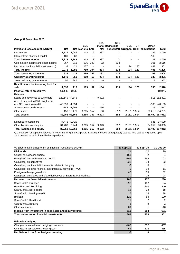

#### **Group 31 December 2020**

|                                         |                    |                |                       |                | SB <sub>1</sub> | SB <sub>1</sub>          |                 |             |                                     |                |
|-----------------------------------------|--------------------|----------------|-----------------------|----------------|-----------------|--------------------------|-----------------|-------------|-------------------------------------|----------------|
|                                         |                    |                | SB <sub>1</sub>       |                |                 | Finans Regnskaps-        | SB <sub>1</sub> | <b>BN</b>   | Other/                              |                |
| Profit and loss account (NOKm)          | <b>RM</b>          |                | <b>CM Markets EM1</b> |                | <b>MN</b>       |                          |                 |             | huset SMN Gruppen Bank eliminations | Total          |
| Net interest                            | 1,112              | 1.085          | $-13$                 | 2              | 387             | 1                        |                 |             | 186                                 | 2,759          |
| Interest from allocated capital         | 101                | 63             |                       |                |                 |                          |                 |             | $-165$                              |                |
| <b>Total interest income</b>            | 1,213              | 1,149          | $-13$                 | $\mathbf{2}$   | 387             | 1                        |                 |             | 21                                  | 2,759          |
| Commission income and other income      | 867                | 211            | 636                   | 392            | $-22$           | 533                      |                 |             | $-101$                              | 2,516          |
| Net return on financial investments **) | $-2$               | 21             | 137                   | ٠              |                 | $\overline{\phantom{a}}$ | 194             | 120         | 481                                 | 951            |
| <b>Total income</b>                     | 2,078              | 1,381          | 759                   | 394            | 364             | 533                      | 194             | 120         | 401                                 | 6,225          |
| <b>Total operating expenses</b>         | 929                | 422            | 590                   | 342            | 131             | 423                      |                 |             | 68                                  | 2,904          |
| Ordinary operating profit               | 1,149              | 959            | 169                   | 52             | 234             | 110                      | 194             | 120         | 333                                 | 3,321          |
| Loss on loans, guarantees etc.          | 56                 | 846            |                       |                | 49              | $\overline{\phantom{a}}$ |                 |             | 1                                   | 951            |
| Result before tax including held for    |                    |                |                       |                |                 |                          |                 |             |                                     |                |
| sale                                    | 1,093              | 113            | 169                   | 52             | 184             | 110                      | 194             | 120         | 333                                 | 2,370          |
| Post-tax return on equity*)             | 13.4 %             | 2.1%           |                       |                |                 |                          |                 |             |                                     | 10.0%          |
| <b>Balance</b>                          |                    |                |                       |                |                 |                          |                 |             |                                     |                |
| Loans and advances to customers         | 129,149 44,845     |                |                       | $\blacksquare$ | 9,622           |                          |                 |             |                                     | -815 182,801   |
| Adv. of this sold to SB1 Boligkreditt   |                    |                |                       |                |                 |                          |                 |             |                                     |                |
| and SB1 Næringskreditt                  | $-46,899$ $-1,354$ |                |                       |                |                 |                          |                 |             | $-100$                              | $-48,153$      |
| Allowance for credit losses             |                    | $-148 - 1,298$ |                       |                | -66             |                          |                 |             | -5                                  | $-1,517$       |
| Other assets                            |                    | 156 10,471     | 3,265                 | 357            | 66              | 592                      |                 | 2,151 1,514 | 36,210                              | 54,781         |
| <b>Total assets</b>                     |                    | 82,258 52,663  | 3,265                 | 357            | 9,623           | 592                      | 2,151 1,514     |             |                                     | 35,490 187,912 |
|                                         |                    |                |                       |                |                 |                          |                 |             |                                     |                |
| Deposits to customers                   |                    | 47,478 49,420  |                       |                |                 |                          |                 |             | 631                                 | 97,529         |
| Other liabilities and equity            |                    | 34,780 3,244   | 3,265                 | 357            | 9,623           | 592                      |                 | 2,151 1,514 | 34,859                              | 90,383         |
| <b>Total liabilites and equity</b>      |                    | 82,258 52,663  | 3,265                 | 357            | 9,623           | 592                      |                 | 2,151 1,514 | 35.490                              | 187,912        |

\*) Calculation of capital employed in Retail Banking and Corporate Banking is based on regulatory capital. This capital is grossed up to 15.4 percent to be in line with the capital plan

| **) Specification of net return on financial investments (NOKm)    | <b>30 Sept 21</b> | 30 Sept 20 | 31 Dec 20 |
|--------------------------------------------------------------------|-------------------|------------|-----------|
| <b>Dividends</b>                                                   | 21                | 12         | 39        |
| Capital gains/losses shares                                        | 161               | $-2$       | $-4$      |
| Gain/(loss) on sertificates and bonds                              | $-196$            | 166        | 103       |
| Gain/(loss) on derivatives                                         | 232               | $-78$      | 32        |
| Gain/(loss) on financial instruments related to hedging            |                   | $\Omega$   | 1         |
| Gain/(loss) on other financial instruments at fair value (FVO)     |                   | $-14$      | $-11$     |
| Foreign exchange gain/(loss)                                       | 46                | 79         | 82        |
| Gain/(loss) on shares and share derivatives at SpareBank 1 Markets | 30                | 26         | 28        |
| Net return on financial instruments                                | 267               | 177        | 230       |
| SpareBank 1 Gruppen                                                | 298               | 107        | 194       |
| <b>Gain Fremtind Forsikring</b>                                    |                   | 340        | 340       |
| SpareBank 1 Boligkreditt                                           | 18                | 22         | 18        |
| SpareBank 1 Næringskreditt                                         | 6                 | 14         | 18        |
| <b>BN Bank</b>                                                     | 122               | 84         | 120       |
| SpareBank 1 Kredittkort                                            | 11                | 2          | 2         |
| SpareBank 1 Betaling                                               | -6                | -3         | $-2$      |
| Other companies                                                    | 69                | $-1$       | $-10$     |
| Income from investment in associates and joint ventures            | 519               | 564        | 681       |
| Total net return on financial investments                          | 808               | 753        | 951       |
| Fair value hedging                                                 |                   |            |           |
| Changes in fair value on hedging instrument                        | $-460$            | 502        | 467       |
| Changes in fair value on hedging item                              | 454               | $-502$     | -465      |
| Net Gain or Loss from hedge accounting                             | $-7$              | 0          | 1         |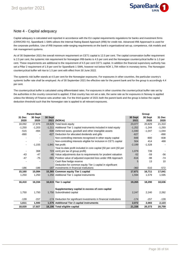

### Note 4 - Capital adequacy

Capital adequacy is calculated and reported in accordance with the EU capital requirements regulations for banks and investment firms (CRR/CRD IV). SpareBank 1 SMN utilises the Internal Rating Based Approach (IRB) for credit risk. Advanced IRB Apporoach is used for the corporate portfolios. Use of IRB imposes wide-ranging requirements on the bank's organisational set-up, competence, risk models and risk management systems.

As of 30 September 2021 the overall minimum requirement on CET1 capital is 12.5 per cent. The capital conservation buffer requirement is 2.5 per cent, the systemic risk requirement for Norwegian IRB-banks is 4.5 per cent and the Norwegian countercyclical buffer is 1.0 per cent. These requirements are additional to the requirement of 4.5 per cent CET1 capital. In addition the financial supervisory authority has set a Pillar 2 requirement of 1.9 per cent for SpareBank 1 SMN, however not below NOK 1,794 million in monetary terms. The Norwegian countercyclical buffer will rise to 1.5 per cent with effect from 30 June 2022.

The systemic risk buffer stands at 4.5 per cent for the Norwegian exposures. For exposures in other countries, the particular country's systemic buffer rate shall be employed. As of 30 September 2021 the effective rate for the parent bank and for the group is accordingly 4.4 per cent.

The countercyclical buffer is calculated using differentiated rates. For exposures in other countries the countercyclical buffer rate set by the authorities in the country concerned is applied. If that country has not set a rate, the same rate as for exposures in Norway is applied unless the Ministry of Finance sets another rate. For the third quarter of 2021 both the parent bank and the group is below the capital deduction threshold such that the Norwegian rate is applied to all relevant exposures.

|                              | <b>Parent Bank</b> |         |                                                                       |                 | Group           |                |
|------------------------------|--------------------|---------|-----------------------------------------------------------------------|-----------------|-----------------|----------------|
| 31 Dec<br>2020               | 30 Sept<br>2020    | 30 Sept | 2021 (NOKm)                                                           | 30 Sept<br>2021 | 30 Sept<br>2020 | 31 Dec<br>2020 |
| 18,092                       | 17,876             |         | 19,629 Total book equity                                              | 23,077          | 20,829          | 21,310         |
| $-1,250$                     | $-1,203$           |         | -1,211 Additional Tier 1 capital instruments included in total equity | $-1,252$        | $-1,244$        | $-1,293$       |
| $-515$                       | $-494$             |         | -500 Deferred taxes, goodwill and other intangible assets             | $-1,040$        | $-1,047$        | $-1,044$       |
| $-890$                       |                    |         | -627 Deduction for allocated dividends and gifts                      | $-627$          |                 | $-890$         |
|                              |                    |         | - Non-controlling interests recognised in other equity capital        | $-848$          | $-800$          | $-838$         |
|                              |                    |         | - Non-controlling interests eligible for inclusion in CET1 capital    | 504             | 414             | 488            |
| $\qquad \qquad \blacksquare$ | $-1,155$           |         | $-1,841$ Net profit                                                   | $-2,199$        | $-1,528$        |                |
|                              |                    |         | Year-to-date profit included in core capital (50 per cent (50 per     |                 |                 |                |
|                              | 368                |         | 723 cent) pre tax of group profit)                                    | 1,079           | 739             |                |
| $-43$                        | $-47$              |         | -40 Value adjustments due to requirements for prudent valuation       | $-52$           | $-59$           | $-56$          |
| $-47$                        | $-75$              |         | -581 Positive value of adjusted expected loss under IRB Approach      | $-616$          | -98             | $-74$          |
|                              |                    |         | Cash flow hedge reserve                                               | 5               | 13              | 10             |
|                              |                    |         | Deduction for common equity Tier 1 capital in significant             |                 |                 |                |
| $-186$                       | $-186$             |         | -187 investments in financial institutions                            | $-360$          | $-510$          | $-572$         |
| 15,160                       | 15,084             |         | 15,365 Common equity Tier 1 capital                                   | 17,671          | 16,711          | 17,041         |
| 1,250                        | 1,250              |         | 1,250 Additional Tier 1 capital instruments                           | 1,594           | 1,579           | 1,595          |
|                              |                    |         |                                                                       |                 |                 |                |
| 16,410                       | 16,334             |         | 16,615 Tier 1 capital                                                 | 19,265          | 18,290          | 18,636         |
|                              |                    |         |                                                                       |                 |                 |                |
|                              |                    |         | Supplementary capital in excess of core capital                       |                 |                 |                |
| 1,750                        | 1,750              |         | 1,750 Subordinated capital                                            | 2,247           | 2,240           | 2,262          |
|                              |                    |         |                                                                       |                 |                 |                |
| $-139$                       | $-157$             |         | -174 Deduction for significant investments in financial institutions  | $-174$          | $-157$          | $-139$         |
| 1,611                        | 1,593              |         | 1,576 Additional Tier 2 capital instruments                           | 2,072           | 2,083           | 2,123          |
| 18,020                       | 17,927             |         | 18,190 Total eligible capital                                         | 21,338          | 20,373          | 20,759         |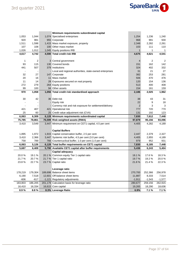

|                |                | Minimum requirements subordinated capital                     |                |                |                |
|----------------|----------------|---------------------------------------------------------------|----------------|----------------|----------------|
| 1,053          | 1,044          | 1,074 Specialised enterprises                                 | 1,254          | 1,236          | 1,240          |
| 920            | 981            | 955 Corporate                                                 | 968            | 991            | 930            |
| 1,511          | 1,598          | 1,415 Mass market exposure, property                          | 2,348          | 2,282          | 2,261          |
| 107            | 108            | 100 Other mass market                                         | 103            | 111            | 110            |
| 1,026          | 1,012          | 1,045 Equity positions IRB                                    | $\mathbf{1}$   | 1              | 1              |
| 4,617          | 4,742          | 4,590 Total credit risk IRB                                   | 4,675          | 4,621          | 4,541          |
|                |                |                                                               |                |                |                |
| 1              | 2              | 3 Central government                                          | 4              | 2              | 2              |
| 93             | 115            | 130 Covered bonds                                             | 151            | 162            | 142            |
| 441            | 507            | 379 Institutions                                              | 324            | 402            | 332            |
|                |                | - Local and regional authorities, state-owned enterprises     | 31             | 21             | 27             |
| 32             | 27             | 147 Corporate                                                 | 382            | 253            | 281            |
| 20             | 16             | 11 Mass market                                                | 506            | 470            | 476            |
| 11             | 14             | 28 Exposures secured on real property                         | 120            | 154            | 136            |
| 272            | 279            | 264 Equity positions                                          | 513            | 400            | 408            |
| 99             | 100            | 94 Other assets                                               | 154            | 161            | 159            |
| 970            | 1,058          | 1,056 Total credit risk standardised approach                 | 2,186          | 2,025          | 1,962          |
|                |                |                                                               |                |                |                |
| 30             | 42             | 36 Debt risk                                                  | 38             | 43             | 31             |
|                |                | Equity risk                                                   | 22             | 9              | 18             |
|                |                | - Currency risk and risk exposure for settlement/delivery     | $\overline{2}$ | 3              | $\sqrt{3}$     |
| 421            | 407            | 421 Operational risk                                          | 777            | 720            | 770            |
| 25             | 60             | 25 Credit value adjustment risk (CVA)                         | 131            |                | 123            |
|                |                |                                                               |                | 192            |                |
| 6,063          | 6,309          | 6,128 Minimum requirements subordinated capital               | 7,830          | 7,612          | 7,448          |
| 75,785         | 78,861         | 76,599 Risk weighted assets (RWA)                             | 97,879         | 95,156         | 93,096         |
| 3,410          | 3,549          | 3,447 Minimum requirement on CET1 capital, 4.5 per cent       | 4,405          | 4,282          | 4,189          |
|                |                |                                                               |                |                |                |
|                |                | <b>Capital Buffers</b>                                        |                |                |                |
| 1,895          | 1,972          | 1,915 Capital conservation buffer, 2.5 per cent               | 2,447          | 2,379          | 2,327          |
| 3,410          | 2,366          | 3,447 Systemic risk buffer, 4.5 per cent (3.0 per cent)       | 4,405          | 2,855          | 4,189          |
| 758            | 789            | 766 Countercyclical buffer, 1.0 per cent (1.0 per cent)       | 979            | 952            | 931            |
| 6,063          | 5,126          | 6,128 Total buffer requirements on CET1 capital               | 7,830          | 6,185          | 7,448          |
| 5,687          | 6,409          | 5,790 Available CET1 capital after buffer requirements        | 5,436          | 6,243          | 5,404          |
|                |                | Capital adequacy                                              |                |                |                |
| 20.0%          | 19.1%          | 20.1 % Common equity Tier 1 capital ratio                     | 18.1%          | 17.6%          | 18.3%          |
| 21.7%          | 20.7%          | 21.7 % Tier 1 capital ratio                                   | 19.7%          | 19.2 %         | 20.0%          |
| 23.8%          | 22.7%          | 23.7 % Capital ratio                                          | 21.8%          | 21.4%          | 22.3%          |
|                |                |                                                               |                |                |                |
|                |                | Leverage ratio                                                |                |                |                |
| 178,219        | 179,304        | 189,698 Balance sheet items<br>12,601 Off-balance sheet items | 270,700        | 252,366        | 256,978        |
| 6,190          | 7,518          |                                                               | 11,887         | 8,333          | 7,514          |
| $-606$         | $-617$         | -1,121 Regulatory adjustments                                 | $-1,911$       | $-1,543$       | $-1,577$       |
| 183,803        | 186,205        | 201,179 Calculation basis for leverage ratio                  | 280,677        | 259,156        | 262,915        |
| 16,410<br>8.9% | 16,334<br>8.8% | 16,615 Core capital<br>8.3% Leverage Ratio                    | 19,265<br>6.9% | 18,290<br>7.1% | 18,636<br>7.1% |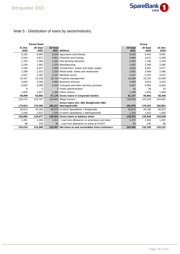# Note 5 - Distribution of loans by sector/industry

|                | <b>Parent Bank</b> |         |                                                     |                 | Group           |                |
|----------------|--------------------|---------|-----------------------------------------------------|-----------------|-----------------|----------------|
| 31 Dec<br>2020 | 30 Sept<br>2020    | 30 Sept | 2021 (NOKm)                                         | 30 Sept<br>2021 | 30 Sept<br>2020 | 31 Dec<br>2020 |
| 9,160          | 8,994              |         | 9,205 Agriculture and forestry                      | 9,546           | 9.442           | 9,591          |
| 5,243          | 4,872              |         | 5,851 Fisheries and hunting                         | 5,869           | 4,872           | 5,259          |
| 1,704          | 1,384              |         | 1,843 Sea farming industries                        | 2,093           | 1,790           | 2,100          |
| 2,234          | 1,962              |         | 2,203 Manufacturing                                 | 2,835           | 2,369           | 2,646          |
| 3.195          | 3,227              |         | 2,884 Construction, power and water supply          | 3,825           | 4.087           | 4,077          |
| 2,289          | 2,315              |         | 2,320 Retail trade, hotels and restaurants          | 2,662           | 2,649           | 2,586          |
| 4,537          | 4,787              |         | 5.237 Maritime sector                               | 5,237           | 4,787           | 4,537          |
| 15,427         | 15,136             |         | 16,724 Property management                          | 16,839          | 15,215          | 15,509         |
| 3,644          | 3,293              |         | 4.083 Business services                             | 4,500           | 3,014           | 3,423          |
| 6,032          | 6,089              |         | 5,433 Transport and other services provision        | 6,367           | 6,994           | 6,942          |
| 9              | 6                  |         | 2 Public administration                             | 35              | 29              | 33             |
| 1,626          | 1,627              |         | 1,392 Other sectors                                 | 1,339           | 1,645           | 1,638          |
| 55,099         | 53,692             |         | 57,176 Gross Ioans in Corporate market              | 61,147          | 56,893          | 58,340         |
| 118,714        | 116,767            |         | 124,841 Wage earners                                | 130,828         | 122,529         | 124,461        |
|                |                    |         | Gross Ioans incl. SB1 Boligkreditt /SB1             |                 |                 |                |
| 173,814        | 170,459            |         | 182,017 Næringskreditt                              | 191,976         | 179,423         | 182,801        |
| 46.613         | 44,160             |         | 46,675 of which SpareBank 1 Boligkreditt            | 46,675          | 44,160          | 46,613         |
| 1,540          | 1,622              |         | 1,329 of which SpareBank 1 Næringskreditt           | 1,329           | 1,622           | 1,540          |
| 125,660        | 124,677            |         | 134,013 Gross Ioans in balance sheet                | 143,972         | 133,640         | 134,648        |
| 1,351          | 1,284              |         | 1,411 - Loan loss allowance on amortised cost loans | 1,472           | 1,352           | 1,421          |
| 96             | 105                |         | 95 - Loan loss allowance on loans at FVOCI          | 95              | 105             | 96             |
| 124,214        | 123,288            |         | 132,507 Net loans to and receivables from customers | 142,404         | 132,183         | 133,131        |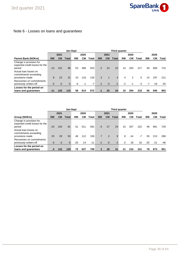# Note 6 - Losses on loans and guarantees

|                                                                                              |           | Jan-Sept  |       |    |      |       |           |           | Third quarter |           |      |       |      |           |       |
|----------------------------------------------------------------------------------------------|-----------|-----------|-------|----|------|-------|-----------|-----------|---------------|-----------|------|-------|------|-----------|-------|
|                                                                                              |           | 2021      |       |    | 2020 |       |           | 2021      |               |           | 2020 |       |      | 2020      |       |
| <b>Parent Bank (NOKm)</b>                                                                    | <b>RM</b> | <b>CM</b> | Total | RM | CМ   | Total | <b>RM</b> | <b>CM</b> | Total         | <b>RM</b> | CМ   | Total | RM   | <b>CM</b> | Total |
| Change in provision for<br>expected credit losses for the<br>period<br>Actual loan losses on | $-14$     | 102       | 88    | 53 | 499  | 553   | $-2$      | 24        | 22            | 14        | 203  | 217   | 49   | 666       | 715   |
| commitments exceeding<br>provisions made                                                     | 8         | 23        | 31    | 10 | 116  | 126   | 3         | 1         | 4             | 4         | 2    | 5     | 14   | 197       | 212   |
| Recoveries on commitments<br>previously written-off                                          | $-5$      | $-0$      | $-5$  | -6 | -1   | $-7$  | $-2$      | $-0$      | $-2$          | $-2$      | $-1$ | $-3$  | $-7$ | -18       | $-25$ |
| Losses for the period on<br>loans and guarantees                                             | $-11$     | 125       | 115   | 58 | 614  | 672   | $-1$      | 25        | 24            | 16        | 204  | 219   | 56   | 846       | 902   |

|                                                                     |           |      | Jan-Sept     |       | Third quarter |       |                |           |       |           |       |       |       |       |       |
|---------------------------------------------------------------------|-----------|------|--------------|-------|---------------|-------|----------------|-----------|-------|-----------|-------|-------|-------|-------|-------|
|                                                                     |           | 2021 |              |       | 2020          |       |                | 2021      |       |           | 2020  |       |       | 2020  |       |
| Group (NOKm)                                                        | <b>RM</b> | CМ   | <b>Total</b> | RM    | CМ            | Total | <b>RM</b>      | <b>CM</b> | Total | <b>RM</b> | CМ    | Total | RM    | CМ    | Total |
| Change in provision for<br>expected credit losses for the<br>period | $-23$     | 104  | 81           | 51    | 511           | 562   | $-3$           | 27        | 24    | 15        | 207   | 222   | 48    | 681   | 729   |
| Actual loan losses on<br>commitments exceeding<br>provisions made   | 25        | 29   | 53           | 46    | 112           | 158   | $\overline{7}$ | 2         | 9     | 8         | $-14$ | $-7$  | 55    | 213   | 268   |
| Recoveries on commitments<br>previously written-off                 | -5        | $-0$ | $-5$         | $-25$ | 14            | $-11$ | $-2$           | $-0$      | $-2$  | $-2$      | 18    | 16    | $-25$ | $-21$ | -46   |
| Losses for the period on<br>loans and guarantees                    | -3        | 132  | 129          | 72    | 637           | 709   | 3              | 28        | 31    | 21        | 210   | 231   | 78    | 873   | 951   |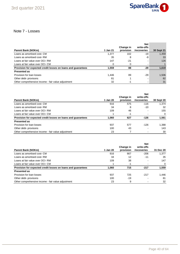

### Note 7 - Losses

|                                                              |          |                        | <b>Net</b>                |            |
|--------------------------------------------------------------|----------|------------------------|---------------------------|------------|
| <b>Parent Bank (NOKm)</b>                                    | 1 Jan 21 | Change in<br>provision | write-offs<br>/recoveries | 30 Sept 21 |
|                                                              |          |                        |                           |            |
| Loans as amortised cost- CM                                  | 1.377    | 102                    | -19                       | 1,459      |
| Loans as amortised cost-RM                                   | 35       | 8                      | -9                        | 33         |
| Loans at fair value over OCI-RM                              | 147      | $-21$                  |                           | 126        |
| Loans at fair value over OCI- CM                             | $\Omega$ | 0                      |                           |            |
| Provision for expected credit losses on loans and quarantees | 1.559    | 88                     | -29                       | 1,619      |
| <b>Presented as</b>                                          |          |                        |                           |            |
| Provision for loan losses                                    | 1.446    | 89                     | $-29$                     | 1,506      |
| Other debt- provisons                                        | 81       |                        |                           | 82         |
| Other comprehensive income - fair value adjustment           | 32       | -1                     |                           | 31         |

| <b>Parent Bank (NOKm)</b>                                    | 1 Jan 20 | Change in<br>provision | <b>Net</b><br>write-offs<br>/recoveries | <b>30 Sept 20</b> |
|--------------------------------------------------------------|----------|------------------------|-----------------------------------------|-------------------|
| Loans as amortised cost- CM                                  | 916      | 575                    | $-116$                                  | 1.374             |
| Loans as amortised cost-RM                                   | 34       | 8                      | $-10$                                   | 32                |
| Loans at fair value over OCI-RM                              | 109      | 46                     |                                         | 155               |
| Loans at fair value over OCI- CM                             |          | -1                     |                                         | $\Omega$          |
| Provision for expected credit losses on loans and quarantees | 1.060    | 627                    | $-126$                                  | 1,561             |
| <b>Presented as</b>                                          |          |                        |                                         |                   |
| Provision for loan losses                                    | 937      | 577                    | $-126$                                  | 1,388             |
| Other debt- provisons                                        | 100      | 43                     | $\overline{\phantom{0}}$                | 143               |
| Other comprehensive income - fair value adjustment           | 23       |                        |                                         | 30                |

|                                                              |          |                        | <b>Net</b>                |           |
|--------------------------------------------------------------|----------|------------------------|---------------------------|-----------|
| <b>Parent Bank (NOKm)</b>                                    | 1 Jan 20 | Change in<br>provision | write-offs<br>/recoveries | 31 Dec 20 |
| Loans as amortised cost- CM                                  | 916      | 667                    | $-206$                    | 1.377     |
| Loans as amortised cost- RM                                  | 34       | 12                     | $-11$                     | 35        |
| Loans at fair value over OCI-RM                              | 109      | 38                     |                           | 147       |
| Loans at fair value over OCI- CM                             |          | -1                     |                           | 0         |
| Provision for expected credit losses on loans and guarantees | 1.060    | 715                    | $-217$                    | 1,559     |
| <b>Presented as</b>                                          |          |                        |                           |           |
| Provision for loan losses                                    | 937      | 725                    | $-217$                    | 1,446     |
| Other debt- provisons                                        | 100      | -19                    |                           | 81        |
| Other comprehensive income - fair value adjustment           | 23       | 9                      |                           | 32        |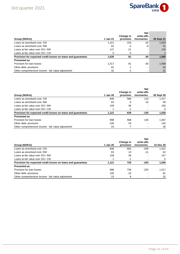

| Group (NOKm)                                                 | 1 Jan 21 | Change in<br>provision | <b>Net</b><br>write-offs<br>/recoveries | 30 Sept 21 |
|--------------------------------------------------------------|----------|------------------------|-----------------------------------------|------------|
| Loans as amortised cost- CM                                  | 1,421    | 103                    | $-20$                                   | 1,503      |
| Loans as amortised cost-RM                                   | 62       | -2                     | -9                                      | 51         |
| Loans at fair value over OCI-RM                              | 147      | $-21$                  |                                         | 126        |
| Loans at fair value over OCI- CM                             | 0        | 0                      |                                         |            |
| Provision for expected credit losses on loans and guarantees | 1,630    | 81                     | -30                                     | 1,680      |
| <b>Presented as</b>                                          |          |                        |                                         |            |
| Provision for loan losses                                    | 1,517    | 81                     | $-30$                                   | 1,568      |
| Other debt- provisons                                        | 81       |                        |                                         | 82         |
| Other comprehensive income - fair value adjustment           | 32       | -1                     |                                         | 31         |

|                                                              |          |                        | <b>Net</b>                |            |
|--------------------------------------------------------------|----------|------------------------|---------------------------|------------|
| Group (NOKm)                                                 | 1 Jan 20 | Change in<br>provision | write-offs<br>/recoveries | 30 Sept 20 |
| Loans as amortised cost- CM                                  | 948      | 588                    | $-119$                    | 1.417      |
| Loans as amortised cost-RM                                   | 63       | 6                      | $-10$                     | 58         |
| Loans at fair value over OCI-RM                              | 109      | 46                     |                           | 155        |
| Loans at fair value over OCI- CM                             |          | -1                     |                           | 0          |
| Provision for expected credit losses on loans and guarantees | 1,121    | 639                    | $-130$                    | 1,630      |
| <b>Presented as</b>                                          |          |                        |                           |            |
| Provision for loan losses                                    | 998      | 588                    | $-130$                    | 1,457      |
| Other debt- provisons                                        | 100      | 43                     |                           | 143        |
| Other comprehensive income - fair value adjustment           | 23       |                        |                           | 30         |

| Group (NOKm)                                                 | 1 Jan 20 | Change in<br>provision | <b>Net</b><br>write-offs<br>/recoveries | 31 Dec 20 |
|--------------------------------------------------------------|----------|------------------------|-----------------------------------------|-----------|
| Loans as amortised cost- CM                                  | 948      | 682                    | $-209$                                  | 1.421     |
| Loans as amortised cost-RM                                   | 63       | 10                     | $-11$                                   | 62        |
| Loans at fair value over OCI-RM                              | 109      | 38                     |                                         | 147       |
| Loans at fair value over OCI- CM                             |          | -1                     |                                         | $\Omega$  |
| Provision for expected credit losses on loans and guarantees | 1.121    | 729                    | $-220$                                  | 1,630     |
| <b>Presented as</b>                                          |          |                        |                                         |           |
| Provision for loan losses                                    | 998      | 739                    | $-220$                                  | 1.517     |
| Other debt- provisons                                        | 100      | $-19$                  |                                         | 81        |
| Other comprehensive income - fair value adjustment           | 23       | 9                      |                                         | 32        |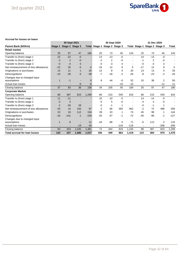

#### **Accrual for losses on loans**

|                                      |         |                          | 30 Sept 2021 |          | 30 Sept 2020         |                |                 |                | 31 Dec 2020          |       |                 |                |
|--------------------------------------|---------|--------------------------|--------------|----------|----------------------|----------------|-----------------|----------------|----------------------|-------|-----------------|----------------|
| <b>Parent Bank (NOKm)</b>            | Stage 1 | Stage 2 Stage 3          |              |          | <b>Total Stage 1</b> |                | Stage 2 Stage 3 |                | <b>Total Stage 1</b> |       | Stage 2 Stage 3 | <b>Total</b>   |
| <b>Retail market</b>                 |         |                          |              |          |                      |                |                 |                |                      |       |                 |                |
| Opening balance                      | 35      | 97                       | 47           | 180      | 25                   | 73             | 45              | 143            | 25                   | 73    | 45              | 143            |
| Transfer to (from) stage 1           | 22      | $-22$                    | $-0$         |          | 13                   | $-13$          | $-0$            | $\blacksquare$ | 14                   | $-13$ | $-0$            |                |
| Transfer to (from) stage 2           | $-2$    | $\overline{2}$           | -0           |          | $-2$                 | 2              | -0              |                | -1                   | 2     | -0              |                |
| Transfer to (from) stage 3           | $-0$    | $-4$                     | 5            |          | -0                   | $-3$           | 4               |                | $-0$                 | $-3$  | 3               |                |
| Net remeasurement of loss allowances | $-22$   | 25                       | $-5$         | $-2$     | $-16$                | 12             | 9               | 5              | $-17$                | 12    | 9               | 5              |
| Originations or purchases            | 14      | 11                       | $\mathbf{1}$ | 26       | 12                   | 8              | $\Omega$        | 20             | 13                   | 13    | 0               | 26             |
| Derecognitions                       | $-10$   | $-26$                    | $-3$         | $-38$    | $-7$                 | $-18$          | $-2$            | $-26$          | -8                   | $-23$ | $-2$            | $-33$          |
| Changes due to changed input         |         |                          |              |          |                      |                |                 |                |                      |       |                 |                |
| assumptions                          | 1       | $-1$                     |              | $\Omega$ | 8                    | 44             | $-0$            | 52             | 10                   | 38    | 2               | 50             |
| Actual loan losses                   |         | $\overline{\phantom{a}}$ | -9           | -9       |                      |                | $-10$           | $-10$          |                      |       | $-11$           | $-11$          |
| Closing balance                      | 37      | 83                       | 36           | 156      | 34                   | 105            | 45              | 184            | 35                   | 97    | 47              | 180            |
| <b>Corporate Market</b>              |         |                          |              |          |                      |                |                 |                |                      |       |                 |                |
| Opening balance                      | 88      | 387                      | 823          | 1,299    | 66                   | 210            | 540             | 816            | 66                   | 210   | 540             | 816            |
| Transfer to (from) stage 1           | 11      | $-11$                    |              |          | 10                   | $-10$          | -0              |                | 14                   | $-14$ | $-0$            | $\blacksquare$ |
| Transfer to (from) stage 2           | $-3$    | 3                        |              |          | $-5$                 | 5              | -0              |                | $-4$                 | 4     | -0              |                |
| Transfer to (from) stage 3           | $-2$    | $-26$                    | 28           |          | -0                   | -1             |                 |                | $-0$                 | -1    |                 |                |
| Net remeasurement of loss allowances | $-20$   | 14                       | 102          | 97       | 3                    | 66             | 393             | 462            | $-2$                 | 72    | 486             | 556            |
| Originations or purchases            | 23      | 19                       | 112          | 154      | 39                   | 33             | 1               | 74             | 45                   | 99    | 1               | 144            |
| Derecognitions                       | $-16$   | $-141$                   | $-1$         | $-159$   | $-25$                | $-47$          | -1              | $-72$          | $-30$                | $-96$ | $-1$            | $-127$         |
| Changes due to changed input         |         |                          |              |          |                      |                |                 |                |                      |       |                 |                |
| assumptions                          |         | 9                        |              | 11       | $-16$                | 88             | 0               | 71             | $-0$                 | 113   | 2               | 115            |
| Actual loan losses                   |         |                          | $-19$        | $-19$    | $\qquad \qquad$      | $\blacksquare$ | $-116$          | $-116$         |                      |       | $-206$          | $-206$         |
| Closing balance                      | 83      | 253                      | 1,045        | 1,381    | 72                   | 344            | 819             | 1,235          | 88                   | 387   | 823             | 1,299          |
| <b>Total accrual for loan losses</b> | 120     | 337                      | 1,080        | 1,537    | 106                  | 449            | 864             | 1,419          | 123                  | 484   | 870             | 1,478          |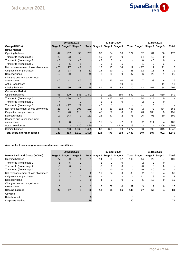

|                                      | 30 Sept 2020<br>30 Sept 2021 |                          |                 |        |                          |                          | 31 Dec 2020                   |                |                               |                          |        |                |
|--------------------------------------|------------------------------|--------------------------|-----------------|--------|--------------------------|--------------------------|-------------------------------|----------------|-------------------------------|--------------------------|--------|----------------|
| Group (NOKm)                         | Stage 1                      |                          | Stage 2 Stage 3 |        |                          |                          | Total Stage 1 Stage 2 Stage 3 |                | Total Stage 1 Stage 2 Stage 3 |                          |        | Total          |
| <b>Retail market</b>                 |                              |                          |                 |        |                          |                          |                               |                |                               |                          |        |                |
| Opening balance                      | 42                           | 107                      | 58              | 207    | 32                       | 84                       | 56                            | 172            | 32                            | 84                       | 56     | 172            |
| Transfer to (from) stage 1           | 23                           | $-23$                    | $-0$            |        | 15                       | $-14$                    | $-0$                          | $\blacksquare$ | 14                            | $-13$                    | $-0$   |                |
| Transfer to (from) stage 2           | $-3$                         | 3                        | $-0$            |        | $-2$                     | 3                        | $-1$                          |                | $\mathbf 0$                   | $-0$                     | $-0$   |                |
| Transfer to (from) stage 3           | $-0$                         | $-5$                     | 6               |        | $-0$                     | $-5$                     | 5                             |                | $-1$                          | $-2$                     | 3      |                |
| Net remeasurement of loss allowances | $-23$                        | 27                       | $-2$            |        | $-17$                    | 15                       | 14                            | 12             | $-17$                         | 11                       | 11     | 5              |
| Originations or purchases            | 16                           | 13                       | 3               | 32     | 14                       | 10                       | -1                            | 25             | 12                            | 15                       | 5      | 31             |
| Derecognitions                       | $-12$                        | $-30$                    | $-8$            | $-49$  | $-8$                     | $-20$                    | - 9                           | $-37$          | $-6$                          | $-20$                    | 1      | $-25$          |
| Changes due to changed input         |                              |                          |                 |        |                          |                          |                               |                |                               |                          |        |                |
| assumptions                          | $-0$                         | $-2$                     | $-5$            | $-7$   | 6                        | 43                       | $-0$                          | 49             | $\overline{7}$                | 33                       | $-6$   | 35             |
| Actual loan losses                   |                              | $\overline{\phantom{a}}$ | $-9$            | $-9$   | $\overline{\phantom{a}}$ | $\overline{\phantom{a}}$ | $-10$                         | $-10$          | $\overline{\phantom{a}}$      |                          | $-11$  | $-11$          |
| Closing balance                      | 43                           | 90                       | 41              | 174    | 41                       | 115                      | 54                            | 210            | 42                            | 107                      | 58     | 207            |
| <b>Corporate Market</b>              |                              |                          |                 |        |                          |                          |                               |                |                               |                          |        |                |
| Opening balance                      | 98                           | 399                      | 845             | 1,342  | 71                       | 217                      | 560                           | 849            | 71                            | 218                      | 560    | 849            |
| Transfer to (from) stage 1           | 16                           | $-16$                    | $-0$            |        | 12                       | $-12$                    | $-0$                          | $\blacksquare$ | 14                            | $-14$                    | $-0$   | $\blacksquare$ |
| Transfer to (from) stage 2           | $-4$                         | 4                        | $-0$            |        | $-5$                     | 5                        | $-0$                          |                | $-2$                          | 2                        | - 0    |                |
| Transfer to (from) stage 3           | $-2$                         | $-27$                    | 29              |        | $-0$                     | $-1$                     | 1                             |                | $-1$                          | $\Omega$                 |        |                |
| Net remeasurement of loss allowances | $-23$                        | 17                       | 108             | 102    | 6                        | 69                       | 392                           | 468            | $-2$                          | 72                       | 484    | 555            |
| Originations or purchases            | 26                           | 20                       | 113             | 159    | 42                       | 36                       | 8                             | 85             | 46                            | 103                      | 3      | 151            |
| Derecognitions                       | $-17$                        | $-143$                   | $-2$            | $-162$ | $-25$                    | $-47$                    | $-2$                          | $-75$          | $-26$                         | $-93$                    | 10     | $-109$         |
| Changes due to changed input         |                              |                          |                 |        |                          |                          |                               |                |                               |                          |        |                |
| assumptions                          | $-1$                         | 8                        | $-2$            | 4      | $-17$                    | 87                       | $-2$                          | 68             | $-2$                          | 111                      | - 4    | 106            |
| Actual loan losses                   |                              |                          | $-20$           | $-20$  |                          |                          | $-119$                        | $-119$         | $\blacksquare$                | $\overline{\phantom{0}}$ | $-209$ | $-209$         |
| Closing balance                      | 92                           | 263                      | 1,069           | 1,425  | 83                       | 355                      | 839                           | 1,277          | 98                            | 399                      | 845    | 1,342          |
| <b>Total accrual for loan losses</b> | 136                          | 353                      | 1,110           | 1,599  | 124                      | 470                      | 893                           | 1,487          | 140                           | 507                      | 902    | 1,549          |

#### **Accrual for losses on guarantees and unused credit lines**

|                                      |         | 30 Sept 2021 |                          |                 |                          |       | 30 Sept 2020             |                | 31 Dec 2020    |                               |       |                |
|--------------------------------------|---------|--------------|--------------------------|-----------------|--------------------------|-------|--------------------------|----------------|----------------|-------------------------------|-------|----------------|
| <b>Parent Bank and Group (NOKm)</b>  | Stage 1 |              | Stage 2 Stage 3          |                 | <b>Total Stage 1</b>     |       | Stage 2 Stage 3          |                |                | Total Stage 1 Stage 2 Stage 3 |       | Total          |
| Opening balance                      | 27      | 50           | 4                        | 81              | 14                       | 29    | 57                       | 100            | 14             | 29                            | 57    | 100            |
| Transfer to (from) stage 1           | 5       | $-5$         | $-0$                     |                 | 2                        | $-2$  | -0                       |                | 2              | $-2$                          | - 0   | $\blacksquare$ |
| Transfer to (from) stage 2           | -6      | 6            |                          |                 | -0                       | 0     | $-0$                     | $\blacksquare$ | - 0            | 0                             | - 0   |                |
| Transfer to (from) stage 3           | $-0$    | $-1$         |                          |                 | -0                       | $-0$  | 0                        |                | - 0            | - 0                           | 0     |                |
| Net remeasurement of loss allowances | $-7$    | 7            | $-2$                     | $-2$            | $-11$                    | $-24$ | $-0$                     | $-35$          | $\overline{c}$ | 16                            | $-54$ | $-36$          |
| Originations or purchases            | 8       | 3            | $\overline{0}$           | 10 <sup>1</sup> | $\overline{\phantom{0}}$ |       | $\overline{\phantom{0}}$ |                | 11             | 8                             | 0     | 19             |
| Derecognitions                       | $-5$    | $-4$         | $-0$                     | $-9$            | $-4$                     | -3    | $-0$                     | $-7$           | $-5$           | $-13$                         | - 0   | $-19$          |
| Changes due to changed input         |         |              |                          |                 |                          |       |                          |                |                |                               |       |                |
| assumptions                          | 0       |              | $\overline{\phantom{0}}$ |                 | 18                       | 68    | 0                        | 87             | 3              | 12                            | 0     | 16             |
| <b>Closing balance</b>               | 22      | 57           | 3                        | 82              | 18                       | 68    | 56                       | 143            | 27             | 50                            | 4     | 81             |
| Of which                             |         |              |                          |                 |                          |       |                          |                |                |                               |       |                |
| Retail market                        |         |              |                          |                 |                          |       |                          |                |                |                               |       |                |
| <b>Corporate Market</b>              |         |              |                          | 79              |                          |       |                          | 140            |                |                               |       | 79             |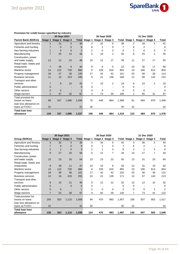

|                           |                | 30 Sept 2021            |          |                |                      |     | 30 Sept 2020    |       | 31 Dec 2020    |                               |                |       |  |
|---------------------------|----------------|-------------------------|----------|----------------|----------------------|-----|-----------------|-------|----------------|-------------------------------|----------------|-------|--|
| <b>Parent Bank (NOKm)</b> |                | Stage 1 Stage 2 Stage 3 |          |                | <b>Total Stage 1</b> |     | Stage 2 Stage 3 |       |                | Total Stage 1 Stage 2 Stage 3 |                | Total |  |
| Agriculture and forestry  | $\overline{2}$ | 31                      | 3        | 36             | $\overline{2}$       | 32  | 5               | 39    | $\overline{2}$ | 34                            | 5              | 41    |  |
| Fisheries and hunting     |                | $\Omega$                | 0        | 8              | 6                    |     | 0               | 7     | 6              | 2                             |                | 8     |  |
| Sea farming industries    |                | $\Omega$                | $\Omega$ | $\overline{2}$ | $\overline{2}$       | 0   | 3               | 5     | 2              | 0                             | 3              | 5     |  |
| Manufacturing             | 7              | 25                      | 14       | 46             | 5                    | 18  | $\overline{2}$  | 26    | 8              | 25                            | 2              | 35    |  |
| Construction, power       |                |                         |          |                |                      |     |                 |       |                |                               |                |       |  |
| and water supply          | 12             | 12                      | 22       | 46             | 10                   | 12  | 17              | 39    | 11             | 27                            | 17             | 55    |  |
| Retail trade, hotels and  |                |                         |          |                |                      |     |                 |       |                |                               |                |       |  |
| restaurants               | $\overline{7}$ | 28                      | 9        | 44             | 9                    | 9   | 5               | 23    | 10             | 30                            | 17             | 58    |  |
| Maritime sector           | 14             | 122                     | 730      | 866            | 6                    | 229 | 619             | 855   | 10             | 180                           | 614            | 804   |  |
| Property management       | 18             | 47                      | 35       | 100            | 17                   | 42  | 42              | 101   | 20             | 56                            | 38             | 114   |  |
| <b>Business services</b>  | 11             | 15                      | 223      | 249            | 9                    | 21  | 138             | 168   | 12             | 56                            | 142            | 210   |  |
| Transport and other       |                |                         |          |                |                      |     |                 |       |                |                               |                |       |  |
| services                  | 7              | 8                       | 10       | 25             | 7                    | 10  | $\overline{2}$  | 19    | 8              | 10                            | $\overline{2}$ | 19    |  |
| Public administration     | 0              |                         |          | 0              | 0                    |     |                 | 0     | $\Omega$       |                               |                | 0     |  |
| Other sectors             | $\Omega$       | $\mathbf{0}$            |          |                | 0                    | 0   |                 | 0     | $\Omega$       | $\Omega$                      |                | 0     |  |
| Wage earners              | $\overline{2}$ | 47                      | 32       | 82             | 3                    | 73  | 30              | 106   | 2              | 65                            | 31             | 97    |  |
| Total provision for       |                |                         |          |                |                      |     |                 |       |                |                               |                |       |  |
| losses on loans           | 89             | 337                     | 1,080    | 1,506          | 75                   | 449 | 864             | 1,388 | 91             | 484                           | 870            | 1,446 |  |
| loan loss allowance on    |                |                         |          |                |                      |     |                 |       |                |                               |                |       |  |
| loans at FVOCI            | 31             |                         |          | 31             | 30                   |     |                 | 30    | 32             |                               |                | 32    |  |
| <b>Total loan loss</b>    |                |                         |          |                |                      |     |                 |       |                |                               |                |       |  |
| allowance                 | 120            | 337                     | 1,080    | 1,537          | 106                  | 449 | 864             | 1,419 | 123            | 484                           | 870            | 1,478 |  |

#### **Provision for credit losses specified by industry**

|                          |                | 30 Sept 2021 |                 |          | 30 Sept 2020         |     |                 |                | 31 Dec 2020                   |          |                |                |  |
|--------------------------|----------------|--------------|-----------------|----------|----------------------|-----|-----------------|----------------|-------------------------------|----------|----------------|----------------|--|
| Group (NOKm)             | Stage 1        |              | Stage 2 Stage 3 |          | <b>Total Stage 1</b> |     | Stage 2 Stage 3 |                | Total Stage 1 Stage 2 Stage 3 |          |                | Total          |  |
| Agriculture and forestry | 3              | 32           | 4               | 39       | 3                    | 34  | 5               | 42             | 3                             | 36       | 5              | 44             |  |
| Fisheries and hunting    |                | $\Omega$     | 0               | 8        | 6                    |     | 0               |                | 6                             | 2        |                | 8              |  |
| Sea farming industries   | $\overline{2}$ |              | 0               | 3        | 2                    |     | 3               | 6              | 3                             |          | 3              | 6              |  |
| Manufacturing            | 9              | 27           | 20              | 56       | 6                    | 21  | 7               | 34             | 10                            | 27       | $\overline{7}$ | 44             |  |
| Construction, power      |                |              |                 |          |                      |     |                 |                |                               |          |                |                |  |
| and water supply         | 15             | 15           | 25              | 54       | 13                   | 15  | 22              | 50             | 13                            | 31       | 20             | 64             |  |
| Retail trade, hotels and |                |              |                 |          |                      |     |                 |                |                               |          |                |                |  |
| restaurants              | 8              | 28           | 11              | 47       | 10                   | 10  | 6               | 26             | 12                            | 31       | 19             | 62             |  |
| Maritime sector          | 14             | 122          | 730             | 866      | 6                    | 229 | 619             | 855            | 10                            | 180      | 614            | 804            |  |
| Property management      | 18             | 48           | 36              | 101      | 17                   | 42  | 42              | 102            | 20                            | 56       | 39             | 115            |  |
| <b>Business services</b> | 12             | 16           | 226             | 255      | 10                   | 22  | 139             | 171            | 13                            | 57       | 143            | 213            |  |
| Transport and other      |                |              |                 |          |                      |     |                 |                |                               |          |                |                |  |
| services                 | 9              | 10           | 21              | 40       | 9                    | 12  | 12              | 32             | 10                            | 12       | 10             | 32             |  |
| Public administration    | $\Omega$       |              | $\Omega$        | $\Omega$ | 0                    |     |                 | 0              | $\mathbf 0$                   |          |                | $\Omega$       |  |
| Other sectors            | $\Omega$       | $\Omega$     |                 |          | $\overline{c}$       | 0   | 0               | $\overline{2}$ | $\Omega$                      | $\Omega$ | $\overline{2}$ | $\overline{2}$ |  |
| Wage earners             | 7              | 53           | 36              | 97       | 9                    | 82  | 39              | 130            | 7                             | 73       | 41             | 122            |  |
| Total provision for      |                |              |                 |          |                      |     |                 |                |                               |          |                |                |  |
| losses on loans          | 105            | 353          | 1,110           | 1,568    | 94                   | 470 | 893             | 1,457          | 108                           | 507      | 902            | 1,517          |  |
| loan loss allowance on   |                |              |                 |          |                      |     |                 |                |                               |          |                |                |  |
| loans at FVOCI           | 31             |              |                 | 31       | 30                   |     |                 | 30             | 32                            |          |                | 32             |  |
| <b>Total loan loss</b>   |                |              |                 |          |                      |     |                 |                |                               |          |                |                |  |
| allowance                | 136            | 353          | 1,110           | 1,599    | 124                  | 470 | 893             | 1,487          | 140                           | 507      | 902            | 1,549          |  |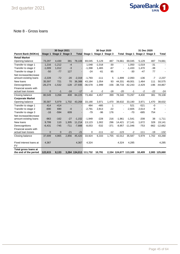

### Note 8 - Gross loans

|                                               |              | 30 Sept 2021            |        |                       |             | 30 Sept 2020<br>31 Dec 2020   |        |                       |                      |                 |        |               |
|-----------------------------------------------|--------------|-------------------------|--------|-----------------------|-------------|-------------------------------|--------|-----------------------|----------------------|-----------------|--------|---------------|
| <b>Parent Bank (NOKm)</b>                     |              | Stage 1 Stage 2 Stage 3 |        |                       |             | Total Stage 1 Stage 2 Stage 3 |        |                       | <b>Total Stage 1</b> | Stage 2 Stage 3 |        | Total         |
| <b>Retail Market</b>                          |              |                         |        |                       |             |                               |        |                       |                      |                 |        |               |
| Opening balance                               | 73,297       | 4,430                   | 381    | 78,108                | 69,045      | 5,129                         | 487    | 74,661                | 69,045               | 5,129           | 487    | 74,661        |
| Transfer to stage 1                           | 1,216        | $-1,212$                | $-4$   |                       | 1,048       | $-1,018$                      | $-30$  | $\blacksquare$        | 1,050                | $-1,019$        | $-31$  |               |
| Transfer to stage 2                           | $-1,009$     | 1,012                   | $-3$   |                       | $-1,398$    | 1,465                         | $-67$  | ÷,                    | $-1,433$             | 1,470           | $-38$  |               |
| Transfer to stage 3                           | $-50$        | $-77$                   | 127    |                       | $-24$       | $-61$                         | 85     |                       | $-30$                | $-47$           | 77     |               |
| Net increase/decrease                         |              |                         |        |                       |             |                               |        |                       |                      |                 |        |               |
| amount existing loans                         | $-2,228$     | $-72$                   | $-20$  | $-2,319$              | $-1,793$    | $-111$                        | 5      | $-1,899$              | $-2,093$             | $-136$          | $-7$   | $-2,237$      |
| New loans                                     | 35,597       | 721                     | 70     | 36,388                | 43,184      | 1,054                         | 93     | 44.331                | 49,001               | 1,464           | 111    | 50,575        |
| Derecognitions                                | $-26,274$    | $-1,532$                | $-128$ | $-27,935$             | $-36,578$   | $-1,999$                      | $-156$ | $-38,733$             | $-42,243$            | $-2,429$        | $-196$ | $-44,867$     |
| Financial assets with                         |              |                         |        |                       |             |                               |        |                       |                      |                 |        |               |
| actual loan losses                            | $\mathbf{0}$ | $-1$                    | $-16$  | $-17$                 | $-0$        | $-2$                          | $-18$  | $-20$                 | $-1$                 | $-2$            | $-22$  | $-24$         |
| Closing balance                               | 80,549       | 3,268                   | 408    | 84,225                | 73,484      | 4,457                         | 399    | 78,340                | 73,297               | 4,430           | 381    | 78,108        |
| <b>Corporate Market</b>                       |              |                         |        |                       |             |                               |        |                       |                      |                 |        |               |
| Opening balance                               | 35,587       | 5,979                   | 1,702  | 43,268                | 33,190      | 3,971                         | 1,470  | 38,632                | 33,190               | 3,971           | 1,470  | 38,632        |
| Transfer to stage 1                           | 414          | $-414$                  |        |                       | 484         | $-485$                        | 1      |                       | 521                  | $-521$          | $-0$   |               |
| Transfer to stage 2                           | $-690$       | 690                     | $-0$   |                       | $-2,791$    | 2,813                         | $-22$  |                       | $-2,605$             | 2,614           | -9     |               |
| Transfer to stage 3                           | $-16$        | $-594$                  | 609    |                       | $-79$       | $-96$                         | 176    |                       | $-70$                | $-685$          | 754    |               |
| Net increase/decrease                         |              |                         |        |                       |             |                               |        |                       |                      |                 |        |               |
| amount existing loans                         | $-963$       | $-162$                  | $-27$  | $-1,152$              | $-1,949$    | $-228$                        | 216    | $-1.961$              | $-1,541$             | $-208$          | 38     | $-1,711$      |
| New loans                                     | 9,799        | 110                     | 1,305  | 11,214                | 13,123      | 1,002                         | 296    | 14,421                | 17,141               | 1,672           | 328    | 19,141        |
| Derecognitions                                | $-6,431$     | $-745$                  | $-711$ | $-7,888$              | $-8,053$    | $-532$                        | $-371$ | $-8,957$              | $-11,046$            | $-753$          | $-862$ | $-12,662$     |
| Financial assets with                         |              |                         |        |                       |             |                               |        |                       |                      |                 |        |               |
| actual loan losses                            | $\mathbf{0}$ | $\mathbf{0}$            | $-21$  | $-21$                 | $\mathbf 0$ | $-111$                        | $-12$  | $-123$                | $-2$                 | $-111$          | $-19$  | $-132$        |
| Closing balance                               | 37,699       | 4,865                   | 2,856  | 45,420                | 33,924      | 6,333                         | 1,755  | 42,012                | 35,587               | 5,979           | 1,702  | 43,268        |
|                                               |              |                         |        |                       |             |                               |        |                       |                      |                 |        |               |
| Fixed interest loans at<br><b>FV</b>          | 4,367        |                         |        | 4,367                 | 4,324       |                               |        | 4,324                 | 4,285                |                 |        | 4,285         |
| Total gross loans at<br>the end of the period | 122,615      | 8,133                   |        | 3,264 134,013 111,732 |             | 10,791                        |        | 2,154 124,677 113,169 |                      | 10,409          |        | 2,083 125,660 |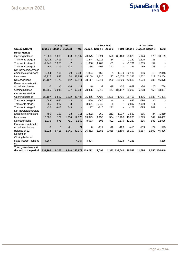

|                         | 30 Sept 2021 |                 |        |           |                       |                               | 30 Sept 2020 |                       | 31 Dec 2020 |                               |        |                |  |
|-------------------------|--------------|-----------------|--------|-----------|-----------------------|-------------------------------|--------------|-----------------------|-------------|-------------------------------|--------|----------------|--|
| Group (NOKm)            | Stage 1      | Stage 2 Stage 3 |        |           |                       | Total Stage 1 Stage 2 Stage 3 |              |                       |             | Total Stage 1 Stage 2 Stage 3 |        | <b>Total</b>   |  |
| <b>Retail Market</b>    |              |                 |        |           |                       |                               |              |                       |             |                               |        |                |  |
| Opening balance         | 78,206       | 5,208           | 453    | 83,867    | 73,675                | 5,924                         | 570          | 80,169                | 73,675      | 5,924                         | 570    | 80,169         |  |
| Transfer to stage 1     | 1,418        | $-1,413$        | $-4$   |           | 1,244                 | $-1,211$                      | $-34$        | $\blacksquare$        | 1.260       | $-1,225$                      | $-35$  | $\blacksquare$ |  |
| Transfer to stage 2     | $-1,245$     | 1,253           | $-7$   |           | $-1.686$              | 1.767                         | $-81$        |                       | $-1,731$    | 1.785                         | $-54$  |                |  |
| Transfer to stage 3     | $-59$        | $-119$          | 178    |           | $-35$                 | $-106$                        | 141          |                       | $-44$       | $-89$                         | 133    |                |  |
| Net increase/decrease   |              |                 |        |           |                       |                               |              |                       |             |                               |        |                |  |
| amount existing loans   | $-2,254$     | $-106$          | $-29$  | $-2,388$  | $-1,824$              | $-156$                        | 1            | $-1,979$              | $-2,136$    | $-196$                        | $-15$  | $-2,346$       |  |
| New loans               | 37,915       | 892             | 74     | 38,881    | 45.169                | 1,210                         | 97           | 46.475                | 51,383      | 1,702                         | 119    | 53,204         |  |
| Derecognitions          | $-28,197$    | $-1,772$        | $-142$ | $-30,111$ | $-38,117$             | $-2,211$                      | $-200$       | $-40,529$             | $-43,512$   | $-2,624$                      | $-239$ | $-46,375$      |  |
| Financial assets with   |              |                 |        |           |                       |                               |              |                       |             |                               |        |                |  |
| actual loan losses      | $-0$         | $-1$            | $-16$  | $-17$     | $-0$                  | $-2$                          | $-18$        | $-20$                 | $-689$      | $-70$                         | $-25$  | $-784$         |  |
| Closing balanse         | 85,785       | 3,941           | 507    | 90,233    | 78,425                | 5,215                         | 477          | 84,117                | 78,206      | 5,208                         | 453    | 83,867         |  |
| <b>Corporate Market</b> |              |                 |        |           |                       |                               |              |                       |             |                               |        |                |  |
| Opening balance         | 38,107       | 6,587           | 1,802  | 46,496    | 35,466                | 4,426                         | 1,539        | 41,431                | 35,466      | 4,426                         | 1,539  | 41,431         |  |
| Transfer to stage 1     | 649          | $-646$          | $-3$   |           | 650                   | $-646$                        | $-4$         | $\blacksquare$        | 693         | $-690$                        | $-4$   |                |  |
| Transfer to stage 2     | $-985$       | 987             | $-3$   |           | $-3,021$              | 3,045                         | $-25$        |                       | $-2,897$    | 2,909                         | $-11$  |                |  |
| Transfer to stage 3     | $-26$        | $-617$          | 643    |           | $-117$                | $-115$                        | 231          |                       | $-107$      | $-695$                        | 801    |                |  |
| Net increase/decrease   |              |                 |        |           |                       |                               |              |                       |             |                               |        |                |  |
| amount existing loans   | $-480$       | $-198$          | $-33$  | $-711$    | $-1,882$              | $-269$                        | 213          | $-1,937$              | $-1,589$    | $-265$                        | 34     | $-1,819$       |  |
| New loans               | 10,685       | 179             | 1,306  | 12,170    | 13,949                | 1,156                         | 304          | 15,408                | 18,238      | 1,875                         | 349    | 20,462         |  |
| Derecognitions          | $-6,936$     | $-875$          | $-751$ | $-8,562$  | $-8,583$              | $-605$                        | $-391$       | $-9,579$              | $-11,287$   | $-815$                        | $-883$ | $-12,985$      |  |
| Financial assets with   |              |                 |        |           |                       |                               |              |                       |             |                               |        |                |  |
| actual loan losses      | $\Omega$     | $\mathbf{0}$    | $-21$  | $-21$     | 0                     | $-111$                        | $-12$        | $-123$                | $-410$      | $-159$                        | $-24$  | $-593$         |  |
| Balance at 31           | 41,014       | 5,416           | 2,941  | 49,372    | 36,462                | 6,881                         | 1,855        | 45,199                | 38,107      | 6,587                         | 1,802  | 46,496         |  |
| December                |              |                 |        |           |                       |                               |              |                       |             |                               |        |                |  |
| Closing balanse         |              |                 |        |           |                       |                               |              |                       |             |                               |        |                |  |
| Fixed interest loans at | 4,367        |                 |        | 4,367     | 4,324                 |                               |              | 4,324                 | 4,285       |                               |        | 4,285          |  |
| <b>FV</b>               |              |                 |        |           |                       |                               |              |                       |             |                               |        |                |  |
| Total gross loans at    |              |                 |        |           |                       |                               |              |                       |             |                               |        |                |  |
| the end of the period   | 131,166      | 9,357           |        |           | 3,448 143,972 119,212 | 12,097                        |              | 2,332 133,640 120,598 |             | 11,794                        |        | 2,255 134,648  |  |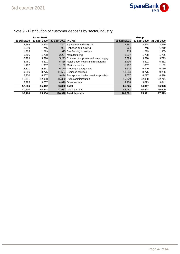

|             | <b>Parent Bank</b> |                     |                                              |              | Group        |             |
|-------------|--------------------|---------------------|----------------------------------------------|--------------|--------------|-------------|
| 31 Dec 2020 | 30 Sept 2020       | 30 Sept 2021 (NOKm) |                                              | 30 Sept 2021 | 30 Sept 2020 | 31 Dec 2020 |
| 2,269       | 2,374              |                     | 2,247 Agriculture and forestry               | 2,247        | 2,374        | 2,269       |
| 1,210       | 745                |                     | 964 Fisheries and hunting                    | 964          | 745          | 1,210       |
| 1,305       | 1,219              |                     | 915 Sea farming industries                   | 915          | 1.219        | 1,305       |
| 1,796       | 1,738              |                     | 2,297 Manufacturing                          | 2,297        | 1,738        | 1,796       |
| 3,799       | 3,510              |                     | 5,293 Construction, power and water supply   | 5,293        | 3,510        | 3,799       |
| 5,461       | 4,801              |                     | 5,436 Retail trade, hotels and restaurants   | 5,436        | 4,801        | 5,461       |
| 1,182       | 1,087              |                     | 1.102 Maritime sector                        | 1,102        | 1,087        | 1,182       |
| 5,821       | 6,411              |                     | 6,170 Property management                    | 6,112        | 6,340        | 5,750       |
| 9,286       | 8,775              |                     | 11,534 Business services                     | 11,534       | 8,775        | 9,286       |
| 8,930       | 8,657              |                     | 9,494 Transport and other services provision | 9,057        | 8,297        | 8,518       |
| 12,711      | 12,338             |                     | 16,300 Public administration                 | 16,300       | 12,338       | 12,711      |
| 3,795       | 3,757              |                     | 4,610 Other sectors                          | 4,468        | 3,623        | 3,641       |
| 57,566      | 55,412             | 66.362 Total        |                                              | 65,725       | 54,847       | 56,928      |
| 40,600      | 40,544             |                     | 43,967 Wage earners                          | 43,967       | 40,544       | 40,600      |
| 98,166      | 95,956             |                     | 110,328 Total deposits                       | 109,691      | 95,391       | 97,529      |

# Note 9 - Distribution of customer deposits by sector/industry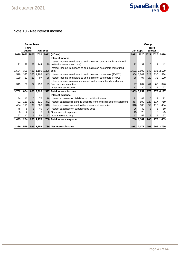

# Note 10 - Net interest income

|       |                          | <b>Parent bank</b> |           |                   |                                                                              | Group       |             |              |           |           |  |  |
|-------|--------------------------|--------------------|-----------|-------------------|------------------------------------------------------------------------------|-------------|-------------|--------------|-----------|-----------|--|--|
|       | <b>Third</b>             |                    |           |                   |                                                                              |             |             | <b>Third</b> |           |           |  |  |
|       | quarter                  |                    |           | Jan-Sept          |                                                                              |             | Jan-Sept    | quarter      |           |           |  |  |
|       | 2020 2020 2021           |                    | 2020      |                   | 2021 (NOKm)                                                                  | 2021        | 2020        |              | 2021 2020 | 2020      |  |  |
|       |                          |                    |           |                   | Interest income                                                              |             |             |              |           |           |  |  |
|       |                          |                    |           |                   | Interest income from loans to and claims on central banks and credit         |             |             |              |           |           |  |  |
| 171   | 28                       | 27                 | 144       |                   | 90 institutions (amortised cost)                                             | 22          | 37          | 5            | 4         | 42        |  |  |
|       |                          |                    |           |                   | Interest income from loans to and claims on customers (amortised             |             |             |              |           |           |  |  |
| 1,584 | 399                      | 421                |           | 1,199 1,206 cost) |                                                                              |             | 1,591 1,602 | 549          |           | 531 2,120 |  |  |
| 1,519 | 327                      |                    | 320 1,198 |                   | 943 Interest income from loans to and claims on customers (FVOCI)            |             | 954 1.209   | 323          |           | 330 1,534 |  |  |
| 129   | 32                       | 29                 | 97        |                   | 88 Interest income from loans to and claims on customers (FVPL)              | 88          | 97          | 29           | 32        | 129       |  |  |
|       |                          |                    |           |                   | Interest income from money market instruments, bonds and other               |             |             |              |           |           |  |  |
| 349   | 68                       | 62                 | 290       |                   | 199 fixed income securities                                                  | 197         | 287         | 61           | 68        | 346       |  |  |
|       | $\overline{\phantom{a}}$ |                    |           |                   | - Other interest income                                                      | 17          | 20          | 5            | 7         | 27        |  |  |
| 3,752 | 854                      |                    |           |                   | 858 2.928 2.527 Total interest income                                        | 2.869 3.252 |             | 973          |           | 972 4,197 |  |  |
|       |                          |                    |           |                   | Interest expense                                                             |             |             |              |           |           |  |  |
| 84    | 12                       | 5                  | 75        |                   | 19 Interest expenses on liabilities to credit institutions                   | 21          | 83          | 6            | 13        | 92        |  |  |
| 731   | 119                      | 130                | 611       |                   | 372 Interest expenses relating to deposits from and liabilities to customers | 367         | 599         | 128          | 117       | 719       |  |  |
| 484   | 115                      | 99                 | 386       |                   | 310 Interest expenses related to the issuance of securities                  | 310         | 386         | 99           | 115       | 484       |  |  |
| 48    | 8                        | 8                  | 40        |                   | 24 Interest expenses on subordinated debt                                    | 26          | 42          | 8            | 8         | 50        |  |  |
| 8     | $\overline{2}$           | $\overline{2}$     | 6         |                   | 6 Other interest expenses                                                    | 15          | 20          | 5            | 6         | 25        |  |  |
| 67    | 17                       | 19                 | 52        |                   | 57 Guarantee fund levy                                                       | 57          | 52          | 19           | 17        | 67        |  |  |
| 1,423 | 274                      |                    | 263 1,170 |                   | 788 Total interest expense                                                   |             | 796 1,181   | 266          |           | 277 1,439 |  |  |
|       |                          |                    |           |                   |                                                                              |             |             |              |           |           |  |  |
| 2,329 | 579                      |                    |           |                   | 595 1,758 1,739 Net interest income                                          | 2,073 2,071 |             | 707          |           | 695 2,759 |  |  |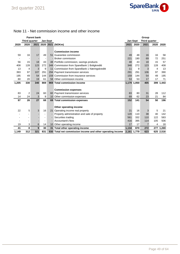

### Note 11 - Net commission income and other income

|       |               | <b>Parent bank</b> |                          |                 |                                                            | Group       |             |                      |      |           |
|-------|---------------|--------------------|--------------------------|-----------------|------------------------------------------------------------|-------------|-------------|----------------------|------|-----------|
|       | Third quarter |                    |                          | <b>Jan-Sept</b> |                                                            |             | Jan-Sept    | <b>Third quarter</b> |      |           |
| 2020  | 2020          |                    |                          |                 | 2021 2020 2021 (NOKm)                                      | 2021        | 2020        | 2021                 | 2020 | 2020      |
|       |               |                    |                          |                 |                                                            |             |             |                      |      |           |
|       |               |                    |                          |                 | <b>Commission income</b>                                   |             |             |                      |      |           |
| 59    | 16            | 17                 | 49                       | 51              | Guarantee commission                                       | 49          | 48          | 16                   | 16   | 58        |
|       |               |                    | $\overline{\phantom{a}}$ |                 | <b>Broker commission</b>                                   | 221         | 190         | 69                   | 72   | 251       |
| 56    | 15            | 18                 | 43                       |                 | 48 Portfolio commission, savings products                  | 48          | 43          | 18                   | 15   | 57        |
| 408   | 128           | 123                | 272                      |                 | 348 Commission from SpareBank 1 Boligkreditt               | 348         | 272         | 123                  | 128  | 408       |
| 13    | 4             | 3                  | 9                        | 11              | Commission from SpareBank 1 Næringskreditt                 | 11          | 9           | 3                    | 4    | 13        |
| 393   | 97            | 107                | 291                      |                 | 294 Payment transmission services                          | 291         | 291         | 106                  | 97   | 390       |
| 195   | 49            | 54                 | 144                      |                 | 159 Commission from insurance services                     | 159         | 144         | 54                   | 49   | 195       |
| 80    | 20            | 19                 | 61                       |                 | 58 Other commission income                                 | 53          | 53          | 17                   | 17   | 71        |
| 1,205 | 330           | 340                | 869                      |                 | 969 Total commission income                                |             | 1,179 1,050 | 405                  | 399  | 1,443     |
|       |               |                    |                          |                 |                                                            |             |             |                      |      |           |
|       |               |                    |                          |                 | <b>Commission expenses</b>                                 |             |             |                      |      |           |
| 83    | 2             | 24                 | 60                       |                 | 60 Payment transmission services                           | 83          | 80          | 31                   | 28   | 112       |
| 14    | 24            | 3                  | 9                        |                 | 10 Other commission expenses                               | 69          | 62          | 23                   | 21   | 84        |
| 97    | 26            | 27                 | 68                       |                 | 69 Total commission expenses                               | 152         | 141         | 54                   | 50   | 196       |
|       |               |                    |                          |                 |                                                            |             |             |                      |      |           |
|       |               |                    |                          |                 | Other operating income                                     |             |             |                      |      |           |
| 22    | 5             | 3                  | 16                       |                 | 21 Operating income real property                          | 21          | 16          | 3                    | 5    | 21        |
|       |               |                    | ٠                        |                 | Property administration and sale of property               | 120         | 110         | 38                   | 40   | 142       |
|       |               |                    | ۰                        |                 | Securities trading                                         | 561         | 332         | 110                  | 122  | 583       |
|       |               |                    | ٠                        |                 | Accountant's fees                                          | 416         | 395         | 114                  | 105  | 506       |
| 19    | 3             | 6                  | 14                       |                 | 10 Other operating income                                  | 17          | 17          | 7                    | 4    | 18        |
| 41    | 8             | 9                  | 30                       |                 | 31 Total other operating income                            | 1,134       | 870         | 272                  |      | 277 1,269 |
| 1,149 | 312           | 321                | 831                      |                 | 930 Total net commission income and other operating income | 2,161 1,779 |             | 623                  |      | 625 2,516 |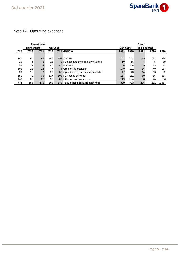

# Note 12 - Operating expenses

| <b>Parent bank</b> |               |      |                 |                                        |                 |      | Group         |      |       |  |  |
|--------------------|---------------|------|-----------------|----------------------------------------|-----------------|------|---------------|------|-------|--|--|
|                    | Third quarter |      | <b>Jan-Sept</b> |                                        | <b>Jan-Sept</b> |      | Third quarter |      |       |  |  |
| 2020               | 2020          | 2021 | 2020            | 2021 (NOKm)                            | 2021            | 2020 | 2021          | 2020 | 2020  |  |  |
|                    |               |      |                 |                                        |                 |      |               |      |       |  |  |
| 246                | 60            | 62   | 185             | 192 IT costs                           | 262             | 251  | 85            | 81   | 334   |  |  |
| 15                 | 4             | 3    | 13              | 8 Postage and transport of valuables   | 10              | 16   | 4             | 5    | 19    |  |  |
| 52                 | 13            | 14   | 41              | 40 Marketing                           | 56              | 58   | 19            | 18   | 73    |  |  |
| 102                | 25            | 24   | 77              | 74 Ordinary depreciation               | 149             | 121  | 56            | 40   | 164   |  |  |
| 39                 | 11            | 9    | 27              | 32 Operating expenses, real properties | 47              | 40   | 14            | 16   | 62    |  |  |
| 150                | 41            | 36   | 117             | 105 Purchased services                 | 167             | 161  | 60            | 56   | 217   |  |  |
| 140                | 31            | 27   | 98              | 88 Other operating expense             | 119             | 134  | 38            | 44   | 186   |  |  |
| 744                | 185           | 176  | 560             | 540 Total other operating expenses     | 809             | 783  | 275           | 261  | 1.054 |  |  |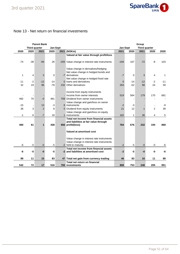

### Note 13 - Net return on financial investments

|       |                      | <b>Parent Bank</b> |       |          |                                                | Group           |       |               |                |       |
|-------|----------------------|--------------------|-------|----------|------------------------------------------------|-----------------|-------|---------------|----------------|-------|
|       | <b>Third quarter</b> |                    |       | Jan-Sept |                                                | <b>Jan-Sept</b> |       | Third quarter |                |       |
| 2020  | 2020                 | 2021               | 2020  |          | 2021 (NOKm)                                    | 2021            | 2020  | 2021          | 2020           | 2020  |
|       |                      |                    |       |          | Valued at fair value through profit/loss       |                 |       |               |                |       |
|       |                      |                    |       |          |                                                |                 |       |               |                |       |
| $-74$ | $-39$                | $-94$              | 26    |          | -293 Value change in interest rate instruments | $-194$          | 167   | $-72$         | -8             | 103   |
|       |                      |                    |       |          |                                                |                 |       |               |                |       |
|       |                      |                    |       |          | Value change in derivatives/hedging            |                 |       |               |                |       |
|       |                      |                    |       |          | Net value change in hedged bonds and           |                 |       |               |                |       |
| 1     | 4                    | 3                  | 0     |          | -7 derivatives                                 | $-7$            | 0     | 3             | $\overline{4}$ | 1     |
|       |                      |                    |       |          | Net value change in hedged fixed rate          |                 |       |               |                |       |
| -11   | $-2$                 | $-12$              | -14   |          | 0 loans and derivatives                        | $\overline{0}$  | $-14$ | $-12$         | -2             | $-11$ |
| 32    | 19                   | 96                 | $-78$ |          | 232 Other derivatives                          | 263             | $-52$ | 98            | 24             | 59    |
|       |                      |                    |       |          |                                                |                 |       |               |                |       |
|       |                      |                    |       |          | Income from equity instruments                 |                 |       |               |                |       |
|       |                      |                    |       |          | - Income from owner interests                  | 519             | 564   | 179           | 170            | 681   |
| 492   | 70                   | $-0$               | 481   |          | 709 Dividend from owner instruments            |                 |       |               |                |       |
|       |                      |                    |       |          | Value change and gain/loss on owner            |                 |       |               |                |       |
| $-15$ |                      | 13                 | $-3$  |          | 8 instruments                                  | $-2$            | $-3$  |               |                | -9    |
| 36    | 3                    | $\overline{2}$     | 8     |          | 5 Dividend from equity instruments             | 21              | 12    |               | $\overline{2}$ | 39    |
|       |                      |                    |       |          | Value change and gain/loss on equity           |                 |       |               |                |       |
| $-1$  | 6                    | $-7$               | 18    |          | 1 instruments                                  | 162             | 1     | 36            | 4              | 5     |
|       |                      |                    |       |          | Total net income from financial assets         |                 |       |               |                |       |
|       |                      |                    |       |          | and liabilities at fair value through          |                 |       |               |                |       |
| 460   | 61                   | 1                  | 438   |          | 656 profit/(loss)                              | 764             | 676   | 232           | 194            | 868   |
|       |                      |                    |       |          |                                                |                 |       |               |                |       |
|       |                      |                    |       |          | Valued at amortised cost                       |                 |       |               |                |       |
|       |                      |                    |       |          |                                                |                 |       |               |                |       |
|       |                      |                    |       |          | Value change in interest rate instruments      |                 |       |               |                |       |
|       |                      |                    |       |          | Value change in interest rate instruments      |                 |       |               |                |       |
| -6    | -0                   | $-0$               | $-5$  |          | -2 held to maturity                            | $-2$            | $-5$  | $-0$          | $-0$           | -6    |
|       |                      |                    |       |          | Total net income from financial assets         |                 |       |               |                |       |
| -6    | -0                   | $-0$               | -5    |          | -2 and liabilities at amortised cost           | $-2$            | -5    | -0            | -0             | -6    |
|       |                      |                    |       |          |                                                |                 |       |               |                |       |
| 89    | 11                   | 15                 | 83    |          | 47 Total net gain from currency trading        | 46              | 83    | 16            | 11             | 89    |
|       |                      |                    |       |          | Total net return on financial                  |                 |       |               |                |       |
| 542   | 72                   | 17                 | 516   |          | 700 investments                                | 808             | 753   | 248           | 205            | 951   |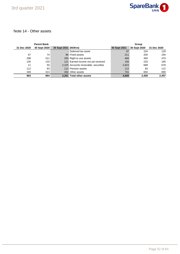

### Note 14 - Other assets

|             | <b>Parent Bank</b> |                     |                                       | Group        |              |             |  |
|-------------|--------------------|---------------------|---------------------------------------|--------------|--------------|-------------|--|
| 31 Dec 2020 | 30 Sept 2020       | 30 Sept 2021 (NOKm) |                                       | 30 Sept 2021 | 30 Sept 2020 | 31 Dec 2020 |  |
| -           |                    |                     | - Deferred tax asset                  | 97           | 154          | 129         |  |
| 67          | 74                 |                     | 86 Fixed assets                       | 211          | 200          | 194         |  |
| 298         | 311                |                     | 265 Right to use assets               | 468          | 450          | 470         |  |
| 135         | 133                |                     | 121 Earned income not yet received    | 156          | 233          | 185         |  |
| 11          | 50                 |                     | 2,225 Accounts receivable, securities | 2,823        | 688          | 678         |  |
| 112         | 83                 |                     | 112 Pension assets                    | 112          | 83           | 112         |  |
| 340         | 313                |                     | 452 Other assets                      | 741          | 650          | 690         |  |
| 963         | 964                |                     | 3.261 Total other assets              | 4,609        | 2.459        | 2.457       |  |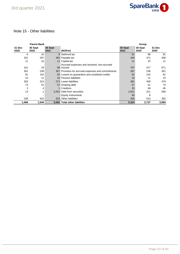

### Note 15 - Other liabilities

|                | <b>Parent Bank</b> |                 |                                                         | Group           |                 |                |  |
|----------------|--------------------|-----------------|---------------------------------------------------------|-----------------|-----------------|----------------|--|
| 31 Dec<br>2020 | 30 Sept<br>2020    | 30 Sept<br>2021 | (NOKm)                                                  | 30 Sept<br>2021 | 30 Sept<br>2020 | 31 Dec<br>2020 |  |
| 8              | 32                 |                 | 8 Deferred tax                                          | 81              | 98              | 81             |  |
| 322            | 297                |                 | 350 Payable tax                                         | 440             | 371             | 408            |  |
| 11             | 10                 | 11              | Capital tax                                             | 11              | 10              | 11             |  |
| 101            | 19                 |                 | Accrued expenses and received, non-accrued<br>89 income | 707             | 477             | 671            |  |
| 301            | 238                |                 | 307 Provision for accrued expenses and commitments      | 307             | 238             | 301            |  |
| 81             | 142                |                 | 82 Losses on guarantees and unutilised credits          | 82              | 142             | 81             |  |
| 10             | 11                 |                 | 10 Pension liabilities                                  | 10              | 11              | 10             |  |
| 303            | 315                |                 | 274 Lease liabilities                                   | 481             | 458             | 479            |  |
| 74             | 51                 |                 | 57 Drawing debt                                         | 57              | 51              | 74             |  |
| 3              | 4                  |                 | <b>Creditors</b>                                        | 33              | 49              | 45             |  |
| 13             |                    |                 | 2,052 Debt from securities                              | 2,621           | 311             | 568            |  |
|                |                    |                 | - Equity Instruments                                    | 90              | 8               |                |  |
| 239            | 422                |                 | 323 Other liabilities                                   | 405             | 513             | 355            |  |
| 1,466          | 1,544              |                 | 3,562 Total other liabilites                            | 5,324           | 2,737           | 3,084          |  |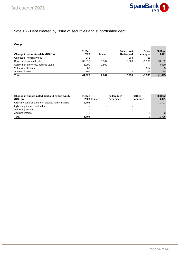

**Contract Contract** 

# Note 16 - Debt created by issue of securities and subordinated debt

#### **Group**

| Change in securities debt (NOKm)    | 31 Dec<br>2020 | <b>Issued</b> | Fallen due/<br>Redeemed | <b>Other</b><br>changes  | 30 Sept<br>2021 |
|-------------------------------------|----------------|---------------|-------------------------|--------------------------|-----------------|
| Certificate, nominal value          | 341            | -             | 368                     | 28                       |                 |
| Bond debt, nominal value            | 39.819         | 5.367         | 5.928                   | $-1.106$                 | 38,152          |
| Senior non preferred, nominal value | 1.000          | 2,500         |                         | $\overline{\phantom{0}}$ | 3,500           |
| Value adjustments                   | 569            | ٠             |                         | $-514$                   | 55              |
| Accrued interest                    | 191            | -             |                         | -3                       | 188             |
| <b>Total</b>                        | 41.920         | 7.867         | 6.296                   | $-1.595$                 | 41.895          |

| Change in subordinated debt and hybrid equity<br>(NOKm) | 31 Dec<br>2020 Issued | Fallen due/<br>Redeemed  | Other<br>changes |    | 30 Sept<br>2021 |
|---------------------------------------------------------|-----------------------|--------------------------|------------------|----|-----------------|
| Ordinary subordinated loan capital, nominal value       | 1.793                 | $\overline{\phantom{a}}$ |                  |    | 1,793           |
| Hybrid equity, nominal value                            |                       | -                        |                  |    |                 |
| Value adjustments                                       |                       | $\overline{\phantom{0}}$ |                  |    |                 |
| Accrued interest                                        |                       | $\,$                     |                  | -0 |                 |
| Total                                                   | 1.795                 |                          |                  | -0 | 1.795           |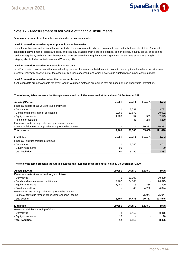

### Note 17 - Measurement of fair value of financial instruments

#### **Financial instruments at fair value are classified at various levels.**

#### **Level 1: Valuation based on quoted prices in an active market**

Fair value of financial instruments that are traded in the active markets is based on market price on the balance sheet date. A market is considered active if market prices are easily and regularly available from a stock exchange, dealer, broker, industry group, price-setting service or regulatory authority, and these prices represent actual and regularly occurring market transactions at an arm's length. This category also includes quoted shares and Treasury bills.

#### **Level 2: Valuation based on observable market data**

Level 2 consists of instruments that are valued by the use of information that does not consist in quoted prices, but where the prices are directly or indirectly observable for the assets or liabilities concerned, and which also include quoted prices in non-active markets.

#### **Level 3: Valuation based on other than observable data**

If valuation data are not available for level 1 and 2, valuation methods are applied that are based on non-observable information.

#### **The following table presents the Group's assets and liabilities measured at fair value at 30 September 2021:**

| Assets (NOKm)                                            | Level 1 | Level 2 | Level 3 | <b>Total</b> |
|----------------------------------------------------------|---------|---------|---------|--------------|
| Financial assets at fair value through profit/loss       |         |         |         |              |
| - Derivatives                                            | 1       | 3,731   |         | 3,732        |
| - Bonds and money market certificates                    | 2,360   | 27,672  |         | 30,032       |
| - Equity instruments                                     | 1.908   | 57      | 559     | 2,525        |
| - Fixed interest loans                                   |         | 43      | 4,246   | 4,289        |
| Financial assets through other comprehensive income      |         |         |         |              |
| - Loans at fair value through other comprehensive income |         |         | 80,832  | 80,832       |
| <b>Total assets</b>                                      | 4,269   | 31,503  | 85,638  | 121,410      |
| Liabilities                                              | Level 1 | Level 2 | Level 3 | <b>Total</b> |
| Financial liabilities through profit/loss                |         |         |         |              |
| - Derivatives                                            | 1       | 3,740   |         | 3,741        |
| - Equity instruments                                     | 90      |         |         | 90           |
| <b>Total liabilities</b>                                 | 91      | 3,740   |         | 3,831        |

#### **The following table presents the Group's assets and liabilities measured at fair value at 30 September 2020:**

| Assets (NOKm)                                            | Level 1 | Level 2        | Level 3        | Total   |
|----------------------------------------------------------|---------|----------------|----------------|---------|
| Financial assets at fair value through profit/loss       |         |                |                |         |
| - Derivatives                                            | 0       | 10,309         |                | 10,309  |
| - Bonds and money market certificates                    | 2.267   | 24,108         | $\blacksquare$ | 26,375  |
| - Equity instruments                                     | 1,440   | 16             | 434            | 1,890   |
| - Fixed interest loans                                   |         | 43             | 4,282          | 4.324   |
| Financial assets through other comprehensive income      |         |                |                |         |
| - Loans at fair value through other comprehensive income |         | $\blacksquare$ | 75,047         | 75,047  |
| <b>Total assets</b>                                      | 3,707   | 34,476         | 79,763         | 117,945 |
| Liabilities                                              | Level 1 | Level 2        | Level 3        | Total   |
| Financial liabilities through profit/loss                |         |                |                |         |
| - Derivatives                                            | 2       | 8,413          |                | 8,415   |
| - Equity instruments                                     | 10      |                |                | 10      |
| <b>Total liabilities</b>                                 | 12      | 8.413          |                | 8.425   |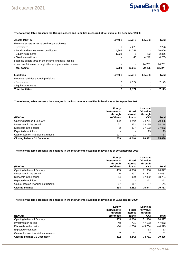

#### **The following table presents the Group's assets and liabilities measured at fair value at 31 December 2020:**

| Assets (NOKm)                                            | Level 1 | Level 2 | Level 3 | Total   |
|----------------------------------------------------------|---------|---------|---------|---------|
| Financial assets at fair value through profit/loss       |         |         |         |         |
| - Derivatives                                            | 1       | 7,225   |         | 7,226   |
| - Bonds and money market certificates                    | 4,865   | 21,741  | -       | 26,606  |
| - Equity instruments                                     | 1,928   | 6       | 432     | 2,366   |
| - Fixed interest loans                                   |         | 43      | 4,242   | 4.285   |
| Financial assets through other comprehensive income      |         |         |         |         |
| - Loans at fair value through other comprehensive income |         |         | 74,761  | 74,761  |
| <b>Total assets</b>                                      | 6,793   | 29,015  | 79,435  | 115,244 |
| Liabilities                                              | Level 1 | Level 2 | Level 3 | Total   |
| Financial liabilities through profit/loss                |         |         |         |         |
| - Derivatives                                            | 2       | 7,177   |         | 7,179   |
| - Equity instruments                                     |         |         |         |         |
| <b>Total liabilities</b>                                 | 2       | 7,177   |         | 7,179   |

**The following table presents the changes in the instruments classified in level 3 as at 30 September 2021:**

|                                       | Equity<br>instruments<br>through | <b>Fixed</b><br>interest | Loans at<br>fair value<br>through |              |
|---------------------------------------|----------------------------------|--------------------------|-----------------------------------|--------------|
| (NOKm)                                | profit/loss                      | loans                    | <b>OCI</b>                        | <b>Total</b> |
| Opening balance 1 January             | 432                              | 4.242                    | 74.761                            | 79.435       |
| Investment in the period              | 21                               | 922                      | 33.175                            | 34.118       |
| Disposals in the period               | $-2$                             | $-827$                   | $-27.123$                         | $-27.952$    |
| Expected credit loss                  |                                  | -                        | 19                                | 19           |
| Gain or loss on financial instruments | 107                              | -91                      |                                   | 17           |
| <b>Closing balance 31 December</b>    | 559                              | 4.246                    | 80.832                            | 85.638       |

#### **The following table presents the changes in the instruments classified in level 3 as at 30 September 2020:**

| (NOKm)                                | Equity<br><b>instruments</b><br>through<br>profit/loss | <b>Fixed</b><br>interest<br>loans | Loans at<br>fair value<br>through<br><b>OCI</b> | Total   |
|---------------------------------------|--------------------------------------------------------|-----------------------------------|-------------------------------------------------|---------|
| Opening balance 1 January             | 405                                                    | 4,636                             | 71,336                                          | 76.377  |
| Investment in the period              | 26                                                     | 497                               | 41,527                                          | 42.051  |
| Disposals in the period               | $-14$                                                  | -969                              | $-37,802$                                       | -38,784 |
| Expected credit loss                  | $\blacksquare$                                         |                                   | $-21$                                           | $-21$   |
| Gain or loss on financial instruments | 17                                                     | 117                               |                                                 | 141     |
| <b>Closing balance</b>                | 434                                                    | 4.282                             | 75.047                                          | 79.763  |

#### **The following table presents the changes in the instruments classified in level 3 as at 31 December 2020:**

| (NOKm)                                | Equity<br>instruments<br>through<br>profit/loss | Fixed<br>interest<br>loans | Loans at<br>fair value<br>through<br><b>OCI</b> | Total     |
|---------------------------------------|-------------------------------------------------|----------------------------|-------------------------------------------------|-----------|
| Opening balance 1 January             | 405                                             | 4,636                      | 71,336                                          | 76,377    |
| Investment in period                  | 48                                              | 731                        | 47.183                                          | 47,962    |
| Disposals in the period               | $-14$                                           | $-1.206$                   | $-43.754$                                       | $-44,973$ |
| <b>Expected credit loss</b>           | $\blacksquare$                                  |                            | $-13$                                           | $-13$     |
| Gain or loss on financial instruments | $-7$                                            | 81                         |                                                 | 81        |
| <b>Closing balance 31 December</b>    | 432                                             | 4.242                      | 74.761                                          | 79,435    |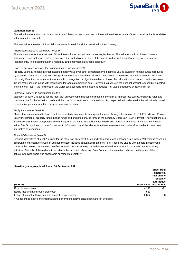

#### **Valuation method**

The valuation method applied is adapted to each financial instrument, and is intended to utilise as much of the information that is available in the market as possible.

The method for valuation of financial instruments in level 2 and 3 is described in the following:

#### Fixed interest loans to customers (level 3)

The loans consist for the most part of fixed interest loans denominated in Norwegian kroner. The value of the fixed interest loans is determined such that agreed interest flows are discounted over the term of the loan by a discount factor that is adjusted for margin requirements. The discount factor is raised by 10 points when calculating sensitivity.

#### Loans at fair value through other comprehensive income (level 3)

Property Loans at floating interest classified at fair value over other comprehensive income is valued based on nominal amount reduced by expected credit loss. Loans with no significant credit risk detoriation since first recognition is assessed at nominal amount. For loans with a significant increase in credit risk since first recognition or objective evidence of loss, the calculation of expected credit losses over the life of the asset is in line with loan losses for loans at amortised cost. Estimated fair value is the nominal amount reduced by expected lifetime credit loss. If the likelihood of the worst case scenario in the model is doubled, fair value is reduced by NOK 8 million.

#### Short-term paper and bonds (level 2 and 3)

Valuation on level 2 is based for the most part on observable market information in the form of interest rate curves, exchange rates and credit margins for the individual credit and the bond's or certificate's characteristics. For paper valued under level 3 the valuation is based on indicative prices from a third party or comparable paper.

#### Equity instruments (level 3)

Shares that are classified to level 3 include essentially investments in unquoted shares. Among other a total of NOK 471 million in Private Equity investments, property funds, hedge funds and unquoted shares through the company SpareBank SMN 1 Invest. The valuations are in all essentials based on reporting from managers of the funds who utilise cash flow based models or multiples when determining fair value. The Group does not have full access to information on all the elements in these valuations and is therefore unable to determine alternative assumptions.

#### Financial derivatives (level 2)

Financial derivatives at level 2 include for the most part currency futures and interest rate and exchange rate swaps. Valuation is based on observable interest rate curves. In addition the item includes derivatives related to FRAs. These are valued with a basis in observable prices in the market. Derivatives classified to level 2 also include equity derivatives related to SpareBank 1 Markets' market-making activities. The bulk of these derivatives refer to the most sold shares on Oslo Børs, and the valuation is based on the price of the actual/underlying share and observable or calculated volatility.

#### **Sensitivity analyses, level 3 as at 30 September 2021:**

|                                                                  | <b>Effect from</b><br>change in<br>reasonable<br>possible<br>alternative |
|------------------------------------------------------------------|--------------------------------------------------------------------------|
| (NOKm)                                                           | <b>Book value assumtions</b>                                             |
| 4.246<br>Fixed interest loans                                    | $-12$                                                                    |
| Equity instruments through profit/loss*<br>559                   |                                                                          |
| Loans at fair value through other comprehensive income<br>80.832 | -8                                                                       |

\* As described above, the information to perform alternative calculations are not available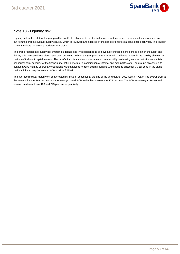

### Note 18 - Liquidity risk

Liquidity risk is the risk that the group will be unable to refinance its debt or to finance asset increases. Liquidity risk management starts out from the group's overall liquidity strategy which is reviewed and adopted by the board of directors at least once each year. The liquidity strategy reflects the group's moderate risk profile.

The group reduces its liquidity risk through guidelines and limits designed to achieve a diversified balance sheet, both on the asset and liability side. Preparedness plans have been drawn up both for the group and the SpareBank 1 Alliance to handle the liquidity situation in periods of turbulent capital markets. The bank's liquidity situation is stress tested on a monthly basis using various maturities and crisis scenarios: bank-specific, for the financial market in general or a combination of internal and external factors. The group's objective is to survive twelve months of ordinary operations without access to fresh external funding while housing prices fall 30 per cent. In the same period minimum requirements to LCR shall be fulfilled.

The average residual maturity on debt created by issue of securities at the end of the third quarter 2021 was 3.7 years. The overall LCR at the same point was 163 per cent and the average overall LCR in the third quarter was 172 per cent. The LCR in Norwegian kroner and euro at quarter-end was 163 and 223 per cent respectively.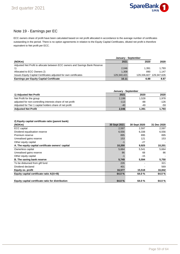

### Note 19 - Earnings per EC

ECC owners share of profit have been calculated based on net profit allocated in accordance to the average number of certificates outstanding in the period. There is no option agreements in relation to the Equity Capital Certificates, diluted net profit is therefore equivalent to Net profit per ECC.

|                                                                             | January - September |       |                         |
|-----------------------------------------------------------------------------|---------------------|-------|-------------------------|
| (NOKm)                                                                      | 2021                | 2020  | 2020                    |
| Adjusted Net Profit to allocate between ECC owners and Savings Bank Reserve |                     |       |                         |
|                                                                             | 2,046               | 1.391 | 1.793                   |
| Allocated to ECC Owners 2)                                                  | 1.308               | 890   | 1.147                   |
| Issues Equity Captial Certificates adjusted for own certificates            | 129.340.421         |       | 129,336,827 129,347,626 |
| <b>Earnings per Equity Captial Certificate</b>                              | 10.11               | 6.88  | 8.87                    |

|                                                            | January - September |       |        |  |  |
|------------------------------------------------------------|---------------------|-------|--------|--|--|
| 1) Adjusted Net Profit                                     | 2021                | 2020  | 2020   |  |  |
| Net Profit for the group                                   | 2,199               | 1.528 | 1.978  |  |  |
| adjusted for non-controlling interests share of net profit | $-113$              | -88   | $-126$ |  |  |
| Adjusted for Tier 1 capital holders share of net profit    | $-40$               | -49   | -59    |  |  |
| <b>Adjusted Net Profit</b>                                 | 2,046               | 1.391 | 1.793  |  |  |

#### **2) Equity capital certificate ratio (parent bank)**

| (NOKm)                                            | 30 Sept 2021 | 30 Sept 2020 | 31 Dec 2020 |
|---------------------------------------------------|--------------|--------------|-------------|
| <b>ECC</b> capital                                | 2,597        | 2.597        | 2,597       |
| Dividend equalisation reserve                     | 6,556        | 6,338        | 6,556       |
| Premium reserve                                   | 895          | 895          | 895         |
| Unrealised gains reserve                          | 153          | 121          | 153         |
| Other equity capital                              | -1           | $-27$        |             |
| A. The equity capital certificate owners' capital | 10,200       | 9,925        | 10,201      |
| Ownerless capital                                 | 5,664        | 5,541        | 5,664       |
| Unrealised gains reserve                          | 86           | 68           | 86          |
| Other equity capital                              | -1           | $-15$        |             |
| B. The saving bank reserve                        | 5,749        | 5,594        | 5,750       |
| To be disbursed from gift fund                    | 226          |              | 321         |
| Dividend declared                                 | 401          |              | 569         |
| Equity ex. profit                                 | 16,577       | 15,518       | 16,842      |
| Equity capital certificate ratio A/(A+B)          | 64.0 %       | 64.0%        | 64.0%       |
| Equity capital certificate ratio for distribution | 64.0%        | 64.0%        | 64.0%       |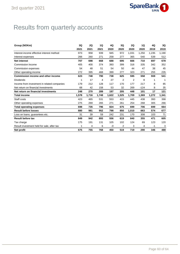

# Results from quarterly accounts

| Group (NOKm)                                | 3Q    | 2Q    | 1Q    | 4Q    | 3Q    | 2Q    | 1Q     | 4Q    | 3Q    |
|---------------------------------------------|-------|-------|-------|-------|-------|-------|--------|-------|-------|
|                                             | 2021  | 2021  | 2021  | 2020  | 2020  | 2020  | 2020   | 2019  | 2019  |
| Interest income effective interest method   | 973   | 958   | 939   | 945   | 972   | 1,031 | 1,250  | 1.235 | 1,190 |
| Interest expenses                           | 266   | 260   | 271   | 258   | 277   | 365   | 540    | 539   | 512   |
| <b>Net interest</b>                         | 707   | 698   | 668   | 688   | 695   | 666   | 710    | 697   | 678   |
| Commission income                           | 405   | 400   | 374   | 393   | 399   | 316   | 335    | 342   | 352   |
| Commission expenses                         | 54    | 48    | 51    | 54    | 50    | 44    | 47     | 38    | 45    |
| Other operating income                      | 272   | 395   | 468   | 399   | 277   | 323   | 271    | 255   | 235   |
| <b>Commission income and other income</b>   | 623   | 748   | 790   | 738   | 625   | 595   | 558    | 559   | 541   |
| <b>Dividends</b>                            | 1     | 17    | 4     | 27    | 2     | 2     | 8      |       | 1     |
| Income from investment in related companies | 179   | 212   | 128   | 117   | 170   | 177   | 217    | 8     | 85    |
| Net return on financial investments         | 68    | 42    | 158   | 53    | 32    | 269   | $-124$ | 8     | 35    |
| Net return on financial investments         | 248   | 270   | 289   | 197   | 205   | 448   | 101    | 17    | 121   |
| <b>Total income</b>                         | 1,578 | 1,716 | 1,748 | 1,622 | 1,525 | 1,709 | 1,369  | 1,272 | 1,341 |
| Staff costs                                 | 423   | 465   | 531   | 553   | 415   | 445   | 438    | 393   | 398   |
| Other operating expenses                    | 275   | 269   | 265   | 271   | 261   | 254   | 268    | 305   | 266   |
| <b>Total operating expenses</b>             | 698   | 735   | 796   | 824   | 675   | 699   | 706    | 699   | 664   |
| <b>Result before losses</b>                 | 880   | 981   | 952   | 798   | 850   | 1,010 | 663    | 574   | 677   |
| Loss on loans, guarantees etc.              | 31    | 39    | 59    | 242   | 231   | 170   | 308    | 103   | 71    |
| <b>Result before tax</b>                    | 849   | 942   | 893   | 556   | 619   | 840   | 355    | 471   | 605   |
| Tax charge                                  | 175   | 191   | 131   | 105   | 102   | 124   | 69     | 123   | 120   |
| Result investment held for sale, after tax  | 1     | 4     | 6     | -0    | 2     | 3     | 4      | -1    | 3     |
| Net profit                                  | 675   | 755   | 768   | 450   | 519   | 719   | 290    | 346   | 488   |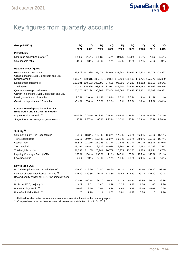

# Key figures from quarterly accounts

| Group (NOKm)                                                                       | 3Q<br>2021 | 2Q<br>2021                                                              | 1Q<br>2021 | 4Q<br>2020 | 3Q<br>2020 | 2Q<br>2020 | 1Q<br>2020 | 4Q<br>2019 | 3Q<br>2019 |
|------------------------------------------------------------------------------------|------------|-------------------------------------------------------------------------|------------|------------|------------|------------|------------|------------|------------|
| Profitability                                                                      |            |                                                                         |            |            |            |            |            |            |            |
| Return on equity per quarter 1)                                                    | 12.4%      | 14.3%                                                                   | 14.8%      | 8.9%       | 10.5%      | 15.1%      | 5.7%       | 7.1%       | 10.2%      |
| Cost-income ratio <sup>1)</sup>                                                    | 44 %       | 43 %                                                                    | 46 %       | 51 %       | 45 %       | 41 %       | 52 %       | 56 %       | 50 %       |
| <b>Balance sheet figures</b>                                                       |            |                                                                         |            |            |            |            |            |            |            |
| Gross loans to customers                                                           |            | 143,972 141,935 137,471 134,648 133,640 130,627 127,272 126,277 123,967 |            |            |            |            |            |            |            |
| Gross loans incl. SB1 Boligkreditt and SB1                                         |            |                                                                         |            |            |            |            |            |            |            |
| Næringskreditt                                                                     |            | 191,976 189,015 185,342 182,801 179,423 175,100 170,771 167,777 165,380 |            |            |            |            |            |            |            |
| Deposit from customers                                                             |            | 109,691 110,133 102,390 97,529                                          |            |            | 95,391     | 94,289     | 88,152     | 85,917     | 83,641     |
| <b>Total assets</b>                                                                |            | 200,124 200,426 193,822 187,912 186,900 190,484 185,182 166,662 166,475 |            |            |            |            |            |            |            |
| Quarterly average total assets<br>Growth in loans incl. SB1 Boligkreditt and SB1   |            | 200,275 197,124 190,867 187,406 188,692 187,833 175,922 166,569 166,882 |            |            |            |            |            |            |            |
| Næringskredtt last 12 months 1)                                                    | 1.6%       | 2.0%                                                                    | 1.4%       | 1.9%       | 2.5%       | 2.5%       | 1.8%       | 1.4%       | 1.1%       |
| Growth in deposits last 12 months                                                  | $-0.4%$    | 7.6%                                                                    | 5.0%       | 2.2%       | 1.2%       | 7.0%       | 2.6%       | 2.7%       | $-3.4%$    |
| Losses in % of gross loans incl. SB1<br><b>Boligkreditt and SB1 Næringskreditt</b> |            |                                                                         |            |            |            |            |            |            |            |
| Impairment losses ratio <sup>1)</sup>                                              | 0.07%      | 0.08%                                                                   | 0.13%      | 0.54%      | 0.52%      | 0.39%      | 0.73%      | 0.25%      | 0.17%      |
| Stage 3 as a percentage of gross loans <sup>1)</sup>                               | 1.80%      | 1.87%                                                                   | 1.66 %     | 1.23%      | 1.30%      | 1.35%      | 1.39%      | 1.26 %     | 1.28 %     |
| Solidity <sup>2)</sup>                                                             |            |                                                                         |            |            |            |            |            |            |            |
| Common equity Tier 1 capital ratio                                                 | 18.1%      | 18.3 %                                                                  | 18.0%      | 18.3 %     | 17.6%      | 17.2 %     | 16.3%      | 17.2 %     | 15.1 %     |
| Tier 1 capital ratio                                                               | 19.7%      | 20.0%                                                                   | 19.7%      | 20.0%      | 19.2%      | 18.9%      | 18.0%      | 19.3%      | 16.7%      |
| Capital ratio                                                                      | 21.8%      | 22.2%                                                                   | 21.9%      | 22.3%      | 21.4 %     | 21.1 %     | 20.1%      | 21.6%      | 18.9%      |
| Tier 1 capital                                                                     | 19,265     | 19,011                                                                  | 18,636     | 18,636     | 18,290     | 18,182     | 17,792     | 17,742     | 17,417     |
| Total eligible capital                                                             | 21,338     | 21,105                                                                  | 20,741     | 20,759     | 20,373     | 20,266     | 19,879     | 19,854     | 19,765     |
| Liquidity Coverage Ratio (LCR)                                                     | 163 %      | 184 %                                                                   | 190 %      | 171 %      | 140 %      | 163 %      | 185 %      | 148 %      | 181 %      |
| Leverage Ratio                                                                     | 6.9%       | 7.0%                                                                    | 7.0%       | 7.1%       | 7.1 %      | 6.9%       | 6.9%       | 7.5%       | 7.4 %      |
| <b>Key figures ECC</b>                                                             |            |                                                                         |            |            |            |            |            |            |            |
| ECC share price at end of period (NOK)                                             | 129.80     | 119.20                                                                  | 107.40     | 97.60      | 84.30      | 78.30      | 67.60      | 100.20     | 98.50      |
| Number of certificates issued, millions 1)                                         | 129.39     | 129.36                                                                  | 129.22     | 129.39     | 129.44     | 129.39     | 129.22     | 129.30     | 129.48     |
| Booked equity capital per ECC (including dividend)                                 |            |                                                                         |            |            |            |            |            |            |            |
| 1)                                                                                 | 103.57     | 100.18                                                                  | 96.70      | 94.71      | 92.73      | 90.37      | 86.85      | 90.75      | 89.36      |
| Profit per ECC, majority 1)                                                        | 3.22       | 3.51                                                                    | 3.40       | 1.99       | 2.35       | 3.27       | 1.26       | 1.60       | 2.30       |
| Price-Earnings Ratio <sup>1)</sup>                                                 | 10.09      | 8.50                                                                    | 7.91       | 12.28      | 8.96       | 5.98       | 13.46      | 15.67      | 10.69      |
| Price-Book Value Ratio <sup>1)</sup>                                               | 1.25       | 1.19                                                                    | 1.11       | 1.03       | 0.91       | 0.87       | 0.78       | 1.10       | 1.10       |

1) Defined as alternative performance measures, see attachment to the quarterly report

2) Comparables have not been restated since revised distribution of profit for 2019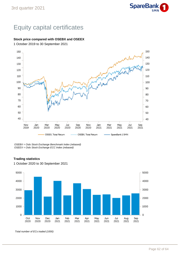

# Equity capital certificates

#### **Stock price compared with OSEBX and OSEEX**

1 October 2019 to 30 September 2021



OSEBX = Oslo Stock Exchange Benchmark Index (rebased) OSEEX = Oslo Stock Exchange ECC Index (rebased)

#### **Trading statistics**



1 October 2020 to 30 September 2021

Total number of ECs traded (1000)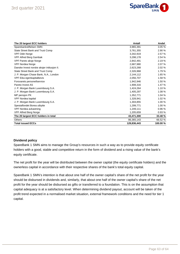

| The 20 largest ECC holders                 | Antall      | Andel    |
|--------------------------------------------|-------------|----------|
| Sparebankstiftelsen SMN                    | 3,965,391   | 3.05%    |
| State Street Bank and Trust Comp           | 3,761,355   | 2.90 %   |
| VPF Odin Norge                             | 3,342,919   | 2.57 %   |
| VPF Alfred Berg Gambak                     | 3,298,178   | 2.54 %   |
| VPF Pareto aksje Norge                     | 2,842,491   | 2.19 %   |
| <b>VPF Nordea Norge</b>                    | 2,687,980   | 2.07 %   |
| Danske Invest norske aksjer intitusjon II. | 2,623,268   | 2.02%    |
| State Street Bank and Trust Comp           | 2,326,968   | 1.79 %   |
| J. P. Morgan Chase Bank, N.A., London      | 2,144,112   | 1.65 %   |
| VPF Eika egenkapitalbevis                  | 2,056,707   | 1.58 %   |
| Forsvarets personellservice                | 1,942,946   | 1.50 %   |
| Pareto Invest AS                           | 1,908,316   | 1.47 %   |
| J. P. Morgan Bank Luxembourg S.A.          | 1,424,264   | 1.10%    |
| J. P. Morgan Bank Luxembourg S.A.          | 1,405,297   | 1.08%    |
| MP pensjon PK                              | 1,352,771   | 1.04 %   |
| VPF Nordea kapital                         | 1,328,941   | 1.02 %   |
| J. P. Morgan Bank Luxembourg S.A.          | 1,304,855   | 1.00 %   |
| Spesialfondet Borea utbytte                | 1,299,771   | 1.00 %   |
| VPF Nordea avkastning                      | 1,249,111   | 0.96%    |
| <b>VPF Alfred Berg Norge</b>               | 1,205,659   | 0.93%    |
| The 20 largest ECC holders in total        | 43,471,300  | 33.48 %  |
| <b>Others</b>                              | 86,365,143  | 66.52 %  |
| <b>Total issued ECCs</b>                   | 129,836,443 | 100.00 % |

#### **Dividend policy**

SpareBank 1 SMN aims to manage the Group's resources in such a way as to provide equity certificate holders with a good, stable and competitive return in the form of dividend and a rising value of the bank's equity certificate.

The net profit for the year will be distributed between the owner capital (the equity certificate holders) and the ownerless capital in accordance with their respective shares of the bank's total equity capital.

SpareBank 1 SMN's intention is that about one half of the owner capital's share of the net profit for the year should be disbursed in dividends and, similarly, that about one half of the owner capital's share of the net profit for the year should be disbursed as gifts or transferred to a foundation. This is on the assumption that capital adequacy is at a satisfactory level. When determining dividend payout, account will be taken of the profit trend expected in a normalised market situation, external framework conditions and the need for tier 1 capital.